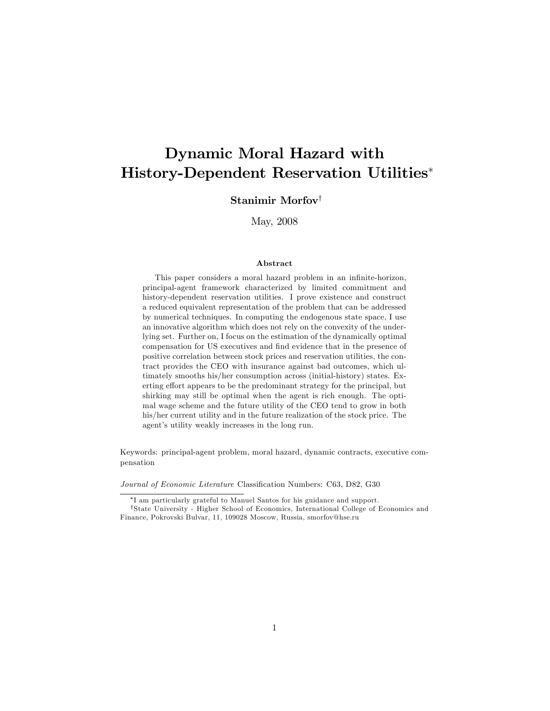## Dynamic Moral Hazard with History-Dependent Reservation Utilities

### Stanimir Morfov<sup>†</sup>

May, 2008

#### Abstract

This paper considers a moral hazard problem in an infinite-horizon, principal-agent framework characterized by limited commitment and history-dependent reservation utilities. I prove existence and construct a reduced equivalent representation of the problem that can be addressed by numerical techniques. In computing the endogenous state space, I use an innovative algorithm which does not rely on the convexity of the underlying set. Further on, I focus on the estimation of the dynamically optimal compensation for US executives and find evidence that in the presence of positive correlation between stock prices and reservation utilities, the contract provides the CEO with insurance against bad outcomes, which ultimately smooths his/her consumption across (initial-history) states. Exerting effort appears to be the predominant strategy for the principal, but shirking may still be optimal when the agent is rich enough. The optimal wage scheme and the future utility of the CEO tend to grow in both his/her current utility and in the future realization of the stock price. The agent's utility weakly increases in the long run.

Keywords: principal-agent problem, moral hazard, dynamic contracts, executive compensation

Journal of Economic Literature Classification Numbers: C63, D82, G30

I am particularly grateful to Manuel Santos for his guidance and support.

<sup>&</sup>lt;sup>†</sup>State University - Higher School of Economics, International College of Economics and Finance, Pokrovski Bulvar, 11, 109028 Moscow, Russia, smorfov@hse.ru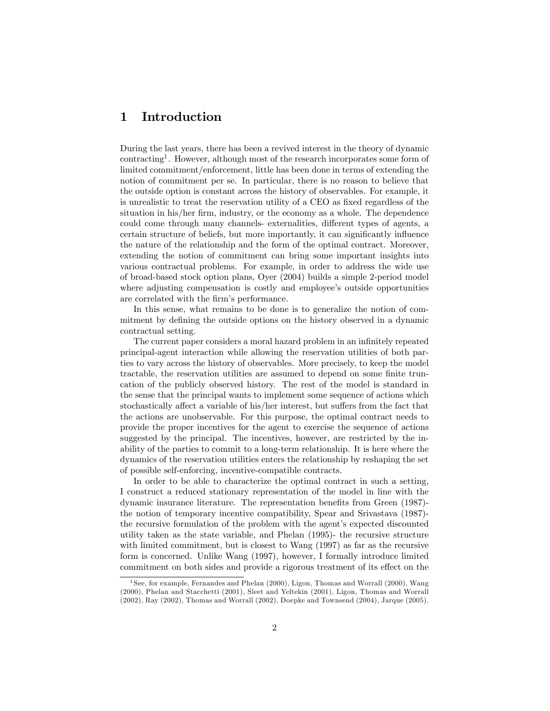## 1 Introduction

During the last years, there has been a revived interest in the theory of dynamic contracting<sup>1</sup> . However, although most of the research incorporates some form of limited commitment/enforcement, little has been done in terms of extending the notion of commitment per se. In particular, there is no reason to believe that the outside option is constant across the history of observables. For example, it is unrealistic to treat the reservation utility of a CEO as fixed regardless of the situation in his/her firm, industry, or the economy as a whole. The dependence could come through many channels- externalities, different types of agents, a certain structure of beliefs, but more importantly, it can significantly influence the nature of the relationship and the form of the optimal contract. Moreover, extending the notion of commitment can bring some important insights into various contractual problems. For example, in order to address the wide use of broad-based stock option plans, Oyer (2004) builds a simple 2-period model where adjusting compensation is costly and employee's outside opportunities are correlated with the firm's performance.

In this sense, what remains to be done is to generalize the notion of commitment by defining the outside options on the history observed in a dynamic contractual setting.

The current paper considers a moral hazard problem in an infinitely repeated principal-agent interaction while allowing the reservation utilities of both parties to vary across the history of observables. More precisely, to keep the model tractable, the reservation utilities are assumed to depend on some finite truncation of the publicly observed history. The rest of the model is standard in the sense that the principal wants to implement some sequence of actions which stochastically affect a variable of his/her interest, but suffers from the fact that the actions are unobservable. For this purpose, the optimal contract needs to provide the proper incentives for the agent to exercise the sequence of actions suggested by the principal. The incentives, however, are restricted by the inability of the parties to commit to a long-term relationship. It is here where the dynamics of the reservation utilities enters the relationship by reshaping the set of possible self-enforcing, incentive-compatible contracts.

In order to be able to characterize the optimal contract in such a setting, I construct a reduced stationary representation of the model in line with the dynamic insurance literature. The representation benefits from Green (1987)the notion of temporary incentive compatibility, Spear and Srivastava (1987) the recursive formulation of the problem with the agent's expected discounted utility taken as the state variable, and Phelan (1995)- the recursive structure with limited commitment, but is closest to Wang  $(1997)$  as far as the recursive form is concerned. Unlike Wang (1997), however, I formally introduce limited commitment on both sides and provide a rigorous treatment of its effect on the

<sup>&</sup>lt;sup>1</sup> See, for example, Fernandes and Phelan (2000), Ligon, Thomas and Worrall (2000), Wang (2000), Phelan and Stacchetti (2001), Sleet and Yeltekin (2001), Ligon, Thomas and Worrall (2002), Ray (2002), Thomas and Worrall (2002), Doepke and Townsend (2004), Jarque (2005).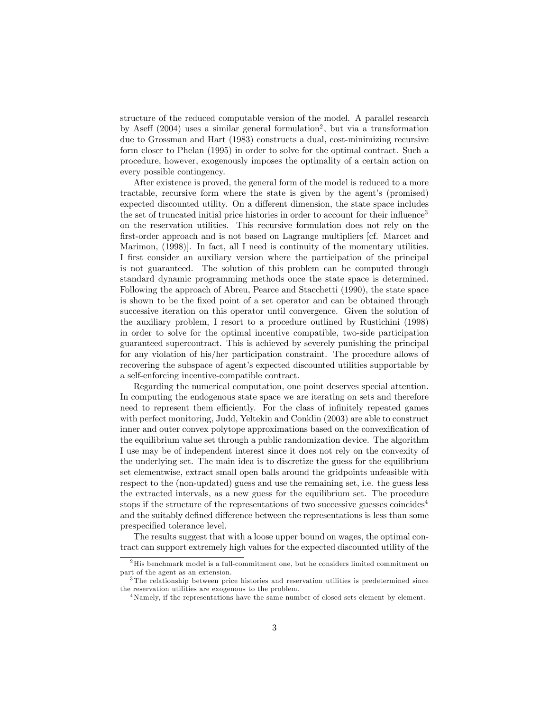structure of the reduced computable version of the model. A parallel research by Aseff  $(2004)$  uses a similar general formulation<sup>2</sup>, but via a transformation due to Grossman and Hart (1983) constructs a dual, cost-minimizing recursive form closer to Phelan (1995) in order to solve for the optimal contract. Such a procedure, however, exogenously imposes the optimality of a certain action on every possible contingency.

After existence is proved, the general form of the model is reduced to a more tractable, recursive form where the state is given by the agent's (promised) expected discounted utility. On a different dimension, the state space includes the set of truncated initial price histories in order to account for their influence<sup>3</sup> on the reservation utilities. This recursive formulation does not rely on the first-order approach and is not based on Lagrange multipliers [cf. Marcet and Marimon, (1998)]. In fact, all I need is continuity of the momentary utilities. I first consider an auxiliary version where the participation of the principal is not guaranteed. The solution of this problem can be computed through standard dynamic programming methods once the state space is determined. Following the approach of Abreu, Pearce and Stacchetti (1990), the state space is shown to be the Öxed point of a set operator and can be obtained through successive iteration on this operator until convergence. Given the solution of the auxiliary problem, I resort to a procedure outlined by Rustichini (1998) in order to solve for the optimal incentive compatible, two-side participation guaranteed supercontract. This is achieved by severely punishing the principal for any violation of his/her participation constraint. The procedure allows of recovering the subspace of agent's expected discounted utilities supportable by a self-enforcing incentive-compatible contract.

Regarding the numerical computation, one point deserves special attention. In computing the endogenous state space we are iterating on sets and therefore need to represent them efficiently. For the class of infinitely repeated games with perfect monitoring, Judd, Yeltekin and Conklin (2003) are able to construct inner and outer convex polytope approximations based on the convexification of the equilibrium value set through a public randomization device. The algorithm I use may be of independent interest since it does not rely on the convexity of the underlying set. The main idea is to discretize the guess for the equilibrium set elementwise, extract small open balls around the gridpoints unfeasible with respect to the (non-updated) guess and use the remaining set, i.e. the guess less the extracted intervals, as a new guess for the equilibrium set. The procedure stops if the structure of the representations of two successive guesses coincides<sup>4</sup> and the suitably defined difference between the representations is less than some prespecified tolerance level.

The results suggest that with a loose upper bound on wages, the optimal contract can support extremely high values for the expected discounted utility of the

 $^2\mathrm{His}$  benchmark model is a full-commitment one, but he considers limited commitment on part of the agent as an extension.

<sup>3</sup> The relationship between price histories and reservation utilities is predetermined since the reservation utilities are exogenous to the problem.

<sup>&</sup>lt;sup>4</sup>Namely, if the representations have the same number of closed sets element by element.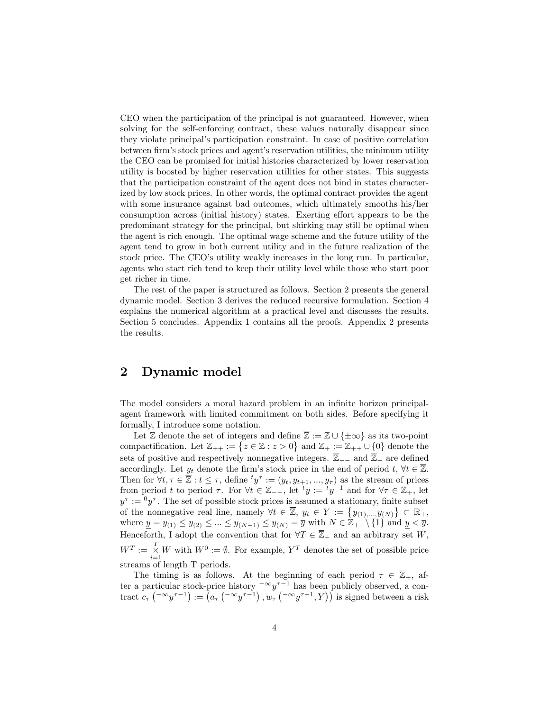CEO when the participation of the principal is not guaranteed. However, when solving for the self-enforcing contract, these values naturally disappear since they violate principalís participation constraint. In case of positive correlation between firm's stock prices and agent's reservation utilities, the minimum utility the CEO can be promised for initial histories characterized by lower reservation utility is boosted by higher reservation utilities for other states. This suggests that the participation constraint of the agent does not bind in states characterized by low stock prices. In other words, the optimal contract provides the agent with some insurance against bad outcomes, which ultimately smooths his/her consumption across (initial history) states. Exerting effort appears to be the predominant strategy for the principal, but shirking may still be optimal when the agent is rich enough. The optimal wage scheme and the future utility of the agent tend to grow in both current utility and in the future realization of the stock price. The CEO's utility weakly increases in the long run. In particular, agents who start rich tend to keep their utility level while those who start poor get richer in time.

The rest of the paper is structured as follows. Section 2 presents the general dynamic model. Section 3 derives the reduced recursive formulation. Section 4 explains the numerical algorithm at a practical level and discusses the results. Section 5 concludes. Appendix 1 contains all the proofs. Appendix 2 presents the results.

## 2 Dynamic model

The model considers a moral hazard problem in an infinite horizon principalagent framework with limited commitment on both sides. Before specifying it formally, I introduce some notation.

Let Z denote the set of integers and define  $\overline{\mathbb{Z}} := \mathbb{Z} \cup {\{\pm \infty\}}$  as its two-point compactification. Let  $\overline{\mathbb{Z}}_{++} := \left\{ z \in \overline{\mathbb{Z}} : z > 0 \right\}$  and  $\overline{\mathbb{Z}}_+ := \overline{\mathbb{Z}}_{++} \cup \{0\}$  denote the sets of positive and respectively nonnegative integers.  $\overline{\mathbb{Z}}_{-}$  and  $\overline{\mathbb{Z}}_{-}$  are defined accordingly. Let  $y_t$  denote the firm's stock price in the end of period  $t, \forall t \in \overline{\mathbb{Z}}$ . Then for  $\forall t, \tau \in \overline{\mathbb{Z}} : t \leq \tau$ , define  $^t y^{\tau} := (y_t, y_{t+1}, ..., y_{\tau})$  as the stream of prices from period t to period  $\tau$ . For  $\forall t \in \overline{\mathbb{Z}}_{--}$ , let  ${}^t y := {}^t y^{-1}$  and for  $\forall \tau \in \overline{\mathbb{Z}}_{+}$ , let  $y^{\tau} := {}^{0}y^{\tau}$ . The set of possible stock prices is assumed a stationary, finite subset of the nonnegative real line, namely  $\forall t \in \overline{\mathbb{Z}}$ ,  $y_t \in Y := \{y_{(1),...,y_{(N)}}\} \subset \mathbb{R}_+$ , where  $\underline{y} = y_{(1)} \leq y_{(2)} \leq ... \leq y_{(N-1)} \leq y_{(N)} = \overline{y}$  with  $N \in \mathbb{Z}_{++} \setminus \{1\}$  and  $\underline{y} < \overline{y}$ . Henceforth, I adopt the convention that for  $\forall T \in \overline{\mathbb{Z}}_+$  and an arbitrary set W,  $W^T := \begin{matrix} T \\ \times \end{matrix}$  $\sum_{i=1}^{\infty} W$  with  $W^0 := \emptyset$ . For example,  $Y^T$  denotes the set of possible price streams of length T periods.

The timing is as follows. At the beginning of each period  $\tau \in \overline{\mathbb{Z}}_+$ , after a particular stock-price history  $-\infty y^{\tau-1}$  has been publicly observed, a contract  $c_{\tau}$   $\left( \begin{matrix} -\infty y^{\tau-1} \end{matrix} \right) := \left( a_{\tau} \left( \begin{matrix} -\infty y^{\tau-1} \end{matrix} \right), w_{\tau} \left( \begin{matrix} -\infty y^{\tau-1} \end{matrix}, Y \right) \right)$  is signed between a risk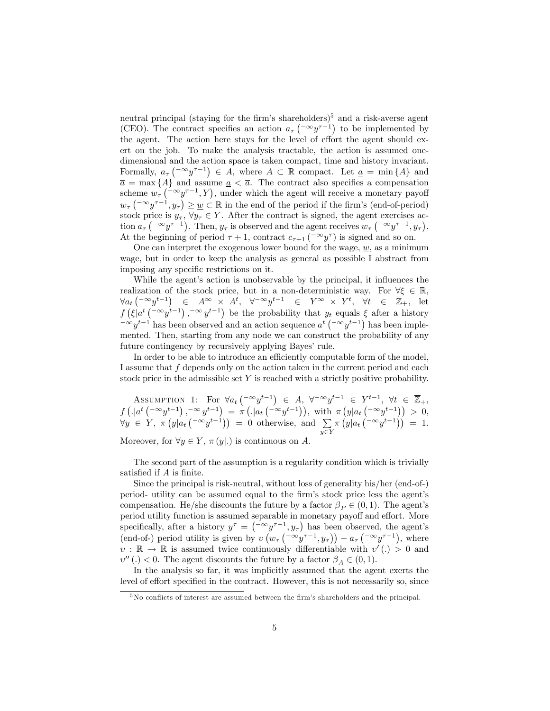neutral principal (staying for the firm's shareholders)<sup>5</sup> and a risk-averse agent (CEO). The contract specifies an action  $a_{\tau}$  ( $\sim y^{\tau-1}$ ) to be implemented by the agent. The action here stays for the level of effort the agent should exert on the job. To make the analysis tractable, the action is assumed onedimensional and the action space is taken compact, time and history invariant. Formally,  $a_{\tau}$  ( $\infty$  $y^{\tau-1}$ )  $\in$  A, where  $A \subset \mathbb{R}$  compact. Let  $\underline{a} = \min\{A\}$  and  $\overline{a} = \max\{A\}$  and assume  $\underline{a} < \overline{a}$ . The contract also specifies a compensation scheme  $w_{\tau}$  ( $\sim y^{\tau-1}$ , Y), under which the agent will receive a monetary payoff  $w_{\tau}\left(\begin{matrix} -\infty y^{\tau-1}, y_{\tau} \end{matrix}\right) \geq \underline{w} \subset \mathbb{R}$  in the end of the period if the firm's (end-of-period) stock price is  $y_{\tau}$ ,  $\forall y_{\tau} \in Y$ . After the contract is signed, the agent exercises action  $a_{\tau}$  ( $\infty$   $y^{\tau-1}$ ). Then,  $y_{\tau}$  is observed and the agent receives  $w_{\tau}$  ( $\infty$   $y^{\tau-1}$ ,  $y_{\tau}$ ). At the beginning of period  $\tau + 1$ , contract  $c_{\tau+1}$  ( $\infty y^{\tau}$ ) is signed and so on.

One can interpret the exogenous lower bound for the wage,  $w$ , as a minimum wage, but in order to keep the analysis as general as possible I abstract from imposing any specific restrictions on it.

While the agent's action is unobservable by the principal, it influences the realization of the stock price, but in a non-deterministic way. For  $\forall \xi \in \mathbb{R}$ ,  $\forall a_t \begin{pmatrix} -\infty y^{t-1} \end{pmatrix} \in A^{\infty} \times A^t$ ,  $\forall^{-\infty} y^{t-1} \in Y^{\infty} \times Y^t$ ,  $\forall t \in \overline{\mathbb{Z}}_+$ , let  $f\left(\xi\vert a^t\left({}^{-\infty}y^{t-1}\right),{}^{-\infty}y^{t-1}\right)$  be the probability that  $y_t$  equals  $\xi$  after a history  $-\infty y^{t-1}$  has been observed and an action sequence  $a^t$  ( $-\infty y^{t-1}$ ) has been implemented. Then, starting from any node we can construct the probability of any future contingency by recursively applying Bayes' rule.

In order to be able to introduce an efficiently computable form of the model, I assume that f depends only on the action taken in the current period and each stock price in the admissible set Y is reached with a strictly positive probability.

ASSUMPTION 1: For  $\forall a_t \begin{pmatrix} -\infty y^{t-1} \end{pmatrix} \in A$ ,  $\forall^{-\infty} y^{t-1} \in Y^{t-1}$ ,  $\forall t \in \overline{\mathbb{Z}}_+$ ,  $f\left( \cdot | a^t \left( \begin{matrix} -\infty y^{t-1} \end{matrix} \right), \begin{matrix} -\infty y^{t-1} \end{matrix} \right) = \pi \left( \cdot | a_t \left( \begin{matrix} -\infty y^{t-1} \end{matrix} \right) \right), \text{ with } \pi \left( y | a_t \left( \begin{matrix} -\infty y^{t-1} \end{matrix} \right) \right) > 0,$  $\forall y \in Y, \pi(y|a_t(\sqrt{-x}y^{t-1})) = 0$  otherwise, and  $\sum_{s}$  $y \in Y$  $\pi(y|a_t(\sqrt{-\infty}y^{t-1})) = 1.$ Moreover, for  $\forall y \in Y$ ,  $\pi(y|.)$  is continuous on A.

The second part of the assumption is a regularity condition which is trivially satisfied if  $A$  is finite.

Since the principal is risk-neutral, without loss of generality his/her (end-of-) period- utility can be assumed equal to the Örmís stock price less the agentís compensation. He/she discounts the future by a factor  $\beta_P \in (0,1)$ . The agent's period utility function is assumed separable in monetary payoff and effort. More specifically, after a history  $y^{\tau} = \begin{pmatrix} -\infty y^{\tau-1}, y_{\tau} \end{pmatrix}$  has been observed, the agent's (end-of-) period utility is given by  $v(w_\tau({-\infty}y^{\tau-1}, y_\tau)) - a_\tau({-\infty}y^{\tau-1})$ , where  $v : \mathbb{R} \to \mathbb{R}$  is assumed twice continuously differentiable with  $v'(.) > 0$  and  $v''(.) < 0$ . The agent discounts the future by a factor  $\beta_A \in (0,1)$ .

In the analysis so far, it was implicitly assumed that the agent exerts the level of effort specified in the contract. However, this is not necessarily so, since

 $5$ No conflicts of interest are assumed between the firm's shareholders and the principal.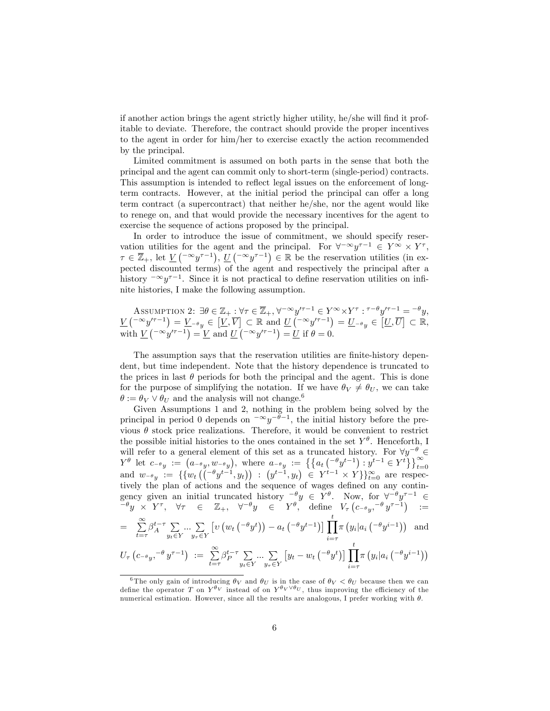if another action brings the agent strictly higher utility, he/she will find it profitable to deviate. Therefore, the contract should provide the proper incentives to the agent in order for him/her to exercise exactly the action recommended by the principal.

Limited commitment is assumed on both parts in the sense that both the principal and the agent can commit only to short-term (single-period) contracts. This assumption is intended to reflect legal issues on the enforcement of longterm contracts. However, at the initial period the principal can offer a long term contract (a supercontract) that neither he/she, nor the agent would like to renege on, and that would provide the necessary incentives for the agent to exercise the sequence of actions proposed by the principal.

In order to introduce the issue of commitment, we should specify reservation utilities for the agent and the principal. For  $\forall^{-\infty}y^{\tau-1} \in Y^{\infty} \times Y^{\tau}$ ,  $\tau \in \overline{\mathbb{Z}}_+$ , let  $\underline{V}$   $\left( \begin{matrix} -\infty y^{\tau-1} \end{matrix} \right)$ ,  $\underline{U}$   $\left( \begin{matrix} -\infty y^{\tau-1} \end{matrix} \right) \in \mathbb{R}$  be the reservation utilities (in expected discounted terms) of the agent and respectively the principal after a history  $-\infty y^{\tau-1}$ . Since it is not practical to define reservation utilities on infinite histories, I make the following assumption.

Assumption 2: 
$$
\exists \theta \in \mathbb{Z}_+ : \forall \tau \in \overline{\mathbb{Z}}_+, \forall^{-\infty} y'^{\tau-1} \in Y^{\infty} \times Y^{\tau} : \tau^{-\theta} y'^{\tau-1} = -^{\theta} y
$$
,  
\n
$$
\underline{V} \begin{pmatrix} -\infty y'^{\tau-1} \end{pmatrix} = \underline{V}_{-\theta} y \in \begin{bmatrix} \underline{V}, \overline{V} \end{bmatrix} \subset \mathbb{R} \text{ and } \underline{U} \begin{pmatrix} -\infty y'^{\tau-1} \end{pmatrix} = \underline{U}_{-\theta} y \in \begin{bmatrix} \underline{U}, \overline{U} \end{bmatrix} \subset \mathbb{R},
$$
\nwith  $\underline{V} \begin{pmatrix} -\infty y'^{\tau-1} \end{pmatrix} = \underline{V}$  and  $\underline{U} \begin{pmatrix} -\infty y'^{\tau-1} \end{pmatrix} = \underline{U}$  if  $\theta = 0$ .

The assumption says that the reservation utilities are finite-history dependent, but time independent. Note that the history dependence is truncated to the prices in last  $\theta$  periods for both the principal and the agent. This is done for the purpose of simplifying the notation. If we have  $\theta_V \neq \theta_U$ , we can take  $\theta := \theta_V \vee \theta_U$  and the analysis will not change.<sup>6</sup>

Given Assumptions 1 and 2, nothing in the problem being solved by the principal in period 0 depends on  $-\infty y^{-\theta-1}$ , the initial history before the previous  $\theta$  stock price realizations. Therefore, it would be convenient to restrict the possible initial histories to the ones contained in the set  $Y^{\theta}$ . Henceforth, I will refer to a general element of this set as a truncated history. For  $\forall y^{-\theta} \in$  $Y^{\theta}$  let  $c_{-\theta y} := (a_{-\theta y}, w_{-\theta y}),$  where  $a_{-\theta y} := \{ \{a_t \left( (-\theta y^{t-1}), y^{t-1} \in Y^t \} \}_{t=0}^{\infty} \}$  and  $w_{-\theta y} := \{ \{w_t \left( (-\theta y^{t-1}, y_t) \right) : (y^{t-1}, y_t) \in Y^{t-1} \times Y \} \}_{t=0}^{\infty}$  are respectively tively the plan of actions and the sequence of wages defined on any contingency given an initial truncated history  $\frac{\partial}{\partial y} \in Y$ . Now, for  $\forall^{-\theta} y^{\tau-1} \in$  $e^{-\theta}y \times Y^{\tau}$ ,  $\forall \tau \in \mathbb{Z}_+$ ,  $\forall^{-\theta}y \in Y^{\theta}$ , define  $V_{\tau}(c_{-\theta}y, -\theta y^{\tau-1})$  :=  $=$   $\sum_{n=1}^{\infty}$  $\sum_{t=\tau}^{\infty} \beta_A^{t-\tau} \sum_{y_t \in \mathcal{Y}}$  $y_t \in Y$  $\ldots$   $\sum$  $y_\tau \in Y$  $\left[v\left(w_t\left({}^{-\theta}y^t\right)\right)-a_t\left({}^{-\theta}y^{t-1}\right)\right]\prod^t$  $i = \tau$  $\pi(y_i|a_i\left(\begin{matrix}-\theta y^{i-1}\end{matrix}\right))$  and  $U_{\tau} \left( c_{-\theta} y, ^{-\theta} y^{\tau-1} \right) := \sum_{t=\tau}^{\infty} \beta_P^{t-\tau} \sum_{y_t \in \mathbb{S}}$  $y_t \in Y$  $\ldots$   $\sum$  $y_\tau \in Y$  $[y_t - w_t \left(^{-\theta} y^t\right)] \prod^t$  $i = \tau$  $\pi(y_i|a_i\left(\begin{matrix}-\theta y^{i-1}\end{matrix}\right))$ 

<sup>&</sup>lt;sup>6</sup>The only gain of introducing  $\theta_V$  and  $\theta_U$  is in the case of  $\theta_V < \theta_U$  because then we can define the operator T on  $Y^{\theta_V}$  instead of on  $Y^{\theta_V \vee \theta_U}$ , thus improving the efficiency of the numerical estimation. However, since all the results are analogous, I prefer working with  $\theta$ .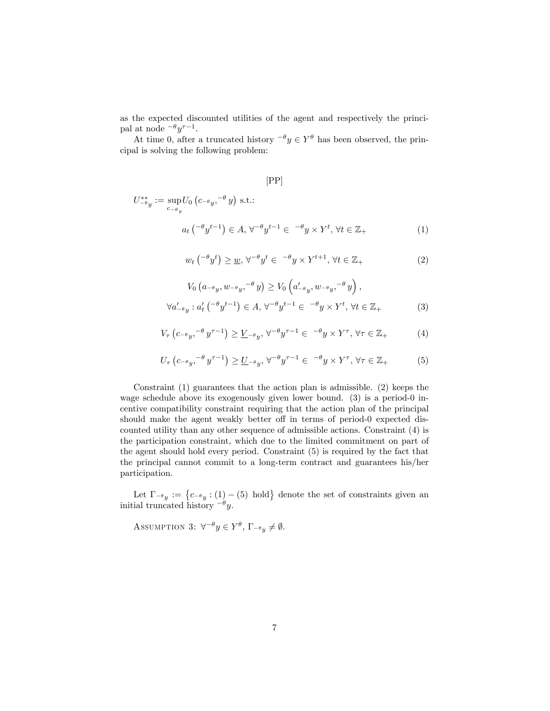as the expected discounted utilities of the agent and respectively the principal at node  $-\theta y^{\tau-1}$ .

At time 0, after a truncated history  $-\theta y \in Y^{\theta}$  has been observed, the principal is solving the following problem:

### [PP]

$$
U_{-\theta y}^{**} := \sup_{c_{-\theta y}} U_0 \left( c_{-\theta y}, -\theta y \right) \text{ s.t.:}
$$
  

$$
a_t \left( -\theta y^{t-1} \right) \in A, \forall^{-\theta} y^{t-1} \in \{-\theta y \times Y^t, \forall t \in \mathbb{Z}_+ \tag{1}
$$

$$
w_t\left(^{-\theta}y^t\right) \geq \underline{w}, \forall^{-\theta}y^t \in \mathcal{F}^{\theta}y \times Y^{t+1}, \forall t \in \mathbb{Z}_+ \tag{2}
$$

$$
V_0\left(a_{-\theta y}, w_{-\theta y}, \frac{\partial}{\partial y}\right) \geq V_0\left(a'_{-\theta y}, w_{-\theta y}, \frac{\partial}{\partial y}\right),
$$
  

$$
\forall a'_{-\theta y}: a'_t\left(\frac{\partial}{\partial y}t^{-1}\right) \in A, \forall^{-\theta} y^{t-1} \in \frac{\partial}{\partial y} \times Y^t, \forall t \in \mathbb{Z}_+ \tag{3}
$$

$$
V_{\tau}\left(c_{-\theta y},^{-\theta} y^{\tau-1}\right) \geq \underline{V}_{-\theta y}, \forall^{-\theta} y^{\tau-1} \in {}^{-\theta} y \times Y^{\tau}, \forall \tau \in \mathbb{Z}_{+}
$$
 (4)

$$
U_{\tau}\left(c_{-\theta y},^{-\theta} y^{\tau-1}\right) \geq \underline{U}_{-\theta y}, \forall^{-\theta} y^{\tau-1} \in \{-\theta y \times Y^{\tau}, \forall \tau \in \mathbb{Z}_{+}
$$
 (5)

Constraint (1) guarantees that the action plan is admissible. (2) keeps the wage schedule above its exogenously given lower bound. (3) is a period-0 incentive compatibility constraint requiring that the action plan of the principal should make the agent weakly better off in terms of period-0 expected discounted utility than any other sequence of admissible actions. Constraint (4) is the participation constraint, which due to the limited commitment on part of the agent should hold every period. Constraint (5) is required by the fact that the principal cannot commit to a long-term contract and guarantees his/her participation.

Let  $\Gamma_{-\theta y} := \{c_{-\theta y} : (1) - (5) \text{ hold}\}\$  denote the set of constraints given an initial truncated history  $-\theta y$ .

ASSUMPTION 3:  $\forall^{-\theta} y \in Y^{\theta}$ ,  $\Gamma_{-\theta} y \neq \emptyset$ .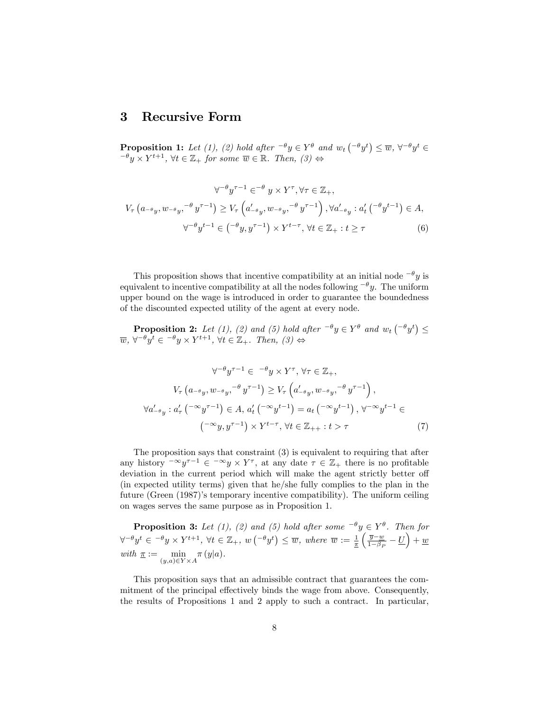### 3 Recursive Form

**Proposition 1:** Let (1), (2) hold after  $-\theta y \in Y^{\theta}$  and  $w_t$   $(-\theta y^t) \leq \overline{w}$ ,  $\forall^{-\theta} y^t \in$  $e^{-\theta} y \times Y^{t+1}$ ,  $\forall t \in \mathbb{Z}_+$  for some  $\overline{w} \in \mathbb{R}$ . Then,  $(\beta) \Leftrightarrow$ 

$$
\forall^{-\theta} y^{\tau-1} \in^{-\theta} y \times Y^{\tau}, \forall \tau \in \mathbb{Z}_{+},
$$
  

$$
V_{\tau} (a_{-\theta y}, w_{-\theta y}, \frac{\theta}{\tau})^{\tau-1}) \ge V_{\tau} \left( a'_{-\theta y}, w_{-\theta y}, \frac{\theta}{\tau})^{\tau-1} \right), \forall a'_{-\theta y} : a'_{t} \left( \frac{\theta}{\tau} y^{t-1} \right) \in A,
$$
  

$$
\forall^{-\theta} y^{t-1} \in (\frac{\theta}{y}, y^{\tau-1}) \times Y^{t-\tau}, \forall t \in \mathbb{Z}_{+} : t \ge \tau
$$
 (6)

This proposition shows that incentive compatibility at an initial node  $-\theta y$  is equivalent to incentive compatibility at all the nodes following  $-\theta y$ . The uniform upper bound on the wage is introduced in order to guarantee the boundedness of the discounted expected utility of the agent at every node.

**Proposition 2:** Let (1), (2) and (5) hold after  $-\theta y \in Y^{\theta}$  and  $w_t(-\theta y^t) \le$  $\overline{w}, \forall^{-\theta} y^t \in \neg^{\theta} y \times Y^{t+1}, \forall t \in \mathbb{Z}_+$ . Then,  $(3) \Leftrightarrow$ 

$$
\forall^{-\theta} y^{\tau-1} \in {}^{-\theta} y \times Y^{\tau}, \forall \tau \in \mathbb{Z}_{+},
$$

$$
V_{\tau} (a_{-\theta y}, w_{-\theta y}, {}^{-\theta} y^{\tau-1}) \ge V_{\tau} \left( a'_{-\theta y}, w_{-\theta y}, {}^{-\theta} y^{\tau-1} \right),
$$

$$
\forall a'_{-\theta y} : a'_{\tau} ({}^{-\infty} y^{\tau-1}) \in A, a'_{t} ({}^{-\infty} y^{t-1}) = a_{t} ({}^{-\infty} y^{t-1}), \forall^{-\infty} y^{t-1} \in
$$

$$
({}^{-\infty} y, y^{\tau-1}) \times Y^{t-\tau}, \forall t \in \mathbb{Z}_{++} : t > \tau
$$

$$
(7)
$$

The proposition says that constraint (3) is equivalent to requiring that after any history  $-\infty y^{\tau-1} \in -\infty y \times Y^{\tau}$ , at any date  $\tau \in \mathbb{Z}_+$  there is no profitable deviation in the current period which will make the agent strictly better off (in expected utility terms) given that he/she fully complies to the plan in the future (Green (1987)ís temporary incentive compatibility). The uniform ceiling on wages serves the same purpose as in Proposition 1.

**Proposition 3:** Let (1), (2) and (5) hold after some  $e^{-\theta}y \in Y^{\theta}$ . Then for  $\forall^{-\theta} y^t \in \neg^{\theta} y \times Y^{t+1}, \forall t \in \mathbb{Z}_+, w\left(\neg^{\theta} y^t\right) \leq \overline{w}, \text{ where } \overline{w} := \frac{1}{\underline{\pi}}$  $\sqrt{\frac{y-w}{}}$  $\frac{\overline{y} - w}{1 - \beta_P} - U$  + w with  $\underline{\pi} := \min$  $\min_{(y,a)\in Y\times A}\pi(y|a).$ 

This proposition says that an admissible contract that guarantees the commitment of the principal effectively binds the wage from above. Consequently, the results of Propositions 1 and 2 apply to such a contract. In particular,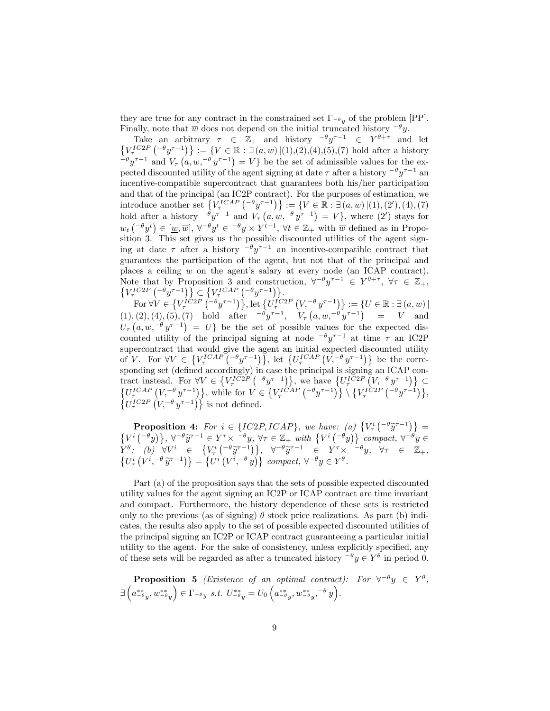they are true for any contract in the constrained set  $\Gamma_{-\theta_y}$  of the problem [PP]. Finally, note that  $\overline{w}$  does not depend on the initial truncated history  $-\theta y$ .

Take an arbitrary  $\tau \in \mathbb{Z}_+$  and history  $^{-\theta}y^{\tau-1} \in Y^{\theta+\tau}$  and let  $\{V^{IC2P}_{\tau}(-\theta y^{\tau-1})\} := \{V \in \mathbb{R} : \exists (a,w) | (1), (2), (4), (5), (7) \text{ hold after a history}\}$  $(-\theta y^{\tau-1})$  and  $V_{\tau}(a, w, -\theta y^{\tau-1}) = V$  be the set of admissible values for the expected discounted utility of the agent signing at date  $\tau$  after a history  $-\theta y^{\tau-1}$  and incentive-compatible supercontract that guarantees both his/her participation and that of the principal (an IC2P contract). For the purposes of estimation, we introduce another set  $\{V^{\text{ICAP}}_{\tau} \, (\begin{matrix} -\theta \, y^{\tau-1} \end{matrix})\} := \{V \in \mathbb{R} : \exists \, (a, w) \, | (1), (2'), (4), (7) \}$ hold after a history  $\int_{-\theta}^{\theta} y^{\tau-1}$  and  $V_{\tau} (a, w, \theta^{\theta} y^{\tau-1}) = V$ , where  $(2')$  stays for  $w_t\left({}^{-\theta}y^t\right) \in [\underline{w}, \overline{w}], \forall^{-\theta}y^t \in {}^{-\theta}y \times Y^{t+1}, \forall t \in \mathbb{Z}_+ \text{ with } \overline{w} \text{ defined as in Proposition } \mathbb{Z}$ sition 3. This set gives us the possible discounted utilities of the agent signing at date  $\tau$  after a history  $-\theta y^{\tau-1}$  an incentive-compatible contract that guarantees the participation of the agent, but not that of the principal and places a ceiling  $\overline{w}$  on the agent's salary at every node (an ICAP contract). Note that by Proposition 3 and construction,  $\forall^{-\theta} y^{\tau-1} \in Y^{\theta+\tau}$ Note that by Proposition 3 and construction,  $\forall^{-\theta} y^{\tau-1} \in Y^{\theta+\tau}$ ,  $\forall \tau \in \mathbb{Z}_+$ ,  $\{V_{\tau}^{IC2P} \left( -\theta y^{\tau-1} \right) \} \subset \{V_{\tau}^{ICAP} \left( -\theta y^{\tau-1} \right) \}$ .

For  $\forall V \in \left\{ V_{\tau}^{\hat{I} \hat{C} 2P} \left( \bar{\theta} y^{\tau-1} \right) \right\}, \text{let } \left\{ U_{\tau}^{\hat{I} C 2P} \left( V, \bar{\theta} y^{\tau-1} \right) \right\} := \left\{ U \in \mathbb{R} : \exists (a, w) \, | \right\}$  $(1), (2), (4), (5), (7)$  hold after  $e^{-\theta} y^{\tau-1}$ ,  $V_{\tau} (a, w, e^{-\theta} y^{\tau-1})$  = V and  $U_{\tau}\left(a, w, -\theta y^{\tau-1}\right) = U\}$  be the set of possible values for the expected discounted utility of the principal signing at node  $-\theta y^{\tau-1}$  at time  $\tau$  an IC2P supercontract that would give the agent an initial expected discounted utility of V. For  $\forall V \in \{V_{\tau}^{ICAP}(-\theta y^{\tau-1})\},\$ let  $\{U_{\tau}^{ICAP}(V, -\theta y^{\tau-1})\}\$ be the corresponding set (defined accordingly) in case the principal is signing an ICAP contract instead. For  $\forall V \in \{V_{\tau}^{IC2P}(-\theta y^{\tau-1})\}$ , we have  $\{U_{\tau}^{IC2P} (V, -\theta y^{\tau-1})\} \subset \{U_{\tau}^{ICAP} (V, -\theta y^{\tau-1})\}$ , while for  $V \in \{V_{\tau}^{ICAP} (-\theta y^{\tau-1})\} \setminus \{V_{\tau}^{IC2P} (-\theta y^{\tau-1})\}$ ,  $\left\{ U_{\tau}^{IC2P}(\mathbf{V},^{-\theta} y^{\tau-1}) \right\}$  is not defined.

**Proposition 4:** For  $i \in \{IC2P, ICAP\}$ , we have: (a)  $\{V^i_\tau\binom{-\theta\tilde{y}^{\tau-1}}{2}\} =$  $\{V^i\left({}^{\theta}y\right)\},\forall^{-\theta}\widetilde{y}^{\tau-1}\in Y^{\tau}\times {}^{-\theta}y,\forall\tau\in\mathbb{Z}_+ \text{ with } \{V^i\left({}^{\theta}y\right)\}\text{ compact},\forall^{-\theta}y\in\mathbb{Z}_+ \}$  $\overline{Y}^{\theta}$ ; (b)  $\forall V^{i} \in \{V_{\tau}^{i}(-^{\theta}\tilde{y}^{\tau-1})\}, \forall^{-\theta}\tilde{y}^{\tau-1} \in Y^{\tau} \times [-^{\theta}y, \forall \tau \in \mathbb{Z}_{+},$ <br>  $\{U_{\tau}^{i}(V^{i}, ^{-\theta}\tilde{y}^{\tau-1})\} = \{U^{i}(V^{i}, ^{-\theta}y)\}$  compact,  $\forall^{-\theta}y \in Y^{\theta}$ .

Part (a) of the proposition says that the sets of possible expected discounted utility values for the agent signing an IC2P or ICAP contract are time invariant and compact. Furthermore, the history dependence of these sets is restricted only to the previous (as of signing)  $\theta$  stock price realizations. As part (b) indicates, the results also apply to the set of possible expected discounted utilities of the principal signing an IC2P or ICAP contract guaranteeing a particular initial utility to the agent. For the sake of consistency, unless explicitly specified, any of these sets will be regarded as after a truncated history  $-\theta y \in Y^{\theta}$  in period 0.

**Proposition 5** (*Existence of an optimal contract*): For  $\forall^{-\theta}y \in Y^{\theta}$ ,  $\exists$  $\left(a_{-\theta y}^{**},w_{-\theta y}^{**}\right)$  $\Big) \in \Gamma_{-\theta} y \; s.t. \; U_{-\theta}^{**} = U_0 \left( a_{-\theta}^{**}, w_{-\theta}^{**}, -\theta y \right).$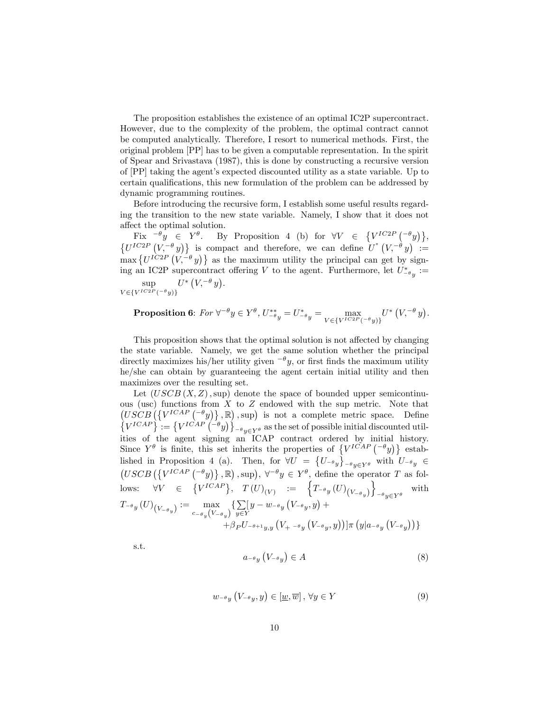The proposition establishes the existence of an optimal IC2P supercontract. However, due to the complexity of the problem, the optimal contract cannot be computed analytically. Therefore, I resort to numerical methods. First, the original problem [PP] has to be given a computable representation. In the spirit of Spear and Srivastava (1987), this is done by constructing a recursive version of [PP] taking the agent's expected discounted utility as a state variable. Up to certain qualifications, this new formulation of the problem can be addressed by dynamic programming routines.

Before introducing the recursive form, I establish some useful results regarding the transition to the new state variable. Namely, I show that it does not affect the optimal solution.

Fix  $^{-\theta}y \in Y^{\theta}$ . By Proposition 4 (b) for  $\forall V \in \{V^{IC2P}(\begin{matrix} -\theta y \end{matrix})\},$  $\{U^{IC2P}(V, -^{\theta} y)\}\$ is compact and therefore, we can define  $U^*(V, -^{\theta} y)$  =  $\max \{U^{IC2P} (V, -\theta y)\}\$ as the maximum utility the principal can get by signing an IC2P supercontract offering V to the agent. Furthermore, let  $U_{-\theta_y}^* :=$ sup  $V \in \{V^{IC2P}(-\theta y)\}$  $U^*$   $(V, ^{-\theta} y)$ .

**Proposition 6:** For 
$$
\forall^{-\theta} y \in Y^{\theta}
$$
,  $U_{-\theta}^{**} = U_{-\theta}^{*} = \max_{V \in \{V^{IC2P}(-\theta y)\}} U^{*}(V, -\theta y)$ .

This proposition shows that the optimal solution is not affected by changing the state variable. Namely, we get the same solution whether the principal directly maximizes his/her utility given  $-\theta y$ , or first finds the maximum utility he/she can obtain by guaranteeing the agent certain initial utility and then maximizes over the resulting set.

Let  $(USCB (X, Z), \text{sup})$  denote the space of bounded upper semicontinuous (usc) functions from  $X$  to  $Z$  endowed with the sup metric. Note that  $(USCB (\{V^{ICAP} (\lnot y)\}, \mathbb{R}), \text{sup})$  is not a complete metric space. Define  $\left\{V^{ICAP}\right\} = \left\{V^{ICAP}\left(\frac{-\theta y}{2}\right)\right\}_{-\theta y \in Y\theta}$  as the set of possible initial discounted utilities of the agent signing an ICAP contract ordered by initial history. Since  $Y^{\theta}$  is finite, this set inherits the properties of  $\{V^{ICAP}(\theta y)\}$  established in Proposition 4 (a). Then, for  $\forall U = \{U_{-\theta y}\}_{-\theta y \in Y^{\theta}}$  with  $U_{-\theta y} \in$  $(USCB \left({\{V^{ICAP} \left({}^{-\theta} y\right)\}\,\, ,\mathbb{R}}\right), \sup), \ \forall^{-\theta} y \in Y^{\theta}, \text{ define the operator } T \text{ as fol-}$ lows:  $\forall V \in \{V^{ICAP}\}, \quad T(U)_{(V)} \quad := \quad \left\{T_{-\theta}y(U)_{(V_{-\theta}y)}\right\}$  $\mathcal{L}$  $-\theta y \in Y^{\theta}$ with  $T_{-\theta}y\left(U\right)_{\left(V_{-\theta}y\right)}:=\max_{\substack{C\subset\mathbb{R}^d\setminus\{V\}}}$  $\max_{c_{-\theta_y}(V_{-\theta_y})} \{\sum_{y \in Y}$  $\sum_{y\in Y} [y-w_{-\theta}y(y_{-\theta}y, y) +$  $+ \beta_P U_{-\theta+1y,y} \left( V_{+} - \theta_y \left( V_{-\theta y} , y \right) \right) ] \pi \left( y \vert a_{-\theta y} \left( V_{-\theta y} \right) \right) \}$ 

s.t.

$$
a_{-\theta y} \left( V_{-\theta y} \right) \in A \tag{8}
$$

$$
w_{-\theta y} \left( V_{-\theta y}, y \right) \in [\underline{w}, \overline{w}], \forall y \in Y \tag{9}
$$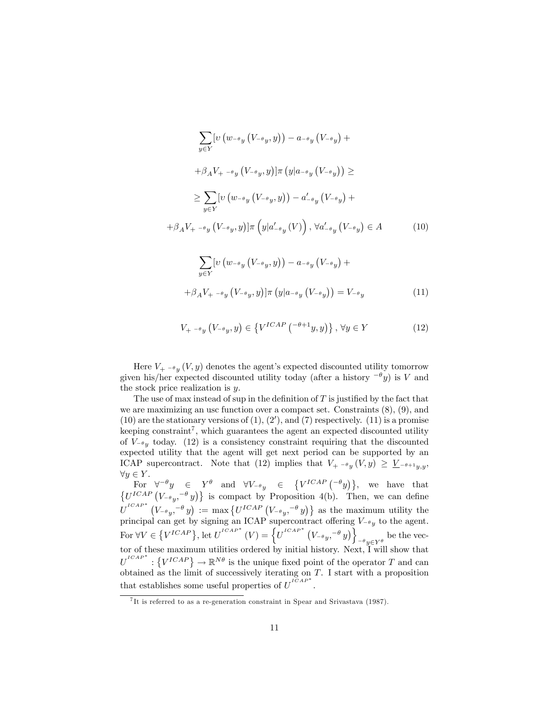$$
\sum_{y \in Y} \left[ v \left( w_{-\theta y} \left( V_{-\theta y}, y \right) \right) - a_{-\theta y} \left( V_{-\theta y} \right) + \right.
$$
  
+  $\beta_A V_+ - \beta_y \left( V_{-\theta y}, y \right) \left[ \pi \left( y \middle| a_{-\theta y} \left( V_{-\theta y} \right) \right) \right] \ge$   

$$
\ge \sum_{y \in Y} \left[ v \left( w_{-\theta y} \left( V_{-\theta y}, y \right) \right) - a'_{-\theta y} \left( V_{-\theta y} \right) + \right.
$$
  
+  $\beta_A V_+ - \beta_y \left( V_{-\theta y}, y \right) \left[ \pi \left( y \middle| a'_{-\theta y} \left( V \right) \right), \forall a'_{-\theta y} \left( V_{-\theta y} \right) \in A \right]$  (10)

$$
\sum_{y \in Y} \left[ v \left( w_{-\theta y} \left( V_{-\theta y}, y \right) \right) - a_{-\theta y} \left( V_{-\theta y} \right) + \right.
$$
  
+ 
$$
\beta_A V_+ - \theta_y \left( V_{-\theta y}, y \right) \left[ \pi \left( y \middle| a_{-\theta y} \left( V_{-\theta y} \right) \right) \right] = V_{-\theta y} \tag{11}
$$

$$
V_{+} - \theta_{y} \left( V_{-} \theta_{y}, y \right) \in \left\{ V^{ICAP} \left( \theta + 1_{} y, y \right) \right\}, \forall y \in Y \tag{12}
$$

Here  $V_{+}$   $\leftarrow$   $\theta_y$  (V, y) denotes the agent's expected discounted utility tomorrow given his/her expected discounted utility today (after a history  $-\theta y$ ) is V and the stock price realization is y.

The use of max instead of sup in the definition of  $T$  is justified by the fact that we are maximizing an usc function over a compact set. Constraints (8), (9), and  $(10)$  are the stationary versions of  $(1), (2')$ , and  $(7)$  respectively.  $(11)$  is a promise keeping constraint<sup>7</sup>, which guarantees the agent an expected discounted utility of  $V_{-\theta y}$  today. (12) is a consistency constraint requiring that the discounted expected utility that the agent will get next period can be supported by an ICAP supercontract. Note that (12) implies that  $V_{+}$   $\rightarrow$   $(y, y) \ge \underline{V}_{-}$  $\rightarrow$   $\rightarrow$   $\rightarrow$   $\rightarrow$  $\forall y \in Y$ .

For  $\forall^{-\theta}y \in Y^{\theta}$  and  $\forall V_{-\theta}y \in \{V^{ICAP}(-^{\theta}y)\}\$ , we have that  $\{U^{ICAP}(V_{-\theta y}, -\theta y)\}\;$  is compact by Proposition 4(b). Then, we can define  $U^{ICAP^*}(V_{-\theta y}, -\theta y) := \max \{ U^{ICAP}(V_{-\theta y}, -\theta y) \}$  as the maximum utility the principal can get by signing an ICAP supercontract offering  $V_{-\theta_y}$  to the agent. For  $\forall V \in \left\{V^{ICAP}\right\}$ , let  $U^{ICAP^*}(V) = \left\{U^{ICAP^*}(V_{-\theta y}, -\theta y)\right\}$  $e^{-\theta}y \in Y^{\theta}$ be the vector of these maximum utilities ordered by initial history. Next, I will show that  $U^{ICAP*} : \{V^{ICAP}\} \to \mathbb{R}^{N\theta}$  is the unique fixed point of the operator T and can obtained as the limit of successively iterating on  $T$ . I start with a proposition that establishes some useful properties of  $U^{ICAP*}$ .

<sup>&</sup>lt;sup>7</sup>It is referred to as a re-generation constraint in Spear and Srivastava (1987).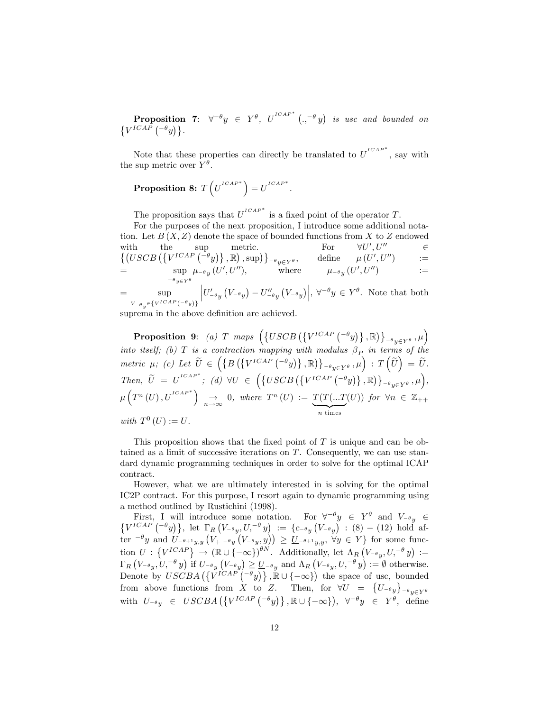**Proposition 7:**  $\forall^{-\theta}y \in Y^{\theta}$ ,  $U^{^{ICAP^*}}(.,^{-\theta}y)$  is usc and bounded on  $\{V^{ICAP}(-\theta y)\}.$ 

Note that these properties can directly be translated to  $U^{ICAP*}$ , say with the sup metric over  $Y^{\theta}$ .

# Proposition 8:  $T\left(U^{^{ICAP}}\right) = U^{^{ICAP}}$ .

The proposition says that  $U^{ICAP*}$  is a fixed point of the operator T.

For the purposes of the next proposition, I introduce some additional notation. Let  $B(X, Z)$  denote the space of bounded functions from X to Z endowed with the sup metric. For  $\forall U', U''$   $\in$  $\{ (USCB \left( \{ V^{ICAP} \left( \begin{matrix} -\theta & y \end{matrix} \right), \mathbb{R} \right), \sup \} \}_{-\theta & y \in Y^{\theta}}, \text{ define } \mu(U', U'') = \mathbb{R}$  $=$  sup  $-\theta$ <sub>y</sub> $\in Y^{\theta}$  $\mu_{-\theta}y\ (U', U''), \qquad\qquad \text{where} \qquad\qquad \mu_{-\theta}y\ (U', U'') \qquad\qquad :=$  $=$  sup  $V_{-\theta}$   $\in$  { $V^{ICAP}$  (- $\theta$   $y$ )}  $\left|U'_{-\theta y} (V_{-\theta y}) - U''_{-\theta y} (V_{-\theta y})\right|, \forall^{-\theta} y \in Y^{\theta}$ . Note that both

suprema in the above definition are achieved.

**Proposition 9:** (a) T maps  $(\lbrace USCB\left( \lbrace V^{ICAP} \left( \begin{matrix} -\theta y \end{matrix} \right) \rbrace , \mathbb{R} \rbrace \rbrace_{\{-\theta_{u} \in Y^{\theta}}, \mu})$  $e^{-\theta}y \in Y^{\theta}$ into itself; (b) T is a contraction mapping with modulus  $\beta_P$  in terms of the metric  $\mu$ ; (c) Let  $\widetilde{U} \in \left( \left\{ B \left( \left\{ V^{ICAP} \left( \begin{matrix} -\theta \\ y \end{matrix} \right) \right\}, \mathbb{R} \right) \right\} \right)$  $\bigg(\begin{array}{cc} \widetilde{U} \end{array}\bigg) = \widetilde{U} \cdot \overline{U} \begin{pmatrix} \widetilde{U} \end{pmatrix} = \widetilde{U} \cdot$  $\label{eq:Then} \textit{Then,} \ \ \widetilde{U} \ = \ U^{^{ICAP}} \ ; \ \ (d) \ \ \forall U \ \in \ \left( \left\{ USCB \left( \left\{ V^{ICAP} \left( \begin{matrix} - \theta_{y} \end{matrix} \right) \right\}, \mathbb{R} \right) \right\} \right.$  $e^{-\theta} y \in Y^{\theta}$ ,  $\mu$ ,  $\mu\left(T^{n}\left(U\right),U^{ICAP^*}\right) \underset{n\rightarrow\infty}{\rightarrow} 0, where T^{n}\left(U\right) := \underbrace{T(T(...T))}$  $\overbrace{n \text{ times}}$  $(U)$ ) for  $\forall n \in \mathbb{Z}_{++}$ with  $T^0(U) := U$ .

This proposition shows that the fixed point of  $T$  is unique and can be obtained as a limit of successive iterations on T. Consequently, we can use standard dynamic programming techniques in order to solve for the optimal ICAP contract.

However, what we are ultimately interested in is solving for the optimal IC2P contract. For this purpose, I resort again to dynamic programming using a method outlined by Rustichini (1998).

First, I will introduce some notation. For  $\forall^{-\theta}y \in Y^{\theta}$  and  $V_{-\theta} \in {\lbrace V^{ICAP}(-^{\theta}y) \rbrace}$ , let  $\Gamma_R(V_{-\theta}y, U, ^{-\theta}y) := {\lbrace c_{-\theta}y(V_{-\theta}y) : (8) - (12) \text{ hold af-} \rbrace}$ ter  $\theta$  and  $U_{-\theta+1y,y}(V_{+} - \theta_y(V_{-\theta_y}, y)) \geq U_{-\theta+1y,y}, \forall y \in Y$  for some function  $U: \{V^{ICAP}\}\rightarrow (\mathbb{R}\cup\{-\infty\})^{\theta N}$ . Additionally, let  $\Lambda_R (V_{-\theta y}, U, -\theta y) :=$  $\Gamma_R \left( V_{-\theta y}, U^{-\theta} y \right)$  if  $U_{-\theta y} \left( V_{-\theta y} \right) \ge U_{-\theta y}$  and  $\Lambda_R \left( V_{-\theta y}, U^{-\theta} y \right) := \emptyset$  otherwise. Denote by  $USCBA\left(\left\{V^{ICAP}(-\theta y)\right\}, \mathbb{R} \cup \{-\infty\}\right)$  the space of usc, bounded from above functions from X to Z. Then, for  $\forall U = \{U_{-\theta y}\}\$  $-\theta y \in Y^{\theta}$ with  $U_{-\theta y} \in \text{USCBA}(\lbrace V^{ICAP}(\lbrace -\theta y \rbrace), \mathbb{R} \cup \lbrace -\infty \rbrace), \ \forall^{-\theta} y \in Y^{\theta}, \text{ define }$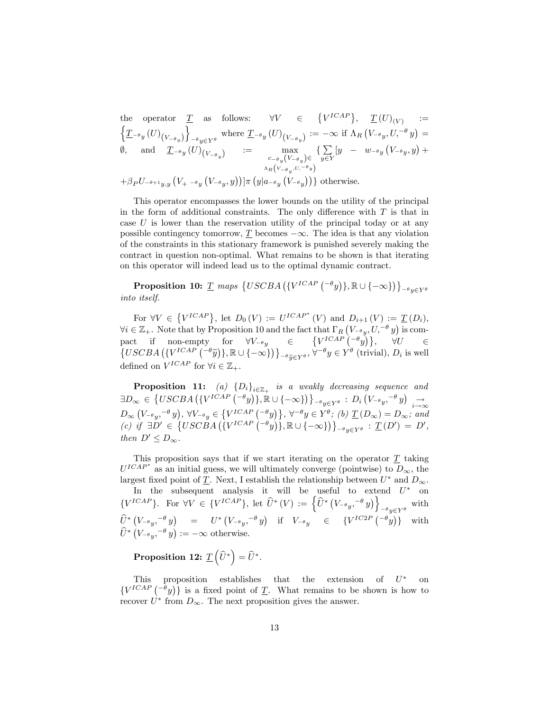the operator  $\underline{T}$  as follows:  $\forall V \in \{V^{ICAP}\}, \underline{T}(U)_{(V)}$  :=  $\Big\{\underline{T}_{\scriptscriptstyle{-\theta_y}}(U)_{\scriptscriptstyle \left(V_{\scriptscriptstyle{-\theta_y}}\right)}$  $\mathcal{L}$  $y \in Y^{\theta}$  where  $\underline{T}_{-\theta y}(U)_{(V_{-\theta y})} := -\infty$  if  $\Lambda_R (V_{-\theta y}, U, ^{-\theta} y) =$  $\emptyset$ , and  $\underline{T}_{-\theta y}(U)_{(V_{-\theta y})}$  := max  $c_{-\theta}y}(V_{-\theta}y)\in$  $\Lambda_R(V_{-\theta_y}, U, ^{-\theta_y})$  $\sum$  $\sum_{y\in Y} [y - w_{-\theta} y (V_{-\theta} y, y) +$  $+\beta_P U_{-\theta+1y,y}\left(V_{+} - \theta_y\left(V_{-\theta y},y\right)\right)]\pi\left(y|_{a-\theta y}\left(V_{-\theta y}\right)\right)\}$  otherwise.

This operator encompasses the lower bounds on the utility of the principal in the form of additional constraints. The only difference with  $T$  is that in case  $U$  is lower than the reservation utility of the principal today or at any possible contingency tomorrow,  $\underline{T}$  becomes  $-\infty$ . The idea is that any violation of the constraints in this stationary framework is punished severely making the contract in question non-optimal. What remains to be shown is that iterating on this operator will indeed lead us to the optimal dynamic contract.

Proposition 10:  $\underline{T}$  maps  $\{USCBA\left(\{V^{ICAP} \left( ^{-\theta}y\right)\}, \mathbb{R} \cup \{-\infty\}\right)\}\right)_{-\theta y \in Y^{\theta}}$ into itself.

For  $\forall V \in \{V^{ICAP}\},\$ let  $D_0(V) := U^{ICAP^*}(V)$  and  $D_{i+1}(V) := \underline{T}(D_i),$  $\forall i \in \mathbb{Z}_+$ . Note that by Proposition 10 and the fact that  $\Gamma_R (V_{-\theta y}, U, -\theta y)$  is compact if non-empty for  $\forall V_{-\theta_y} \in \{V^{ICAP}(-\theta_y)\}, \forall U \in \{USCBA \left(\{V^{ICAP}(-\theta_y)\}, \mathbb{R} \cup \{-\infty\}\right)\}_{-\theta_{\widetilde{y} \in Y^{\theta}}, \forall^{-\theta_y} \in Y^{\theta}$  (trivial),  $D_i$  is well defined on  $V^{ICAP}$  for  $\forall i \in \mathbb{Z}_{+}$ .

**Proposition 11:** (a)  $\{D_i\}_{i \in \mathbb{Z}_+}$  is a weakly decreasing sequence and  $\exists D_{\infty} \in \left\{USCBA\left(\left\{V^{ICAP} \left(-\theta y\right)\right\}, \mathbb{R} \cup \left\{-\infty\right\}\right)\right\}_{-\theta y \in Y^{\theta}} : D_{i}\left(V_{-\theta y}, -\theta y\right) \underset{i \to \infty}{\rightarrow}$  $D_{\infty} (V_{-\theta y}, -\theta y), \forall V_{-\theta y} \in \{V^{ICAP} (-\theta y)\}, \forall^{-\theta y} \in Y^{\theta}; (b) \underline{T}(D_{\infty}) = D_{\infty};$  and (c) if  $\exists D' \in \{USCBA \left( \{V^{ICAP} \left( -\theta y \right) \}, \mathbb{R} \cup \{-\infty\} \right) \}_{-\theta y \in Y^{\theta}} : \underline{T}(D') = D',$ then  $D' \leq D_{\infty}$ .

This proposition says that if we start iterating on the operator  $T$  taking  $U^{ICAP*}$  as an initial guess, we will ultimately converge (pointwise) to  $D_{\infty}$ , the largest fixed point of  $\underline{T}$ . Next, I establish the relationship between  $U^*$  and  $D_{\infty}$ .

In the subsequent analysis it will be useful to extend  $U^*$  on  $\{V^{ICAP}\}\$ . For  $\forall V \in \{V^{ICAP}\}\$ , let  $\hat{U}^*(V) := \left\{\hat{U}^*\left(V_{-\theta}v, -\theta v\right)\right\}_{-\theta}$  with  $-\theta y \in Y^{\theta}$  $\begin{array}{ccc} \widehat{U}^* \left( V_{-\theta}{}^{}, ,^{-\theta} y \right) & = & U^* \left( V_{-\theta}{}^{}, ,^{-\theta} y \right) & \text{if} & V_{-\theta}{}^{}, \end{array} \quad \in \quad \left\{ V^{IC2P} \left( {}^{-\theta} y \right) \right\} \quad \text{with}$  $\widehat{U}^* (V_{-\theta y}, -\theta y) := -\infty$  otherwise.

Proposition 12:  $\underline{T}\left(\widehat{U}^*\right) = \widehat{U}^*.$ 

This proposition establishes that the extension of  $U^*$  on  $\{V^{ICAP}(-^{\theta}y)\}\$ is a fixed point of T. What remains to be shown is how to recover  $U^*$  from  $D_{\infty}$ . The next proposition gives the answer.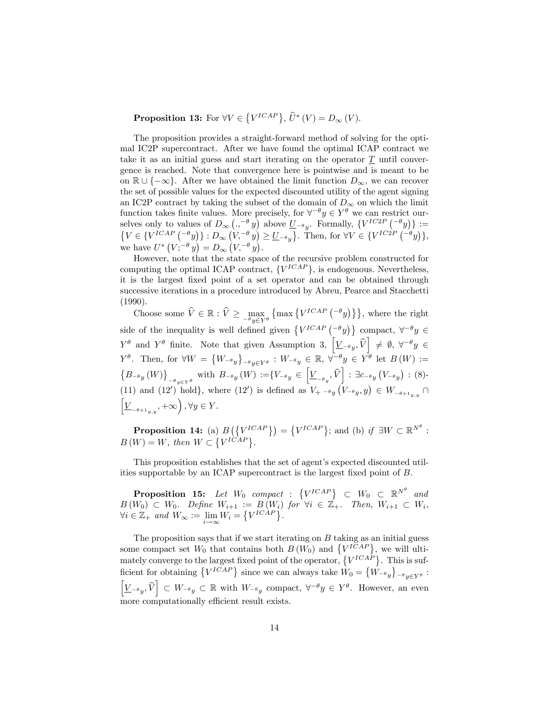**Proposition 13:** For  $\forall V \in \{V^{ICAP}\}, \hat{U}^*(V) = D_{\infty}(V)$ .

The proposition provides a straight-forward method of solving for the optimal IC2P supercontract. After we have found the optimal ICAP contract we take it as an initial guess and start iterating on the operator  $T$  until convergence is reached. Note that convergence here is pointwise and is meant to be on  $\mathbb{R} \cup \{-\infty\}$ . After we have obtained the limit function  $D_{\infty}$ , we can recover the set of possible values for the expected discounted utility of the agent signing an IC2P contract by taking the subset of the domain of  $D_{\infty}$  on which the limit function takes finite values. More precisely, for  $\forall^{-\theta} y \in Y^{\theta}$  we can restrict ourselves only to values of  $D_{\infty} \left( ., -\theta y \right)$  above  $\underline{U}_{-\theta y}$ . Formally,  $\{V^{IC2P} \left( -\theta y \right) \} := \{V \in \{V^{ICAP} \left( -\theta y \right) \} : D_{\infty} \left( V, -\theta y \right) > U_{-\theta} \}$ . Then, for  $\forall V \in \{V^{IC2P} \left( -\theta y \right) \}$ .  $V \in \{V^{ICAP} \binom{-\theta y}{y} : D_{\infty} \left( V, \frac{-\theta y}{y} \right) \geq \underline{U}_{-\theta y} \}.$  Then, for  $\forall V \in \{V^{IC2P} \binom{-\theta y}{y}, \}$ , we have  $U^* (V; ^{-\theta} y) = D_{\infty} (V, ^{-\theta} y)$ .

However, note that the state space of the recursive problem constructed for computing the optimal ICAP contract,  $\{V^{ICAP}\}\$ , is endogenous. Nevertheless, it is the largest Öxed point of a set operator and can be obtained through successive iterations in a procedure introduced by Abreu, Pearce and Stacchetti (1990).

Choose some  $V \in \mathbb{R} : V \ge \max_{-\theta y \in Y^{\theta}}$  $\{\max\{V^{ICAP}(-\theta y)\}\}\$ , where the right side of the inequality is well defined given  $\{V^{ICAP} \begin{pmatrix} -\theta y \\ 1 \end{pmatrix} \}$  compact,  $\forall^{-\theta} y \in$  $Y^{\theta}$  and  $Y^{\theta}$  finite. Note that given Assumption 3,  $\left[\underline{V}_{-\theta y}, \widehat{V}\right] \neq \emptyset$ ,  $\forall^{-\theta} y \in$  $Y^{\theta}$ . Then, for  $\forall W = \{W_{-\theta y}\}\$  $e^{-\theta}y \in Y^{\theta}$  :  $W_{-\theta}y \in \mathbb{R}, \forall^{-\theta}y \in Y^{\theta}$  let  $B(W) :=$  $\{B_{-\theta}y(W)\}$  $_{\theta_{y}\in Y^{\theta}}$  with  $B_{-\theta_{y}}(W) := \{V_{-\theta_{y}} \in \left[\underline{V}_{-\theta_{y}}, \widehat{V}\right] : \exists c_{-\theta_{y}}(V_{-\theta_{y}}) : (8)$ (11) and (12') hold, where (12') is defined as  $V_{+}$   $\rightarrow$   $_{y}(V_{-\theta_{y}}, y) \in W_{-\theta_{+1_{y,y}}}$  $\left[\underline{V}_{-\theta+1_{y,y}},+\infty\right), \forall y\in Y.$ 

**Proposition 14:** (a)  $B(\lbrace V^{ICAP} \rbrace) = \lbrace V^{ICAP} \rbrace$ ; and (b) if  $\exists W \subset \mathbb{R}^{N^{\theta}}$ :  $B(W) = W$ , then  $W \subset \{V^{I\tilde{C}AP}\}.$ 

This proposition establishes that the set of agent's expected discounted utilities supportable by an ICAP supercontract is the largest fixed point of  $B$ .

**Proposition 15:** Let  $W_0$  compact :  $\{V^{ICAP}\}\subset W_0 \subset \mathbb{R}^{N^{\theta}}$  and  $B(W_0) \subset W_0$ . Define  $W_{i+1} := B(W_i)$  for  $\forall i \in \mathbb{Z}_+$ . Then,  $W_{i+1} \subset W_i$ ,  $\forall i \in \mathbb{Z}_+ \text{ and } W_{\infty} := \lim_{i \to \infty} W_i = \{ V^{ICAP} \}.$ 

The proposition says that if we start iterating on  $B$  taking as an initial guess some compact set  $W_0$  that contains both  $B(W_0)$  and  $\{V^{ICAP}\}\$ , we will ultimately converge to the largest fixed point of the operator,  $\{V^{ICA\hat{P}}\}$ . This is sufficient for obtaining  $\{V^{ICAP}\}\$  since we can always take  $\hat{W}_0 = \{\hat{W}_{-\theta_y}\}\$  $e^{-\theta}y \in Y^{\theta}$ :  $\left[\underline{V}_{-\theta y}, \widehat{V}\right] \subset W_{-\theta y} \subset \mathbb{R}$  with  $W_{-\theta y}$  compact,  $\forall^{-\theta} y \in Y^{\theta}$ . However, an even more computationally efficient result exists.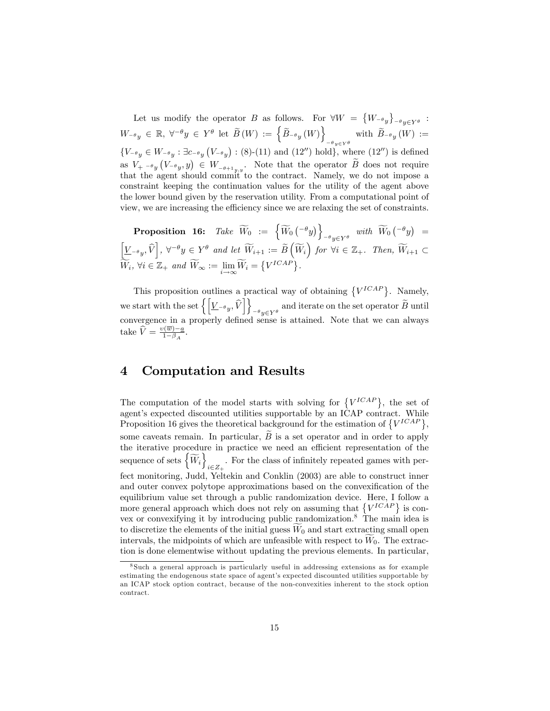Let us modify the operator B as follows. For  $\forall W = \{W_{-\theta_y}\}_{-\theta_y \in Y^{\theta}}$ :  $-\theta y \in Y^{\theta}$  $W_{-\theta y} \in \mathbb{R}, \ \forall^{-\theta} y \in Y^{\theta} \text{ let } \widetilde{B}(W) := \left\{ \widetilde{B}_{-\theta y}(W) \right\}$ with  $B_{-\theta y}(W) :=$  ${V_{-\theta}}_y \in W_{-\theta}$ :  $\exists c_{-\theta}$   $(V_{-\theta}$  $)$ : (8)-(11) and (12'') hold}, where (12'') is defined as  $V_{+}$   $\left\{\varepsilon, y\right\} \in W_{-\theta+1,y,y}$ . Note that the operator  $\widetilde{B}$  does not require that the agent should commit to the contract. Namely, we do not impose a constraint keeping the continuation values for the utility of the agent above the lower bound given by the reservation utility. From a computational point of view, we are increasing the efficiency since we are relaxing the set of constraints.

Proposition 16: Take  $\widetilde{W}_0 := \left\{ \widetilde{W}_0 \begin{pmatrix} -\theta_y \end{pmatrix} \right\}_{-\theta_y \in \mathcal{N} \theta}$  with  $\widetilde{W}_0 \begin{pmatrix} -\theta_y \end{pmatrix} =$  $\left[\underline{V}_{-\theta_y}, \widehat{V}\right], \ \forall^{-\theta} y \in Y^{\theta} \ \text{and let } \widetilde{W}_{i+1} := \widetilde{B}\left(\widetilde{W}_i\right) \text{ for } \forall i \in \mathbb{Z}_+.\ \text{ Then, } \widetilde{W}_{i+1} \subset$  $\widetilde{W}_i, \forall i \in \mathbb{Z}_+ \text{ and } \widetilde{W}_{\infty} := \lim_{i \to \infty} \widetilde{W}_i = \{V^{ICAP}\}.$ 

This proposition outlines a practical way of obtaining  $\{V^{ICAP}\}\$ . Namely, we start with the set  $\left\{ \left[ \underline{V}_{-\theta y}, \widehat{V} \right] \right\}$  $e^{-\theta}y \in Y^{\theta}$  and iterate on the set operator B until convergence in a properly defined sense is attained. Note that we can always take  $\widehat{V} = \frac{v(\overline{w}) - a}{1 - \beta_A}$  $\frac{\frac{n(u)-a}{1-\beta_A}}$ .

## 4 Computation and Results

The computation of the model starts with solving for  $\{V^{ICAP}\}\,$ , the set of agent's expected discounted utilities supportable by an ICAP contract. While Proposition 16 gives the theoretical background for the estimation of  $\{V^{ICAP}\},\$ some caveats remain. In particular,  $\tilde{B}$  is a set operator and in order to apply the iterative procedure in practice we need an efficient representation of the sequence of sets  $\left\{ \widetilde{W}_{i}\right\}$  $i \in \mathbb{Z}_{+}$ . For the class of infinitely repeated games with perfect monitoring, Judd, Yeltekin and Conklin (2003) are able to construct inner and outer convex polytope approximations based on the convexification of the equilibrium value set through a public randomization device. Here, I follow a more general approach which does not rely on assuming that  $\{V^{ICAP}\}\$ is convex or convexifying it by introducing public randomization.<sup>8</sup> The main idea is to discretize the elements of the initial guess  $W_0$  and start extracting small open intervals, the midpoints of which are unfeasible with respect to  $W_0$ . The extraction is done elementwise without updating the previous elements. In particular,

<sup>8</sup> Such a general approach is particularly useful in addressing extensions as for example estimating the endogenous state space of agent's expected discounted utilities supportable by an ICAP stock option contract, because of the non-convexities inherent to the stock option contract.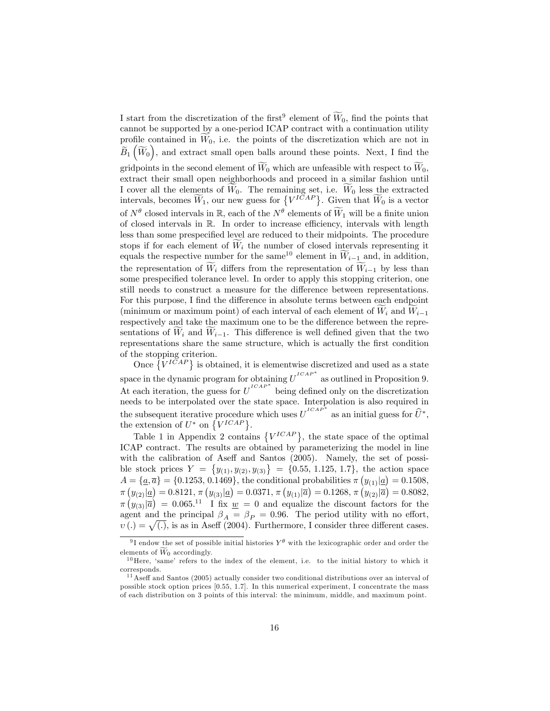I start from the discretization of the first<sup>9</sup> element of  $\tilde{W}_0$ , find the points that cannot be supported by a one-period ICAP contract with a continuation utility profile contained in  $W_0$ , i.e. the points of the discretization which are not in  $\widetilde{B}_1(\widetilde{W}_0)$ , and extract small open balls around these points. Next, I find the gridpoints in the second element of  $\widetilde{W}_0$  which are unfeasible with respect to  $\widetilde{W}_0$ , extract their small open neighborhoods and proceed in a similar fashion until I cover all the elements of  $W_0$ . The remaining set, i.e.  $W_0$  less the extracted intervals, becomes  $\widetilde{W}_1$ , our new guess for  $\{V^{I\bar{C}AP}\}\)$ . Given that  $\widetilde{W}_0$  is a vector of  $N^{\theta}$  closed intervals in  $\mathbb{R}$ , each of the  $N^{\theta}$  elements of  $\widetilde{W}_1$  will be a finite union of closed intervals in  $\mathbb R$ . In order to increase efficiency, intervals with length less than some prespecified level are reduced to their midpoints. The procedure stops if for each element of  $W_i$  the number of closed intervals representing it equals the respective number for the same<sup>10</sup> element in  $\widetilde{W}_{i-1}$  and, in addition, the representation of  $W_i$  differs from the representation of  $W_{i-1}$  by less than some prespecified tolerance level. In order to apply this stopping criterion, one still needs to construct a measure for the difference between representations. For this purpose, I find the difference in absolute terms between each endpoint (minimum or maximum point) of each interval of each element of  $W_i$  and  $W_{i-1}$ respectively and take the maximum one to be the difference between the representations of  $W_i$  and  $W_{i-1}$ . This difference is well defined given that the two representations share the same structure, which is actually the first condition of the stopping criterion.

Once  $\{V^{ICAP}\}\$ is obtained, it is elementwise discretized and used as a state space in the dynamic program for obtaining  $U^{CAP*}$  as outlined in Proposition 9. At each iteration, the guess for  $U^{ICAP*}$  being defined only on the discretization needs to be interpolated over the state space. Interpolation is also required in the subsequent iterative procedure which uses  $U^{ICAP*}$  as an initial guess for  $\widehat{U}^*$ , the extension of  $U^*$  on  $\{V^{ICAP}\}.$ 

Table 1 in Appendix 2 contains  $\{V^{ICAP}\}\$ , the state space of the optimal ICAP contract. The results are obtained by parameterizing the model in line with the calibration of Aseff and Santos  $(2005)$ . Namely, the set of possible stock prices  $Y = \{y_{(1)}, y_{(2)}, y_{(3)}\} = \{0.55, 1.125, 1.7\}$ , the action space  $A = {\underline{a}, \overline{a}} = {0.1253, 0.1469}$ , the conditional probabilities  $\pi (y_{(1)} | \underline{a}) = 0.1508$ ,  $\pi(y_{(2)}|\underline{a}) = 0.8121, \pi(y_{(3)}|\underline{a}) = 0.0371, \pi(y_{(1)}|\overline{a}) = 0.1268, \pi(y_{(2)}|\overline{a}) = 0.8082,$  $\pi(y_{(3)}|\overline{a}) = 0.065^{11}$  I fix  $\underline{w} = 0$  and equalize the discount factors for the agent and the principal  $\beta_A = \beta_P = 0.96$ . The period utility with no effort,  $v(.) = \sqrt{(.)}$ , is as in Aseff (2004). Furthermore, I consider three different cases.

<sup>&</sup>lt;sup>9</sup>I endow the set of possible initial histories  $Y^{\theta}$  with the lexicographic order and order the elements of  $\widetilde{W}_0$  accordingly.

 $10$  Here, 'same' refers to the index of the element, i.e. to the initial history to which it corresponds.

 $11$  Aseff and Santos (2005) actually consider two conditional distributions over an interval of possible stock option prices [0.55, 1.7]. In this numerical experiment, I concentrate the mass of each distribution on 3 points of this interval: the minimum, middle, and maximum point.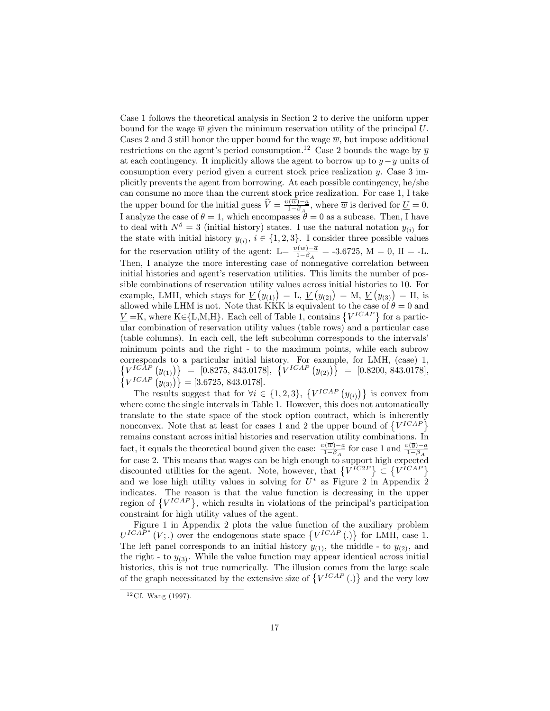Case 1 follows the theoretical analysis in Section 2 to derive the uniform upper bound for the wage  $\overline{w}$  given the minimum reservation utility of the principal  $\underline{U}$ . Cases 2 and 3 still honor the upper bound for the wage  $\overline{w}$ , but impose additional restrictions on the agent's period consumption.<sup>12</sup> Case 2 bounds the wage by  $\bar{y}$ at each contingency. It implicitly allows the agent to borrow up to  $\overline{y}-y$  units of consumption every period given a current stock price realization y. Case 3 implicitly prevents the agent from borrowing. At each possible contingency, he/she can consume no more than the current stock price realization. For case 1, I take the upper bound for the initial guess  $\hat{V} = \frac{v(\overline{w}) - a}{1 - \beta_A}$  $\frac{\partial (w)-a}{\partial 1-\beta}$ , where  $\overline{w}$  is derived for  $\underline{U}=0$ . I analyze the case of  $\theta = 1$ , which encompasses  $\theta = 0$  as a subcase. Then, I have to deal with  $N^{\theta} = 3$  (initial history) states. I use the natural notation  $y_{(i)}$  for the state with initial history  $y_{(i)}$ ,  $i \in \{1, 2, 3\}$ . I consider three possible values for the reservation utility of the agent:  $L = \frac{v(w) - \overline{a}}{1 - \beta_A} = -3.6725$ ,  $M = 0$ ,  $H = -L$ . Then, I analyze the more interesting case of nonnegative correlation between initial histories and agent's reservation utilities. This limits the number of possible combinations of reservation utility values across initial histories to 10. For example, LMH, which stays for  $\underline{V}(y_{(1)}) = L$ ,  $\underline{V}(y_{(2)}) = M$ ,  $\underline{V}(y_{(3)}) = H$ , is allowed while LHM is not. Note that KKK is equivalent to the case of  $\theta = 0$  and  $\underline{V} = K$ , where  $K \in \{L, M, H\}$ . Each cell of Table 1, contains  $\{V^{ICAP}\}$  for a particular combination of reservation utility values (table rows) and a particular case (table columns). In each cell, the left subcolumn corresponds to the intervalsí minimum points and the right - to the maximum points, while each subrow corresponds to a particular initial history. For example, for LMH, (case) 1,  $\{V^{ICAP}(y_{(1)})\} = [0.8275, 843.0178], \{V^{ICAP}(y_{(2)})\} = [0.8200, 843.0178],$  $\left\{V^{ICAP}\left(y_{(3)}\right)\right\} = [3.6725, 843.0178].$ 

The results suggest that for  $\forall i \in \{1, 2, 3\}, \{V^{ICAP}(y_{(i)})\}$  is convex from where come the single intervals in Table 1. However, this does not automatically translate to the state space of the stock option contract, which is inherently nonconvex. Note that at least for cases 1 and 2 the upper bound of  $\{V^{ICAP}\}$ remains constant across initial histories and reservation utility combinations. In fact, it equals the theoretical bound given the case:  $\frac{v(\overline{w}) - a}{1 - \beta_A}$  for case 1 and  $\frac{v(\overline{y}) - a}{1 - \beta_A}$ for case 2. This means that wages can be high enough to support high expected discounted utilities for the agent. Note, however, that  $\{V^{IC2P}\}\subset \{V^{ICAP}\}$ and we lose high utility values in solving for  $U^*$  as Figure 2 in Appendix 2 indicates. The reason is that the value function is decreasing in the upper region of  $\{V^{ICAP}\}\$ , which results in violations of the principal's participation constraint for high utility values of the agent.

Figure 1 in Appendix 2 plots the value function of the auxiliary problem  $U^{ICAP^*}(V;.)$  over the endogenous state space  $\{V^{ICAP}(.)\}$  for LMH, case 1. The left panel corresponds to an initial history  $y_{(1)}$ , the middle - to  $y_{(2)}$ , and the right - to  $y_{(3)}$ . While the value function may appear identical across initial histories, this is not true numerically. The illusion comes from the large scale of the graph necessitated by the extensive size of  $\{V^{ICAP}(.)\}$  and the very low

 $12 \text{Cf. Wang} (1997).$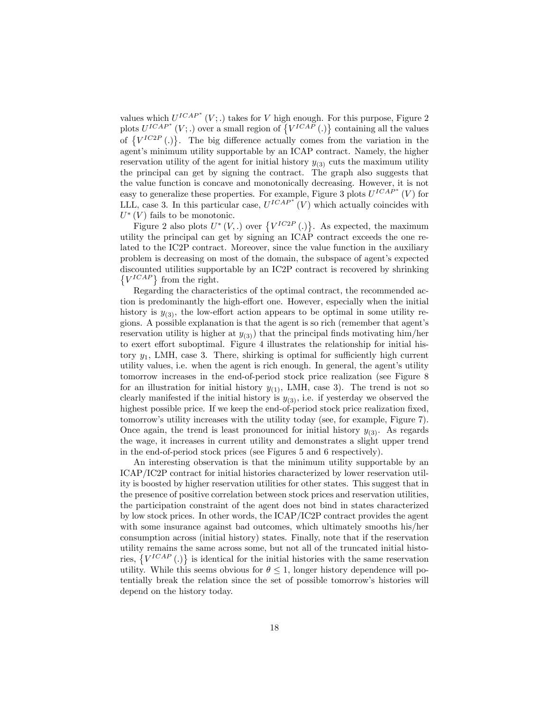values which  $U^{ICAP^*}(V;.)$  takes for V high enough. For this purpose, Figure 2 plots  $U^{ICAP*}(V;.)$  over a small region of  $\{V^{ICAP}(.)\}$  containing all the values of  $\{V^{IC2P}(\cdot)\}\$ . The big difference actually comes from the variation in the agent's minimum utility supportable by an ICAP contract. Namely, the higher reservation utility of the agent for initial history  $y_{(3)}$  cuts the maximum utility the principal can get by signing the contract. The graph also suggests that the value function is concave and monotonically decreasing. However, it is not easy to generalize these properties. For example, Figure 3 plots  $U^{ICAP*}(V)$  for LLL, case 3. In this particular case,  $U^{ICAP*}(V)$  which actually coincides with  $U^*(V)$  fails to be monotonic.

Figure 2 also plots  $U^*(V,.)$  over  $\{V^{IC2P}(.)\}$ . As expected, the maximum utility the principal can get by signing an ICAP contract exceeds the one related to the IC2P contract. Moreover, since the value function in the auxiliary problem is decreasing on most of the domain, the subspace of agent's expected discounted utilities supportable by an IC2P contract is recovered by shrinking  $\{V^{ICAP}\}\$  from the right.

Regarding the characteristics of the optimal contract, the recommended action is predominantly the high-effort one. However, especially when the initial history is  $y_{(3)}$ , the low-effort action appears to be optimal in some utility regions. A possible explanation is that the agent is so rich (remember that agentís reservation utility is higher at  $y_{(3)}$  that the principal finds motivating him/her to exert effort suboptimal. Figure 4 illustrates the relationship for initial history  $y_1$ , LMH, case 3. There, shirking is optimal for sufficiently high current utility values, i.e. when the agent is rich enough. In general, the agent's utility tomorrow increases in the end-of-period stock price realization (see Figure 8 for an illustration for initial history  $y_{(1)}$ , LMH, case 3). The trend is not so clearly manifested if the initial history is  $y_{(3)}$ , i.e. if yesterday we observed the highest possible price. If we keep the end-of-period stock price realization fixed, tomorrow's utility increases with the utility today (see, for example, Figure 7). Once again, the trend is least pronounced for initial history  $y_{(3)}$ . As regards the wage, it increases in current utility and demonstrates a slight upper trend in the end-of-period stock prices (see Figures 5 and 6 respectively).

An interesting observation is that the minimum utility supportable by an ICAP/IC2P contract for initial histories characterized by lower reservation utility is boosted by higher reservation utilities for other states. This suggest that in the presence of positive correlation between stock prices and reservation utilities, the participation constraint of the agent does not bind in states characterized by low stock prices. In other words, the ICAP/IC2P contract provides the agent with some insurance against bad outcomes, which ultimately smooths his/her consumption across (initial history) states. Finally, note that if the reservation utility remains the same across some, but not all of the truncated initial histories,  $\{V^{ICAP}(.)\}$  is identical for the initial histories with the same reservation utility. While this seems obvious for  $\theta \leq 1$ , longer history dependence will potentially break the relation since the set of possible tomorrowís histories will depend on the history today.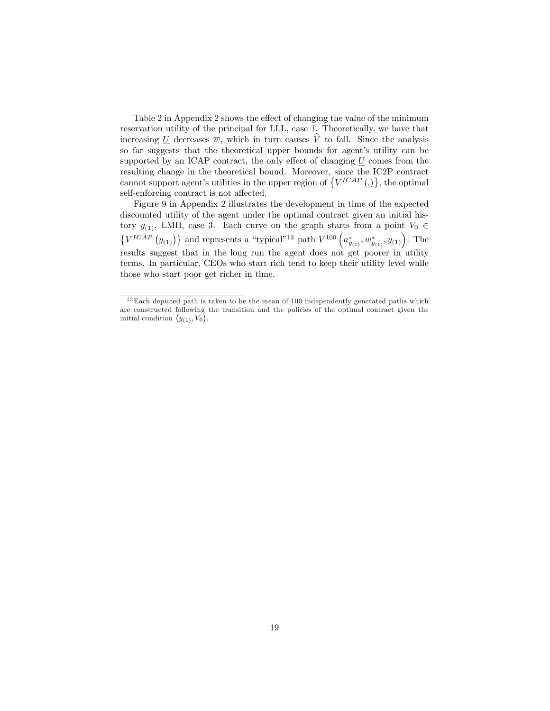Table 2 in Appendix 2 shows the effect of changing the value of the minimum reservation utility of the principal for LLL, case 1. Theoretically, we have that increasing U decreases  $\overline{w}$ , which in turn causes  $\widehat{V}$  to fall. Since the analysis so far suggests that the theoretical upper bounds for agent's utility can be supported by an ICAP contract, the only effect of changing  $U$  comes from the resulting change in the theoretical bound. Moreover, since the IC2P contract cannot support agent's utilities in the upper region of  $\{V^{ICAP}(.)\}$ , the optimal self-enforcing contract is not affected.

Figure 9 in Appendix 2 illustrates the development in time of the expected discounted utility of the agent under the optimal contract given an initial history  $y_{(1)}$ , LMH, case 3. Each curve on the graph starts from a point  $V_0 \in$  $\{V^{ICAP}(y_{(1)})\}$  and represents a "typical"<sup>13</sup> path  $V^{100}(a_{y_{(1)}}^*, w_{y_{(1)}}^*, y_{(1)})$ . The results suggest that in the long run the agent does not get poorer in utility terms. In particular, CEOs who start rich tend to keep their utility level while those who start poor get richer in time.

 $13$  Each depicted path is taken to be the mean of 100 independently generated paths which are constructed following the transition and the policies of the optimal contract given the initial condition  $(y_{(1)}, V_0)$ .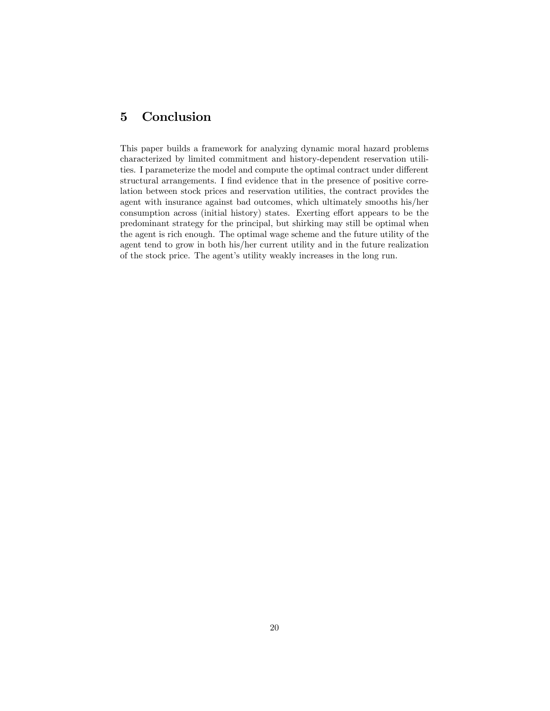## 5 Conclusion

This paper builds a framework for analyzing dynamic moral hazard problems characterized by limited commitment and history-dependent reservation utilities. I parameterize the model and compute the optimal contract under different structural arrangements. I find evidence that in the presence of positive correlation between stock prices and reservation utilities, the contract provides the agent with insurance against bad outcomes, which ultimately smooths his/her consumption across (initial history) states. Exerting effort appears to be the predominant strategy for the principal, but shirking may still be optimal when the agent is rich enough. The optimal wage scheme and the future utility of the agent tend to grow in both his/her current utility and in the future realization of the stock price. The agent's utility weakly increases in the long run.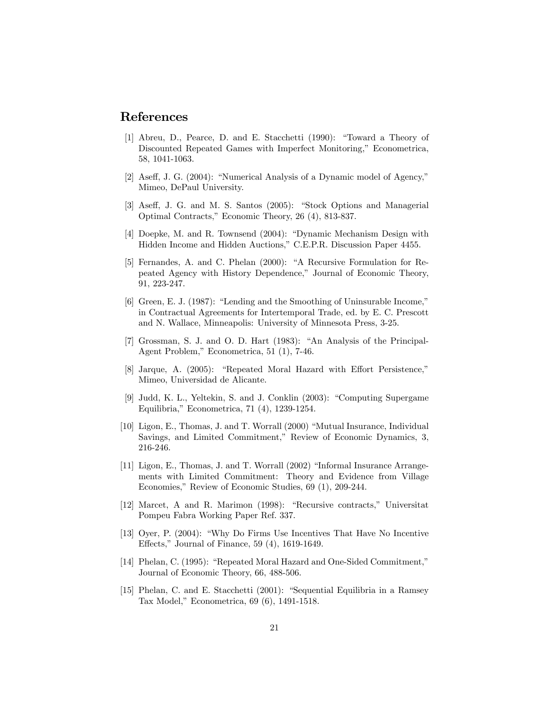### References

- [1] Abreu, D., Pearce, D. and E. Stacchetti (1990): "Toward a Theory of Discounted Repeated Games with Imperfect Monitoring," Econometrica, 58, 1041-1063.
- [2] Aseff, J. G. (2004): "Numerical Analysis of a Dynamic model of Agency," Mimeo, DePaul University.
- [3] Aseff, J. G. and M. S. Santos (2005): "Stock Options and Managerial Optimal Contracts," Economic Theory, 26 (4), 813-837.
- [4] Doepke, M. and R. Townsend  $(2004)$ : "Dynamic Mechanism Design with Hidden Income and Hidden Auctions," C.E.P.R. Discussion Paper 4455.
- [5] Fernandes, A. and C. Phelan (2000): "A Recursive Formulation for Repeated Agency with History Dependence," Journal of Economic Theory, 91, 223-247.
- $[6]$  Green, E. J. (1987): "Lending and the Smoothing of Uninsurable Income," in Contractual Agreements for Intertemporal Trade, ed. by E. C. Prescott and N. Wallace, Minneapolis: University of Minnesota Press, 3-25.
- [7] Grossman, S. J. and O. D. Hart (1983): "An Analysis of the Principal-Agent Problem," Econometrica, 51 (1), 7-46.
- [8] Jarque, A. (2005): "Repeated Moral Hazard with Effort Persistence," Mimeo, Universidad de Alicante.
- [9] Judd, K. L., Yeltekin, S. and J. Conklin  $(2003)$ : "Computing Supergame Equilibria," Econometrica,  $71$   $(4)$ , 1239-1254.
- $[10]$  Ligon, E., Thomas, J. and T. Worrall  $(2000)$  "Mutual Insurance, Individual Savings, and Limited Commitment," Review of Economic Dynamics, 3, 216-246.
- $[11]$  Ligon, E., Thomas, J. and T. Worrall  $(2002)$  "Informal Insurance Arrangements with Limited Commitment: Theory and Evidence from Village Economies," Review of Economic Studies, 69 (1), 209-244.
- $[12]$  Marcet, A and R. Marimon  $(1998)$ : "Recursive contracts," Universitat Pompeu Fabra Working Paper Ref. 337.
- [13] Oyer, P. (2004): "Why Do Firms Use Incentives That Have No Incentive Effects," Journal of Finance,  $59(4)$ ,  $1619-1649$ .
- [14] Phelan, C. (1995): "Repeated Moral Hazard and One-Sided Commitment," Journal of Economic Theory, 66, 488-506.
- [15] Phelan, C. and E. Stacchetti  $(2001)$ : "Sequential Equilibria in a Ramsey Tax Model," Econometrica, 69 (6), 1491-1518.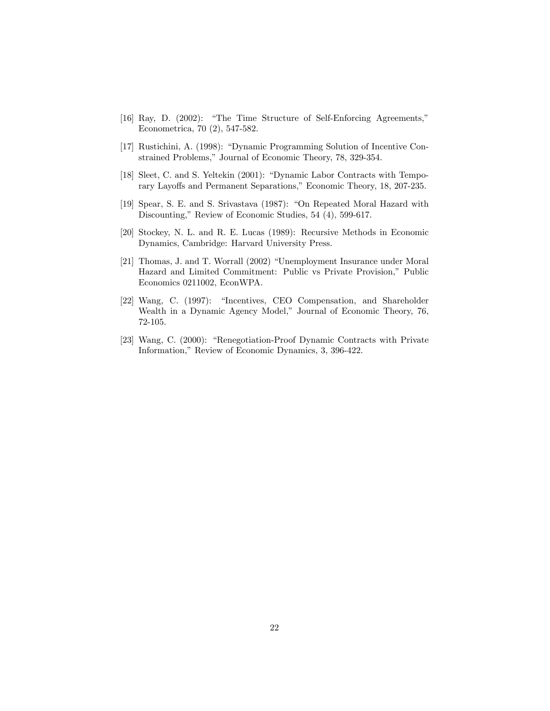- [16] Ray, D. (2002): "The Time Structure of Self-Enforcing Agreements," Econometrica, 70 (2), 547-582.
- [17] Rustichini, A. (1998): "Dynamic Programming Solution of Incentive Constrained Problems," Journal of Economic Theory, 78, 329-354.
- [18] Sleet, C. and S. Yeltekin (2001): "Dynamic Labor Contracts with Temporary Layoffs and Permanent Separations," Economic Theory, 18, 207-235.
- [19] Spear, S. E. and S. Srivastava (1987): "On Repeated Moral Hazard with Discounting," Review of Economic Studies, 54 (4), 599-617.
- [20] Stockey, N. L. and R. E. Lucas (1989): Recursive Methods in Economic Dynamics, Cambridge: Harvard University Press.
- [21] Thomas, J. and T. Worrall (2002) "Unemployment Insurance under Moral Hazard and Limited Commitment: Public vs Private Provision," Public Economics 0211002, EconWPA.
- [22] Wang, C. (1997): "Incentives, CEO Compensation, and Shareholder Wealth in a Dynamic Agency Model," Journal of Economic Theory, 76, 72-105.
- [23] Wang, C. (2000): "Renegotiation-Proof Dynamic Contracts with Private Information," Review of Economic Dynamics, 3, 396-422.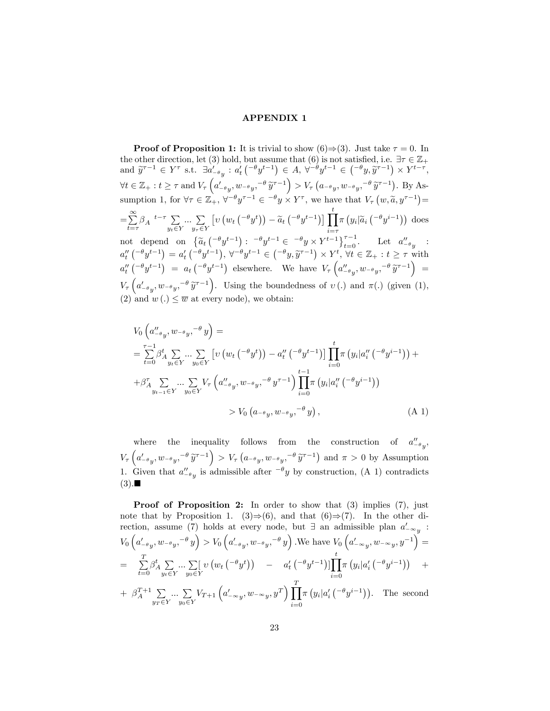### APPENDIX 1

**Proof of Proposition 1:** It is trivial to show (6) $\Rightarrow$  (3). Just take  $\tau = 0$ . In the other direction, let (3) hold, but assume that (6) is not satisfied, i.e.  $\exists \tau \in \mathbb{Z}_+$ and  $\widetilde{y}^{\tau-1} \in Y^{\tau}$  s.t.  $\exists a'_{-\theta y} : a'_{t} \left( \{-\theta y^{t-1} \right) \in A, \ \forall \{-\theta y^{t-1} \in \left( \{-\theta y, \widetilde{y}^{\tau-1} \right) \times Y^{t-\tau}, \exists a'_{t} \in A, \exists a'_{t} \in A \right)$  $\forall t \in \mathbb{Z}_+ : t \geq \tau \text{ and } V_\tau \left( a'_{-\theta y}, w_{-\theta y},^{-\theta} \tilde{y}^{\tau-1} \right) > V_\tau \left( a_{-\theta y}, w_{-\theta y},^{-\theta} \tilde{y}^{\tau-1} \right)$ . By Assumption 1, for  $\forall \tau \in \mathbb{Z}_+^+, \forall^{-\theta} y^{\tau-1} \in \neg \theta y \times Y^{\tau}$ , we have that  $V_{\tau}(w, \widetilde{a}, y^{\tau-1}) =$  $=$  $\sum^{\infty}$  $\sum_{t=\tau}^{\infty} \beta_A t^{-\tau} \sum_{y_t \in Y} ... \sum_{y_{\tau} \in Y} \left[ \nu \left( w_t \left( \{-theta} y^t \right) \right) - \widetilde{a}_t \left( \{-theta} y^{t-1} \right) \right] \prod_{i=\tau}^t \pi \left( y_i | \widetilde{a}_i \left( \{-theta} y^{i-1} \right) \right)$  does  $\begin{array}{lll}\n t=\tau & y_t \in Y & y_\tau \in Y \\
\text{not depend on } \left\{ \widetilde{a}_t \left( \begin{matrix} -\theta y^{t-1} \end{matrix} \right) : & \begin{matrix} -\theta y^{t-1} \in \\ -\theta y \times Y^{t-1} \end{matrix} \right\}_{t=0}^{\tau-1}.\n \end{array}$  Let  $a''_{-\theta y}$  :  $a''_t\left( \begin{matrix} -\theta y^{t-1} \end{matrix} \right) = a'_t\left( \begin{matrix} -\theta y^{t-1} \end{matrix} \right), \forall^{-\theta} y^{t-1} \in \left( \begin{matrix} -\theta y, \widetilde{y}^{\tau-1} \end{matrix} \right) \times Y^t, \forall t \in \mathbb{Z}_+ : t \geq \tau \text{ with } t \in \mathbb{Z}^+ \right)$  $a''_t\left(\begin{matrix} -\theta y^{t-1} \end{matrix}\right) = a_t\left(\begin{matrix} -\theta y^{t-1} \end{matrix}\right)$  elsewhere. We have  $V_\tau\left(a''_{-\theta y}, w_{-\theta y}, \begin{matrix} -\theta y^{\tau-1} \end{matrix}\right) =$  $V_{\tau}\left(a'_{-\theta y}, w_{-\theta y}, -\theta \tilde{y}^{\tau-1}\right)$ . Using the boundedness of  $v(.)$  and  $\pi(.)$  (given (1), (2) and  $w(.) \leq \overline{w}$  at every node), we obtain:

$$
V_0 ig( a''_{-\theta y}, w_{-\theta y},^{-\theta} y \big) =
$$
  
\n
$$
= \sum_{t=0}^{\tau-1} \beta_A^t \sum_{y_t \in Y} \dots \sum_{y_0 \in Y} \left[ v \left( w_t \left( \frac{-\theta y^t}{y} \right) - a_t'' \left( \frac{-\theta y^{t-1}}{y} \right) \right] \prod_{i=0}^t \pi \left( y_i | a_i'' \left( \frac{-\theta y^{i-1}}{y} \right) \right) +
$$
  
\n
$$
+ \beta_A^{\tau} \sum_{y_{t-1} \in Y} \dots \sum_{y_0 \in Y} V_{\tau} \left( a''_{-\theta y}, w_{-\theta y},^{-\theta} y^{\tau-1} \right) \prod_{i=0}^{t-1} \pi \left( y_i | a_i'' \left( \frac{-\theta y^{i-1}}{y} \right) \right)
$$
  
\n
$$
> V_0 \left( a_{-\theta y}, w_{-\theta y},^{-\theta} y \right), \tag{A 1}
$$

where the inequality follows from the construction of  $a''_{-\theta_y}$ ,  $V_{\tau}\left(a'_{-\theta y}, w_{-\theta y}, -\theta \tilde{y}^{\tau-1}\right) > V_{\tau}\left(a_{-\theta y}, w_{-\theta y}, -\theta \tilde{y}^{\tau-1}\right)$  and  $\pi > 0$  by Assumption 1. Given that  $a''_{-\theta y}$  is admissible after  $-\theta y$  by construction, (A 1) contradicts  $(3).$ 

**Proof of Proposition 2:** In order to show that (3) implies (7), just note that by Proposition 1. (3) $\Rightarrow$  (6), and that (6) $\Rightarrow$  (7). In the other direction, assume (7) holds at every node, but  $\exists$  an admissible plan  $a'_{\sim y}$ :  $V_0\left(a'_{-\theta_y}, w_{-\theta_y}, -\theta_y\right) > V_0\left(a'_{-\theta_y}, w_{-\theta_y}, -\theta_y\right)$ . We have  $V_0\left(a'_{-\infty_y}, w_{-\infty_y}, y^{-1}\right) =$  $=$   $\sum_{i=1}^{T}$  $\sum_{t=0}^{n} \beta_A^t \sum_{y_t \in \mathcal{I}}$  $y_t \in Y$  $\ldots$   $\sum$   $\left[$  $y_0 \in Y$  $v(w_t(-\theta y^t))$  -  $a'_t(-\theta y^{t-1}) \prod_t^t$  $i=0$  $\pi(y_i|a'_i\left({}^{-\theta}y^{i-1}\right)) +$ +  $\beta_A^{T+1}$   $\sum$  $y_T \in Y$  $\ldots$   $\sum$  $y_0 \in Y$  $V_{T+1}\left(a_{-\infty y}^{\prime},w_{-\infty y},y^{T}\right)\prod^{T}$  $i=0$  $\pi(y_i|a'_i\left(\begin{matrix}-\theta y^{i-1}\end{matrix}\right)).$  The second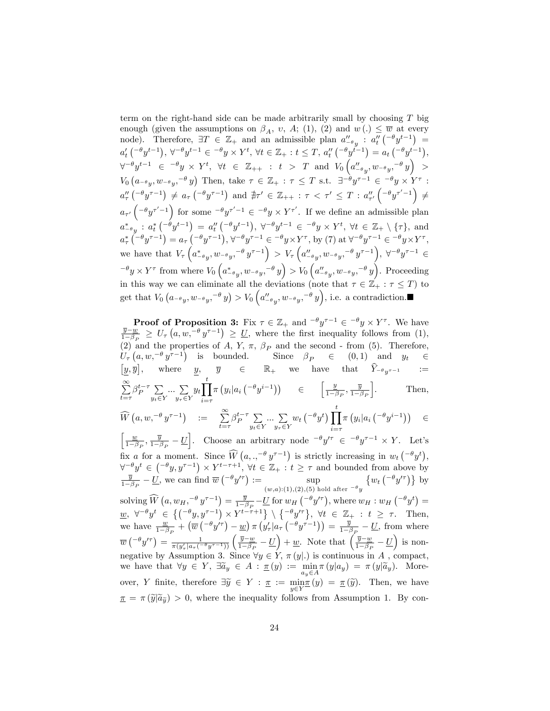term on the right-hand side can be made arbitrarily small by choosing  $T$  big enough (given the assumptions on  $\beta_A$ , v, A; (1), (2) and  $w(.) \leq \overline{w}$  at every node). Therefore,  $\exists T \in \mathbb{Z}_+$  and an admissible plan  $a''_{-\theta y}$  :  $a''_t(-\theta y^{t-1})$  =  $a'_t\left(\begin{matrix}-\theta y^{t-1}\end{matrix}\right), \forall^{-\theta} y^{t-1} \in \begin{matrix}-\theta y \times Y^t, \forall t \in \mathbb{Z}_+ : t \leq T, a''_t\left(\begin{matrix}-\theta y^{t-1}\end{matrix}\right) = a_t\left(\begin{matrix}-\theta y^{t-1}\end{matrix}\right),\end{matrix}$  $\forall^{-\theta} y^{t-1} \in \left^{-\theta} y \times Y^t, \ \forall t \ \in \ \mathbb{Z}_{++} \ : \ t \ > \ T \ \text{ and } \ V_0\left(a''_{-\theta}{}_y, w_{-\theta}{}_y, ^{-\theta} y\right) \ >$  $V_0\left(a_{-\theta y}, w_{-\theta y},^{-\theta} y\right)$  Then, take  $\tau \in \mathbb{Z}_+ : \tau \leq T$  s.t.  $\exists^{-\theta} y^{\tau-1} \in \neg^{\theta} y \times Y^{\tau}$ :  $a''_{\tau}(-\theta y^{\tau-1}) \neq a_{\tau}(-\theta y^{\tau-1})$  and  $\nexists \tau' \in \mathbb{Z}_{++} : \tau < \tau' \leq T : a''_{\tau'}(-\theta y^{\tau'-1}) \neq 0$  $a_{\tau'}\left(\begin{matrix}-\theta y^{\tau'-1}\end{matrix}\right)$  for some  $-\theta y^{\tau'-1} \in -\theta y \times Y^{\tau'}$ . If we define an admissible plan  $a_{-\theta y}^*$ :  $a_t^*$   $\left( \begin{matrix} -\theta y^{t-1} \end{matrix} \right) = a_t''$   $\left( \begin{matrix} -\theta y^{t-1} \end{matrix} \right)$ ,  $\forall^{-\theta} y^{t-1} \in \{-\theta y \times Y^t, \forall t \in \mathbb{Z}_+ \setminus \{\tau\}$ , and  $a^*_{\tau} \left( -\theta y^{\tau-1} \right) = a_{\tau} \left( -\theta y^{\tau-1} \right), \forall^{-\theta} y^{\tau-1} \in \{-\theta y \times Y^{\tau}, \text{ by (7) at } \forall^{-\theta} y^{\tau-1} \in \{-\theta y \times Y^{\tau}, \text{ by (8)} \}$ we have that  $V_\tau\left(a_{-\theta_y}^*, w_{-\theta_y}, -\theta_y^{\tau-1}\right) > V_\tau\left(a_{-\theta_y}^{"}, w_{-\theta_y}, -\theta_y^{\tau-1}\right), \forall^{-\theta_y^{\tau-1}} \in$  $\left(\theta^{\theta} \times Y^{\tau} \text{ from where } V_0\left(a_{-\theta}^*, w_{-\theta}^*, y_{-\theta}^* \right) > V_0\left(a_{-\theta}^{\prime\prime}, w_{-\theta}^*, y_{-\theta}^* \right).$  Proceeding in this way we can eliminate all the deviations (note that  $\tau \in \mathbb{Z}_+ : \tau \leq T$ ) to get that  $V_0(a_{-\theta y}, w_{-\theta y}, -\theta y) > V_0(a_{-\theta y}'', w_{-\theta y}, -\theta y)$ , i.e. a contradiction.

**Proof of Proposition 3:** Fix  $\tau \in \mathbb{Z}_+$  and  $\theta^{-\theta} y^{\tau-1} \in \theta^{-\theta} y \times Y^{\tau}$ . We have  $\frac{\overline{y}-w}{\overline{y}}$  $\frac{\overline{y}-w}{1-\beta_P} \geq U_\tau\left(a,w, -\theta y^{\tau-1}\right) \geq \underline{U}$ , where the first inequality follows from (1), (2) and the properties of A, Y,  $\pi$ ,  $\beta_P$  and the second - from (5). Therefore,  $U_{\tau}\left(a, w, \theta y^{\tau-1}\right)$  is bounded. Since  $\beta_P \in (0,1)$  and  $y_t \in$  $\big[\underline{y}, \overline{y}\big], \quad \text{ where }\quad \underline{y}, \quad \overline{y} \quad \in \quad \mathbb{R}_+ \quad \text{we}\quad \text{have}\quad \text{that}\quad \widehat{Y}_{-\theta y^{\tau-1}} \qquad :=$  $\sum_{i=1}^{\infty}$  $\sum_{t=\tau}^{\tau} \beta_P^{t-\tau} \sum_{y_t \in \Sigma}$  $y_t \in Y$  $\ldots$   $\sum$  $y_\tau \in Y$  $y_t$ <sup>t</sup>  $i = \tau$  $\pi(y_i|a_i\left(\begin{matrix}-\theta y^{i-1}\end{matrix}\right)) \in \left[\begin{matrix}\frac{y}{1-\beta}\end{matrix}\right]$  $\frac{y}{1-\beta_P}, \frac{\overline{y}}{1-\beta_P}$ i . Then,  $\widehat{W}\left(a,w,^{-\theta}y^{\tau-1}\right) \quad := \quad \sum_{t=\tau}^{\infty}\beta_P^{t-\tau}\sum_{y_t\in \mathbb{S}}$  $y_t \in Y$  $\ldots$   $\sum$  $y_\tau \in Y$  $w_t\left(\begin{matrix} -\theta y^t \end{matrix}\right) \prod^t$  $i = \tau$  $\pi(y_i|a_i\left({}^{-\theta}y^{i-1}\right)$  $\epsilon$  $\lceil \quad \underline{w}$  $\frac{w}{1-\beta_P}, \frac{\overline{y}}{1-\beta_P} - \underline{U}$ . Choose an arbitrary node  $\theta^{-\theta} y'^\tau \in \theta^{-\theta} y^{\tau-1} \times Y$ . Let's fix a for a moment. Since  $\widehat{W}(a, .,^{-\theta} y^{\tau-1})$  is strictly increasing in  $w_t({}^{-\theta}y^t),$  $\forall \neg \theta y^t \in (\neg \theta y, y^{\tau-1}) \times Y^{t-\tau+1}, \forall t \in \mathbb{Z}_+ : t \geq \tau \text{ and bounded from above by}$  $\frac{\overline{y}}{1-\beta_P}-\underline{U}$ , we can find  $\overline{w}$  ( $e^{-\theta}y'^{\tau}$ ) :=  $\sup_{(x,\tau)\in(1,(2),(5),\pi)}$  $(w,a):(1),(2),(5)$  hold after  $-\theta y$  $\{w_t\binom{-\theta y'^{\tau}}{\tau}\}$  by solving  $\widehat{W}\left(a, w_H, \frac{-\theta y^{\tau-1}}{1-\beta_P} \right) = \frac{\overline{y}}{1-\beta_P} - \underline{U}$  for  $w_H \left( \frac{-\theta y^{\prime \tau}}{1-\beta_P} \right)$ , where  $w_H : w_H \left( \frac{-\theta y^{\tau}}{1-\beta_P} \right) =$  $\underline{w}, \forall^{-\theta} y^t \in \left\{ \left( \begin{matrix} -\theta y, y^{\tau-1} \end{matrix} \right) \times Y^{t-\tau+1} \right\} \setminus \left\{ \begin{matrix} -\theta y'^{\tau} \end{matrix} \right\}, \forall t \in \mathbb{Z}_+ : t \geq \tau.$  Then, we have  $\frac{w}{1-\beta_P} + (\overline{w}(-\theta y^{i\tau}) - \underline{w}) \pi (y_{\tau}' | a_{\tau}(-\theta y^{\tau-1})) = \frac{\overline{y}}{1-\beta_P} - \underline{U}$ , from where  $\overline{w}\left( ^{-\theta}y^{\prime \tau}\right) =\frac{1}{\pi(y_{\tau}^{\prime}\vert a_{\tau}\left( ^{-\theta}y^{\tau-1}\right) )}\left( \frac{\overline{y}-w}{1-\beta_{F}}\right)$  $\frac{\overline{y} - \underline{w}}{1 - \beta_P} - \underline{U}$  + <u>w</u>. Note that  $\left(\frac{\overline{y} - \underline{w}}{1 - \beta_P}\right)$  $\frac{\overline{y} - \underline{w}}{1 - \beta_P} - \underline{U}$  is nonnegative by Assumption 3. Since  $\forall y \in Y$ ,  $\pi(y|.)$  is continuous in A, compact, we have that  $\forall y \in Y$ ,  $\exists \tilde{a}_y \in A : \underline{\pi}(y) := \min_{a_y \in A} \pi(y|a_y) = \pi(y|\tilde{a}_y)$ . Moreover, Y finite, therefore  $\exists \tilde{y} \in Y : \underline{\pi} := \min_{y \in Y} \underline{\pi}(y) = \underline{\pi}(\tilde{y})$ . Then, we have  $\pi = \pi(\tilde{y}|\tilde{a}_{\tilde{y}}) > 0$ , where the inequality follows from Assumption 1. By con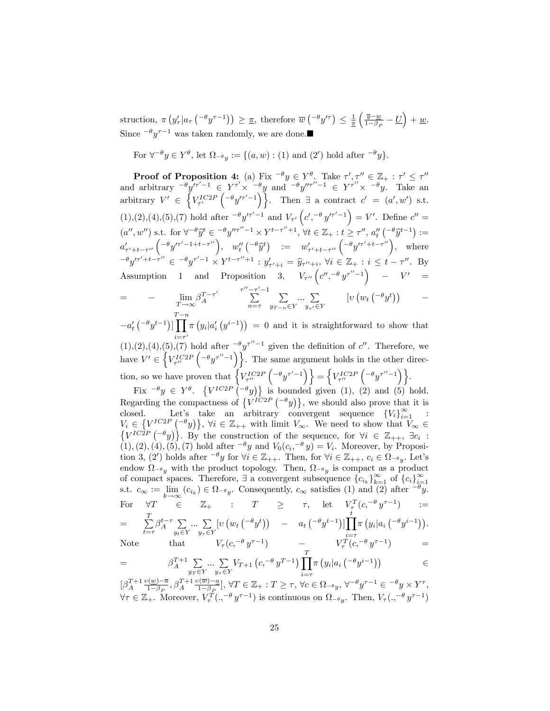struction,  $\pi \left( y'_\tau | a_\tau \left( -\theta y^{\tau-1} \right) \right) \geq \underline{\pi}$ , therefore  $\overline{w} \left( -\theta y'^{\tau} \right) \leq \frac{1}{\underline{\pi}}$  $\sqrt{\frac{y-w}{}}$  $\frac{\overline{y}-w}{1-\beta_P}-U\Big)+w.$ Since  $-\theta y^{\tau-1}$  was taken randomly, we are done.

For  $\forall^{-\theta} y \in Y^{\theta}$ , let  $\Omega_{-\theta} y := \{(a, w) : (1) \text{ and } (2') \text{ hold after } \neg^{\theta} y\}.$ 

**Proof of Proposition 4:** (a) Fix  $^{-\theta}y \in Y^{\theta}$ . Take  $\tau', \tau'' \in \mathbb{Z}_+ : \tau' \leq \tau''$ and arbitrary  $-\theta y'^{\tau'-1} \in Y^{\tau'} \times -\theta y$  and  $-\theta y''^{\tau''-1} \in Y^{\tau''} \times -\theta y$ . Take an arbitrary  $V' \in \left\{ V_{\tau'}^{IC2P} \left( -\theta y'^{\tau'-1} \right) \right\}$ . Then  $\exists$  a contract  $c' = (a', w')$  s.t.  $(1), (2), (4), (5), (7)$  hold after  $\frac{-\theta y'^{\tau'-1}}{(\sigma', \sigma'')^{\tau'-1}}$  and  $V_{\tau'}\left(c', \frac{-\theta y'^{\tau'-1}}{(\sigma', \sigma'')^{\tau'-1}}\right) = V'$ . Define  $c'' =$  $(a'', w'')$  s.t. for  $\forall^{-\theta} \hat{y}^t \in {\neg \theta} y''^{\tau''-1} \times Y^{t-\tau''+1}, \forall t \in \mathbb{Z}_+ : t \geq \tau'', a''_t ({\neg \theta} \hat{y}^{t-1}) :=$  $a'_{\tau'+t-\tau''}\left(\begin{matrix} -\theta y'^{\tau'-1+t-\tau''} \end{matrix}\right), \quad w''_t\left(\begin{matrix} -\theta \widehat{y}^t \end{matrix}\right) = w'_{\tau'+t-\tau''}\left(\begin{matrix} -\theta y'^{\tau'+t-\tau''} \end{matrix}\right), \quad \text{where}$  $(-\theta y'^{\tau'+t-\tau''}) \in -\theta y^{\tau'-1} \times Y^{t-\tau''+1} : y'_{\tau'+i} = \hat{y}_{\tau''+i}, \forall i \in \mathbb{Z}_+ : i \leq t - \tau''.$  By Assumption 1 and Proposition 3,  $V_{\tau''}\left(c'',-\theta y^{\tau''-1}\right)$  –  $V'$  =  $=$   $-\lim_{T\to\infty}$  $\beta_A^{T-\tau'}$  $\int \frac{\tau^{\prime\prime}-\tau^{\prime}-1}{\sum}$  $n = \tau$  $\sum$  $y_{T-n} \in Y$  $\ldots$   $\sum$  $y_{\tau'}\in Y$  $\left[v\left(w_t\left({}^{-\theta}y^t\right)\right)\right]$  -

 $-a_t'\left({}^{-\theta}y^{t-1}\right)]$  $\prod_{i=1}^{T-n} \pi\left(y_i|a_i'\left(y^{i-1}\right)\right) = 0$  and it is straightforward to show that  $i=\tau'$ <br>(1),(2),(4),(5),(7) hold after  $-\theta y^{\tau''-1}$  given the definition of c''. Therefore, we  $\overline{a}$ have  $V' \in \left\{ V_{\tau''}^{IC2P} \left( -\theta y^{\tau''-1} \right) \right\}$ . The same argument holds in the other direction, so we have proven that  $\left\{V_{\tau''}^{IC2P}\left(-\theta y^{\tau'-1}\right)\right\} = \left\{V_{\tau''}^{IC2P}\left(-\theta y^{\tau''-1}\right)\right\}.$ 

Fix  $^{-\theta}y \in Y^{\theta}$ .  $\{V^{IC2P}(-^{\theta}y)\}\$  is bounded given (1), (2) and (5) hold. Regarding the compactness of  $\{V^{IC2P}(\lbrace -\theta_y \rbrace)\}\$ , we should also prove that it is closed. Let's take an arbitrary convergent sequence  ${V_i}_{i=1}^{\infty}$  :  $V_i \in \left\{ V^{IC2P} \left( -\theta y \right) \right\}, \ \forall i \in \mathbb{Z}_{++} \ \text{with limit } V_{\infty}$ . We need to show that  $V_{\infty} \in$  $\{V^{IC2P}(-^{\theta}y)\}\.$  By the construction of the sequence, for  $\forall i \in \mathbb{Z}_{++}$ ,  $\exists c_i$ :  $(1), (2), (4), (5), (7)$  hold after  $\overline{\phantom{a}}^{g}y$  and  $V_0(c_i, \overline{\phantom{a}}^{g}y) = V_i$ . Moreover, by Proposition 3, (2') holds after  $^{-\theta}y$  for  $\forall i \in \mathbb{Z}_{++}$ . Then, for  $\forall i \in \mathbb{Z}_{++}$ ,  $c_i \in \Omega_{^{-\theta}y}$ . Let's endow  $\Omega_{-\theta_y}$  with the product topology. Then,  $\Omega_{-\theta_y}$  is compact as a product of compact spaces. Therefore,  $\exists$  a convergent subsequence  ${c_{i_k}}_{k=1}^{\infty}$  of  ${c_i}_{i=1}^{\infty}$ s.t.  $c_{\infty} := \lim_{k \to \infty} (c_{i_k}) \in \Omega_{-\theta_y}$ . Consequently,  $c_{\infty}$  satisfies (1) and (2) after  $-\theta_y$ .  $k \rightarrow \infty$ For  $\forall T \in \mathbb{Z}_+$  :  $T \geq \tau$ , let  $V^T_\tau(c, -\theta y^{\tau-1})$  :=  $=$   $\sum_{i=1}^{T}$  $\sum_{t=\tau}^{\tau} \beta_A^{t-\tau} \sum_{y_t \in \mathcal{I}}$  $y_t \in Y$  $\ldots$   $\sum$  $y_\tau \in Y$  $[v(w_t(\begin{smallmatrix} -\theta&^t\\ 0&\end{smallmatrix})) - a_t(\begin{smallmatrix} -\theta&^t-1\\ 0&\end{smallmatrix})] \prod^t$  $i = \tau$  $\pi(y_i|a_i\left(\begin{matrix}-\theta y^{i-1}\end{matrix}\right)).$ Note that  $V_\tau(c, -\theta y^{\tau-1})$   $- V_\tau^T(c, -\theta y^{\tau-1})$   $=$ 

$$
\operatorname{Note}
$$

$$
= \beta_A^{T+1} \sum_{y_T \in Y} \dots \sum_{y_r \in Y} V_{T+1} \left( c, \frac{-\theta}{y^{T-1}} \right) \prod_{i=\tau}^T \pi \left( y_i | a_i \left( \frac{-\theta}{y^{i-1}} \right) \right) \in \mathbb{R}
$$

 $\left[\beta_A^{T+1} \frac{\nu(w)-\overline{a}}{1-\beta_P}\right]$  $\frac{\partial \left(\underline{w}\right) - \overline{a}}{1 - \beta_P}, \beta_A^{T+1} \frac{\partial \left(\overline{w}\right) - a}{1 - \beta_P}$  $\frac{\mathbb{P}(\overline{w})-\underline{a}}{1-\beta_{\mathcal{P}}}, \forall T \in \mathbb{Z}_+ : T \geq \tau, \forall c \in \Omega_{-\theta_y}, \forall^{-\theta}y^{\tau-1} \in {}^{-\theta}y \times Y^{\tau},$  $\forall \tau \in \mathbb{Z}_+$ . Moreover,  $V_\tau^T(.,^{-\theta} y^{\tau-1})$  is continuous on  $\Omega_{-\theta}$ . Then,  $V_\tau(.,^{-\theta} y^{\tau-1})$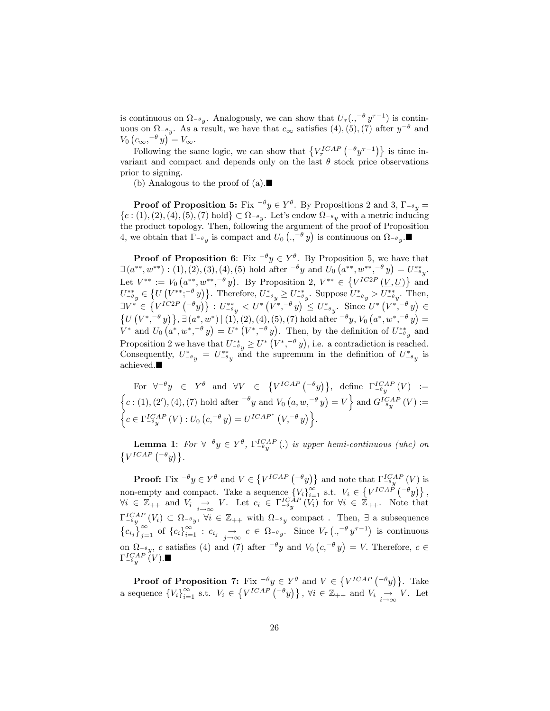is continuous on  $\Omega_{-\theta}$ . Analogously, we can show that  $U_{\tau}(\cdot, -\theta y^{\tau-1})$  is continuous on  $\Omega_{-\theta y}$ . As a result, we have that  $c_{\infty}$  satisfies (4), (5), (7) after  $y^{-\theta}$  and  $V_0\left(c_{\infty}, -\theta y\right)^{3} = V_{\infty}.$ 

Following the same logic, we can show that  $\{V_{\tau}^{ICAP} \left( -\theta y^{\tau-1} \right) \}$  is time invariant and compact and depends only on the last  $\theta$  stock price observations prior to signing.

(b) Analogous to the proof of  $(a)$ .

**Proof of Proposition 5:** Fix  $^{-\theta}y \in Y^{\theta}$ . By Propositions 2 and 3,  $\Gamma_{-\theta}y =$  $\{c:(1),(2),(4),(5),(7) \text{ hold}\}\subset \Omega_{-\theta y}$ . Let's endow  $\Omega_{-\theta y}$  with a metric inducing the product topology. Then, following the argument of the proof of Proposition 4, we obtain that  $\Gamma_{-\theta y}$  is compact and  $U_0$   $\left( ., -\theta y \right)$  is continuous on  $\Omega_{-\theta y}$ .

**Proof of Proposition 6:** Fix  $-\theta y \in Y^{\theta}$ . By Proposition 5, we have that  $\exists (a^{**}, w^{**}) : (1), (2), (3), (4), (5)$  hold after  $\left\{\theta y \text{ and } U_0\left(a^{**}, w^{**}, \left\{\theta y\right\}\right) = U_{-\theta y}^{**}$ . Let  $V^{**} := V_0(a^{**}, w^{**}, -\theta y)$ . By Proposition 2,  $V^{**} \in \{V^{IC2P}(\underline{V}, \underline{U})\}$  and  $U_{-\theta y}^{**} \in \left\{ U\left(V^{**};^{-\theta} y\right)\right\}$ . Therefore,  $U_{-\theta y}^{*} \geq U_{-\theta y}^{**}$ . Suppose  $U_{-\theta y}^{*} > U_{-\theta y}^{**}$ . Then,  $\exists V^* \in \left\{ V^{IC2P} \left( ^{-\theta} y \right) \right\} : U^{**}_{-\theta} \leftarrow U^* \left( V^{*}, ^{-\theta} y \right) \leq U^{*}_{-\theta} y$ . Since  $U^* \left( V^{*}, ^{-\theta} y \right) \in$  $\{U(V^*,\alpha^*y)\}, \exists (a^*,w^*) | (1), (2), (4), (5), (7) \text{ hold after } \alpha^*y, V_0(a^*,w^*,\alpha^*y) =$  $V^*$  and  $U_0(a^*, w^*, -\theta y) = U^* (V^*, -\theta y)$ . Then, by the definition of  $U_{-\theta y}^{**}$  and Proposition 2 we have that  $U_{-\theta y}^{**} \ge U^* \left( V^*, -\theta y \right)$ , i.e. a contradiction is reached. Consequently,  $U_{-\theta y}^* = U_{-\theta y}^{**}$  and the supremum in the definition of  $U_{-\theta y}^*$  is achieved.

For  $\forall^{-\theta}y \in Y^{\theta}$  and  $\forall V \in \{V^{ICAP} \left( ^{-\theta}y \right) \}, \text{ define } \Gamma_{-\theta}^{ICAP} \left( V \right) :=$  $\left\{c: (1), (2'), (4), (7) \text{ hold after } ^{-\theta}y \text{ and } V_0(a, w, ^{-\theta}y) = V\right\}$  and  $G_{-\theta y}^{ICAP}(V) :=$  $\left\{c \in \Gamma^{ICAP}_{-\theta y}(V) : U_0\left(c, ^{-\theta} y\right) = U^{ICAP^*}(V, ^{-\theta} y)\right\}.$ 

**Lemma 1**: For  $\forall^{-\theta} y \in Y^{\theta}$ ,  $\Gamma_{-\theta y}^{ICAP}$  (.) is upper hemi-continuous (uhc) on  $\{V^{ICAP}(-\theta y)\}.$ 

**Proof:** Fix  $\theta \to \theta$  and  $V \in \{V^{ICAP} \left( \theta \right) \}$  and note that  $\Gamma_{\theta}^{ICAP} \left( V \right)$  is  $-\theta y$ non-empty and compact. Take a sequence  $\{V_i\}_{i=1}^{\infty}$  s.t.  $V_i \in \{V^{ICAF}(-{}^{\theta}y)\}\,$ ,  $\forall i \in \mathbb{Z}_{++}$  and  $V_i \rightarrow V$ . Let  $c_i \in \Gamma_{-\theta}^{ICAP}(V_i)$  for  $\forall i \in \mathbb{Z}_{++}$ . Note that  $\Gamma^{ICAP}_{-\theta y}$   $(V_i) \subset \Omega_{-\theta y}$ ,  $\forall i \in \mathbb{Z}_{++}$  with  $\Omega_{-\theta y}$  compact. Then,  $\exists$  a subsequence  ${c_{i_j}}_{j=1}^{\infty}$  of  ${c_i}_{i=1}^{\infty}: c_{i_j} \longrightarrow_{\infty} c \in \Omega_{-\theta y}$ . Since  $V_{\tau}(\cdot, -\theta y^{\tau-1})$  is continuous on  $\Omega_{-\theta y}$ , c satisfies (4) and (7) after  $-\theta y$  and  $V_0(c, -\theta y) = V$ . Therefore,  $c \in$  $\Gamma_{- \theta}^{ICAP} \v (V)$  .  $\blacksquare$ 

**Proof of Proposition 7:** Fix  $^{-\theta}y \in Y^{\theta}$  and  $V \in \{V^{ICAP}(-^{\theta}y)\}\$ . Take a sequence  $\{V_i\}_{i=1}^{\infty}$  s.t.  $V_i \in \{V^{ICAP}(-\theta y)\}, \forall i \in \mathbb{Z}_{++}$  and  $V_i \rightarrow V$ . Let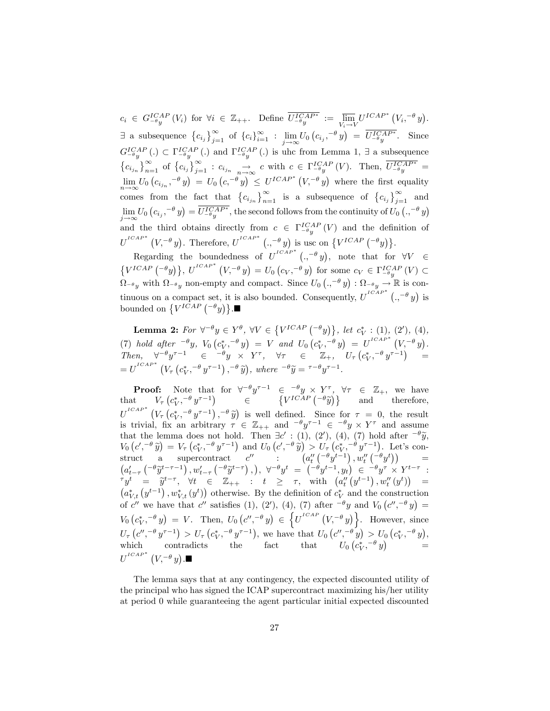$c_i \in G_{-\theta y}^{ICAP} (V_i)$  for  $\forall i \in \mathbb{Z}_{++}$ . Define  $U_{-\theta y}^{ICAP*} := \overline{\lim_{V_i \to 1}}$  $V_i \rightarrow V$  $U^{ICAP^*}$   $(V_i, ^{-\theta} y).$  $\exists$  a subsequence  $\{c_{i_j}\}_{j=1}^{\infty}$  of  $\{c_{i}\}_{i=1}^{\infty}$  :  $\lim_{j\to\infty}U_0(c_{i_j}, -\theta y) = \overline{U^{ICAP*}_{-\theta y}}$ . Since  $j \rightarrow \infty$  $G_{-\theta y}^{ICAP}$  (.)  $\subset \Gamma_{-\theta y}^{ICAP}$  (.) and  $\Gamma_{-\theta y}^{ICAP}$  (.) is uhc from Lemma 1,  $\exists$  a subsequence  ${c_i}_j \}_{n=1}^{\infty}$  of  ${c_i}_j \}_{j=1}^{\infty}$  :  $c_{i_j} \rightarrow \infty$  c with  $c \in \Gamma_{-\theta y}^{ICAP}$  (V). Then,  $\overline{U_{-\theta y}^{ICAP^*}}$  =  $\lim_{n\to\infty} U_0\left(c_{i_{j_n}}, -\theta y\right) = U_0\left(c, -\theta y\right) \leq U^{ICAP^*}\left(V, -\theta y\right)$  where the first equality comes from the fact that  $\left\{c_{i_{j_n}}\right\}_{n=1}^{\infty}$  is a subsequence of  $\left\{c_{i_j}\right\}_{j=1}^{\infty}$  and  $\lim_{\delta \to \infty} U_0 \left( c_{i_j}, -\theta \right) = \overline{U_{-\theta}^{ICAP^*}}$ , the second follows from the continuity of  $U_0 \left( ., -\theta \right)$  $j \rightarrow \infty$ and the third obtains directly from  $c \in \Gamma_{-\theta y}^{ICAP}(V)$  and the definition of  $U^{ICAP*}(V, ^{-\theta} y)$ . Therefore,  $U^{ICAP*}(., ^{-\theta} y)$  is usc on  $\{V^{ICAP}({}^{-\theta} y)\}$ .

Regarding the boundedness of  $U^{ICAP^*}$  (.,  $-\theta y$ ), note that for  $\forall V \in$  $\{V^{ICAP} \left( ^{-\theta} y\right) \}, U^{ICAP^*} \left( V, ^{-\theta} y\right) = U_0 \left( c_V, ^{-\theta} y\right) \text{ for some } c_V \in \Gamma_{-\theta}^{ICAP} \left( V \right) \subset$  $\Omega_{-\theta}$  with  $\Omega_{-\theta}$  non-empty and compact. Since  $U_0$   $\left(.,^{-\theta}y\right)$  :  $\Omega_{-\theta}$   $\longrightarrow \mathbb{R}$  is continuous on a compact set, it is also bounded. Consequently,  $U^{ICAP^*}$  ( $, -\theta y$ ) is bounded on  $\{V^{ICAP} \left( ^{-\theta} y \right) \}$ .

**Lemma 2:** For  $\forall^{-\theta} y \in Y^{\theta}$ ,  $\forall V \in \{V^{ICAP} \left( \{-\theta y\right) \}, let c_V^* : (1), (2'), (4),$ V (7) hold after  $^{-\theta}y$ ,  $V_0(c_V^*, -\theta y) = V$  and  $U_0(c_V^*, -\theta y) = U^{ICAP^*}(V, -\theta y)$ .  $Then, \quad \forall^{-\theta} y^{\tau-1} \in \left[-\theta y \times Y^{\tau}, \quad \forall \tau \in \left[\mathbb{Z}_+,\right] \left[U_{\tau}\left(c_V^{*}, -\theta y^{\tau-1}\right)\right] \right] =$  $=U^{ICAP^*}\left(V_\tau\left(c_V^*,^{-\theta} y^{\tau-1}\right),^{-\theta} \tilde{y}\right), where \;^{-\theta} \tilde{y}=\tau^{-\theta} y^{\tau-1}.$ 

**Proof:** Note that for  $\forall^{-\theta} y^{\tau-1} \in \neg^{\theta} y \times Y^{\tau}$ ,  $\forall \tau \in \mathbb{Z}_{+}$ , we have<br>t  $V_{\tau} (c_V^*, \neg^{\theta} y^{\tau-1}) \in \{V^{ICAP} (\neg^{\theta} \tilde{y})\}$  and therefore, that  $V_{\tau} (c_V^*, -\theta y^{\tau-1}) \in \{V^{ICAP} ( -\theta \tilde{y})\}$  $U^{ICAP^*}$   $(V_\tau (c_V^*, -\theta y^{\tau-1}), -\theta \tilde{y})$  is well defined. Since for  $\tau = 0$ , the result is trivial, fix an arbitrary  $\tau \in \mathbb{Z}_{++}$  and  $\theta y^{\tau-1} \in \theta y \times Y^{\tau}$  and assume that the lemma does not hold. Then  $\exists c' : (1), (2'), (4), (7)$  hold after  $\overline{c} \theta \overline{y}$ ,<br>  $V_0(c', -\theta \overline{y}) = V_\tau(c^*_{V}, -\theta y^{\tau-1})$  and  $U_0(c', -\theta \overline{y}) > U_\tau(c^*_{V}, -\theta y^{\tau-1})$ . Let's con- $\text{struct} \quad \text{a} \quad \text{supercontract} \quad c'' \qquad : \qquad \left( a''_t \left( \begin{smallmatrix} -\theta y^{t-1} \end{smallmatrix} \right) , w''_t \left( \begin{smallmatrix} -\theta y^{t} \end{smallmatrix} \right) \right) \qquad \text{and} \qquad$  $\left(a_{t-\tau}^{\prime}\left(-\theta \tilde{y}^{t-\tau-1}\right), w_{t-\tau}^{\prime}\left(-\theta \tilde{y}^{t-\tau}\right), \right), \forall^{-\theta} y^{t} = \left(-\theta y^{t-1}, y_{t}\right) \in \left(-\theta y^{\tau} \times Y^{t-\tau}\right);$  $\tau y^t = \tilde{y}^{t-\tau}, \forall t \in \mathbb{Z}_{++} : t \geq \tau, \text{ with } (a''_t(y^{t-1}), w''_t(y^t)) =$ t  $(a_{V,t}^*(y^{t-1}), w_{V,t}^*(y^t))$  otherwise. By the definition of  $c_V^*$  and the construction of c'' we have that c'' satisfies (1), (2'), (4), (7) after  $-\theta y$  and  $V_0(c'', -\theta y) =$  $V_0(c_V^*, -\theta y) = V$ . Then,  $U_0(c'', -\theta y) \in$  $\{U^{t \ncap} (V, \neg \theta y)\}.$  However, since  $U_{\tau}\left(c'',^{-\theta}y^{\tau-1}\right) > U_{\tau}\left(c_V^*,^{-\theta}y^{\tau-1}\right)$ , we have that  $U_0\left(c'',^{-\theta}y\right) > U_0\left(c_V^*,^{-\theta}y\right)$ , which contradicts the fact that  $U_0(c_V^*, -\theta y)$  =  $\overline{U}^{^{ICAP}}{}^{*}\left(V, ^{-\theta}y\right)$  .

The lemma says that at any contingency, the expected discounted utility of the principal who has signed the ICAP supercontract maximizing his/her utility at period 0 while guaranteeing the agent particular initial expected discounted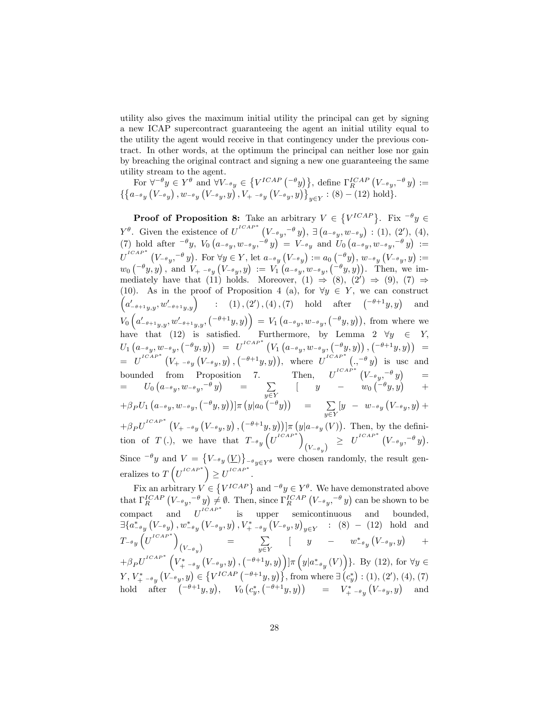utility also gives the maximum initial utility the principal can get by signing a new ICAP supercontract guaranteeing the agent an initial utility equal to the utility the agent would receive in that contingency under the previous contract. In other words, at the optimum the principal can neither lose nor gain by breaching the original contract and signing a new one guaranteeing the same utility stream to the agent.

For  $\forall^{-\theta} y \in Y^{\theta}$  and  $\forall V_{-\theta y} \in \{V^{ICAP} \left( ^{-\theta} y \right) \}$ , define  $\Gamma_R^{ICAP} \left( V_{-\theta y}, ^{-\theta} y \right) :=$  $\{ \{a_{-\theta y}\left(V_{-\theta y}\right), w_{-\theta y}\left(V_{-\theta y}, y\right), V_{+}^{'}_{\{-\theta y}\left(V_{-\theta y}, y\right)\}\}_{y\in Y} : (8) - (12) \text{ hold}\}.$ 

**Proof of Proposition 8:** Take an arbitrary  $V \in \{V^{ICAP}\}\$ . Fix  $^{-\theta}y \in$  $Y^{\theta}$ . Given the existence of  $U^{ICAP^*}$   $(V_{-\theta y}, -\theta y)$ ,  $\exists (a_{-\theta y}, w_{-\theta y}) : (1), (2')$ , (4), (7) hold after  $e^{-\theta}y$ ,  $V_0(a-e_y, w-e_y, e^{-\theta}y) = V_{-\theta}y$  and  $U_0(a-e_y, w-e_y, e^{-\theta}y) :=$  $U^{ICAP^*}$   $(V_{-\theta y}, -\theta y)$ . For  $\forall y \in Y$ , let  $a_{-\theta y} (V_{-\theta y}) := a_0 (-\theta y)$ ,  $w_{-\theta y} (V_{-\theta y}, y) :=$  $w_0\left({}^{-\theta}y,y\right), \text{ and } \ V_+{}_{^{-\theta}y}\left(V_{^{-\theta}y},y\right) \ := \ V_1\left(a_{^{-\theta}y},w_{^{-\theta}y},\left({}^{-\theta}y,y\right)\right). \ \ \text{Then, we im-}$ mediately have that (11) holds. Moreover, (1)  $\Rightarrow$  (8), (2')  $\Rightarrow$  (9), (7)  $\Rightarrow$ (10). As in the proof of Proposition 4 (a), for  $\forall y \in Y$ , we can construct  $\left(a'_{-\theta+1y,y},w'_{-\theta+1y,y}\right)$  : (1), (2'), (4), (7) hold after  $\left(-\theta+1y,y\right)$  and  $V_0\left(a'_{-\theta+1y,y},w'_{-\theta+1y,y},\left(\frac{-\theta+1}{y,y}\right)\right) = V_1\left(a_{-\theta y},w_{-\theta y},\left(\frac{-\theta}{y,y}\right)\right),$  from where we have that (12) is satisfied. Furthermore, by Lemma 2  $\forall y \in Y$ ;  $U_{1}\left(a_{-\theta y},w_{-\theta y},\left(^{-\theta}y,y\right)\right) \;\;=\;\; U^{^{ICAP}}\left(V_{1}\left(a_{-\theta y},w_{-\theta y},\left(^{-\theta}y,y\right)\right),\left(^{-\theta+1}y,y\right)\right) \;\;=\;\;$  $= U^{ICAP^*} (V_{+} - \theta_y(V_{-} \theta_y, y), (-\theta + 1y, y)),$  where  $U^{ICAP^*} (., -\theta_y)$  is usc and bounded from Proposition 7. Then,  $U^{ICAP*}(V_{-\theta y}, -\theta y)$  =  $= U_0 \left( a_{-\theta}{}_{y}, w_{-\theta}{}_{y},^{-\theta} y \right) = \sum$  $\sum_{y \in Y}$   $\left[ \quad y \quad - \quad w_0 \left( \begin{matrix} -\theta y, y \end{matrix} \right) \quad + \right]$  $+ \beta_P U_1 (a_{-\theta y}, w_{-\theta y}, {\binom{-\theta y, y}}] \pi (y | a_0 {\binom{-\theta y}}) = \sum_{\substack{\longrightarrow \\ \text{all } y}} [y - w_{-\theta y} (V_{-\theta y}, y) +$  $y \in Y$  $+\beta_P U^{I^{CAP}}(V_{+}$   $_{-\theta_y}(V_{-\theta_y}, y), (-\theta+1y, y))] \pi (y|_{a_{-\theta_y}}(V)).$  Then, by the definition of  $T(.)$ , we have that  $T_{-\theta y}\left(U^{ICAP^*}\right)$  $\left(V_{-\theta_y}\right) \;\; \geq \;\; U^{^{ICAP^*}}\left(V_{-\theta_y}, ^{-\theta}y\right).$ Since  $\theta_y$  and  $V = \{V_{-\theta y}(V)\}_{-\theta y \in Y^{\theta}}$  were chosen randomly, the result generalizes to  $T\left(U^{ICAP^*}\right) \geq U^{ICAP^*}.$ 

Fix an arbitrary  $V \in \{V^{ICAP}\}\$ and  $^{-\theta}y \in Y^{\theta}$ . We have demonstrated above that  $\Gamma_R^{ICAP}$   $(V_{-\theta y}, -\theta y) \neq \emptyset$ . Then, since  $\Gamma_R^{ICAP}$   $(V_{-\theta y}, -\theta y)$  can be shown to be compact and  $U^{ICAP*}$  is upper semicontinuous and bounded,  $\exists \{a_{-\theta y}^*(V_{-\theta y}), w_{-\theta y}^*(V_{-\theta y}, y), V_{+}^*_{-\theta y}(V_{-\theta y}, y)_{y \in Y} : (8) - (12) \text{ hold and} \}$  $T_{-\theta}y\left(U^{ICAP^*}\right)$  $(V_{-\theta y})$  =  $\sum_{y \in Y}$  $\sum_{y \in Y}$   $\left[ \quad y \quad - \quad w_{-\theta}^* \left( V_{-\theta} y, y \right) \right]$ +  $+\beta_P U^{ICAP^*}\left(V_{+}^*_{-\theta y}\left(V_{-\theta y},y\right),\left(\begin{matrix}-\theta+1y,y\end{matrix}\right)\right]$   $\pi\left(y|a_{-\theta y}^*(V)\right)$ . By (12), for  $\forall y \in$  $Y, V^*_{+} = \ell_y \left( V^-_{-\theta} y, y \right) \in \left\{ V^{ICAP} \left( {}^{-\theta+1} y, y \right) \right\}, \text{ from where } \exists (c^*_y) : (1), (2'), (4), (7)$ hold after  $(-\theta+1y, y), \quad V_0\left(c_y^*, \left(-\theta+1y, y\right)\right) = V^*_{+\,-\theta y}\left(V_{-\theta y}, y\right)$  and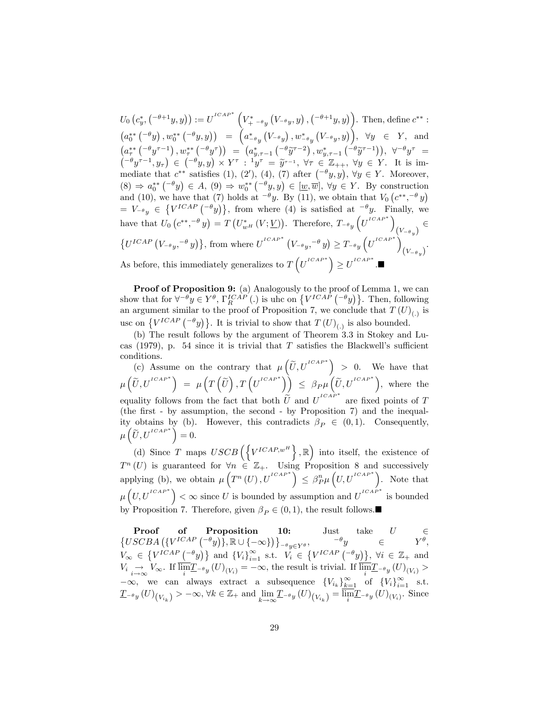$U_0\left(c_y^*, \left({}^{-\theta+1}y,y\right)\right) := U^{^{ICAP^*}}\left(V^*_{+} -_{\theta y}\left(V_{-\theta y},y\right), \left({}^{-\theta+1}y,y\right)\right).$  Then, define  $c^{**}$ :  $\left(a_0^{**}\left( ^{-\theta}y\right), w_0^{**}\left( ^{-\theta}y,y\right)\right) = \left(a_{-\theta y}^*\left(V_{-\theta y}\right), w_{-\theta y}^*\left(V_{-\theta y}, y\right)\right), \forall y \in Y, \text{ and }$  $\left(a_{\tau}^{**}\left(-\theta y^{\tau-1}\right), w_{\tau}^{**}\left(-\theta y^{\tau}\right)\right) = \left(a_{y,\tau-1}^{*}\left(-\theta \widetilde{y}^{\tau-2}\right), w_{y,\tau-1}^{*}\left(-\theta \widetilde{y}^{\tau-1}\right)\right), \forall^{-\theta} y^{\tau} =$  $\left( \begin{matrix} -\theta y^{\tau-1}, y_{\tau} \end{matrix} \right) \in \left( \begin{matrix} -\theta y, y \end{matrix} \right) \times Y^{\tau} : \begin{matrix} y_{\tau} \ y_{\tau} \end{matrix} = \tilde{y}_{\tau-1}, \forall \tau \in \mathbb{Z}_{++}, \forall y \in Y.$  It is immediate that  $c^{**}$  satisfies (1), (2'), (4), (7) after  $(-\theta y, y)$ ,  $\forall y \in Y$ . Moreover,  $(8) \Rightarrow a_0^{**}$   $({}^{-\theta}y) \in A$ ,  $(9) \Rightarrow w_0^{**}$   $({}^{-\theta}y, y) \in [\underline{w}, \overline{w}]$ ,  $\forall y \in Y$ . By construction  $y_0^{**}(-\theta y) \in A$ , (9)  $\Rightarrow w_0^{**}(-\theta y, y)$ and (10), we have that (7) holds at  $-\theta y$ . By (11), we obtain that  $V_0(e^{**}, -\theta y)$  $= V_{-\theta y} \in \{V^{ICAP}(\theta y)\},\$  from where (4) is satisfied at  $-\theta y$ . Finally, we have that  $U_0\left(c^{**},^{-\theta} y\right) = T\left(U_{w^H}^*\left(V; \underline{V}\right)\right)$ . Therefore,  $T_{-\theta y}\left(U^{ICAP^*}\right)$  $(V_{-\theta_{y}})$  $\{U^{ICAP} (V_{-\theta y}, -\theta y)\}\$ , from where  $U^{ICAP*} (V_{-\theta y}, -\theta y) \geq T_{-\theta y} (U^{ICAP*})$  $(V_{-\theta_y})^{\mathfrak{a}}$ As before, this immediately generalizes to  $T\left(U^{ICAP^*}\right) \geq U^{ICAP^*}$ .

Proof of Proposition 9: (a) Analogously to the proof of Lemma 1, we can show that for  $\forall^{-\theta} y \in Y^{\theta}$ ,  $\Gamma_R^{ICAP}$  (.) is uhc on  $\{V^{ICAP} (\neg \theta y)\}$ . Then, following an argument similar to the proof of Proposition 7, we conclude that  $T(U)_{(.)}$  is usc on  $\{V^{ICAP} \, (-\theta y)\}$ . It is trivial to show that  $T(U)_{(.)}$  is also bounded.

(b) The result follows by the argument of Theorem 3.3 in Stokey and Lucas (1979), p. 54 since it is trivial that  $T$  satisfies the Blackwell's sufficient conditions.

(c) Assume on the contrary that  $\mu\left(\tilde{U}, U^{ICAP*}\right) > 0$ . We have that  $\mu\left(\widetilde{U},U^{t\scriptscriptstyle{CAP}^*}\right) \;=\; \mu\left(T\left(\widetilde{U}\right),T\left(U^{t\scriptscriptstyle{CAP}^*}\right)\right) \;\leq\; \beta_{P}\mu\left(\widetilde{U},U^{t\scriptscriptstyle{CAP}^*}\right)\!, \; \text{ where the }$ equality follows from the fact that both  $\tilde{U}$  and  $U^{ICAP*}$  are fixed points of T (the first - by assumption, the second - by Proposition  $7$ ) and the inequality obtains by (b). However, this contradicts  $\beta_P \in (0,1)$ . Consequently,  $\mu\left(\widetilde{U},U^{^{ICAP}}\right)=0.$ 

(d) Since T maps  $USCB\left(\left\{V^{ICAP,w^H}\right\},\mathbb{R}\right)$  into itself, the existence of  $T^n(U)$  is guaranteed for  $\forall n \in \mathbb{Z}_+$ . Using Proposition 8 and successively applying (b), we obtain  $\mu\left(T^{n}(U),U^{ICAP^{*}}\right) \leq \beta_{P}^{n}\mu\left(U,U^{ICAP^{*}}\right)$ . Note that  $\mu\left(U, U^{ICAP^*}\right) < \infty$  since U is bounded by assumption and  $U^{ICAP^*}$  is bounded by Proposition 7. Therefore, given  $\beta_P \in (0,1),$  the result follows.

**Proof of Proposition 10:** Just take  $U \in \{USCBA \left( \{V^{ICAP} \left( ^{-\theta} y \right) \}, \mathbb{R} \cup \{ -\infty \} \right) \}_{-\theta y \in Y^{\theta}}, \leftarrow \theta y \in Y^{\theta},$  $V_{\infty} \in \left\{ V^{ICAP} \left( \begin{matrix} -\theta y \end{matrix} \right) \right\}$  and  $\left\{ V_i \right\}_{i=1}^{\infty}$  s.t.  $V_i \in \left\{ V^{ICAP} \left( \begin{matrix} -\theta y \end{matrix} \right) \right\}$ ,  $\forall i \in \mathbb{Z}_+$  and  $V_i \underset{i \to \infty}{\to} V_{\infty}$ . If  $\lim_{i} \underline{T}_{-\theta y}(U)_{(V_i)} = -\infty$ , the result is trivial. If  $\lim_{i} \underline{T}_{-\theta y}(U)_{(V_i)} >$  $-\infty$ , we can always extract a subsequence  $\{V_{i_k}\}_{k=1}^{\infty}$  of  $\{V_i\}_{i=1}^{\infty}$  s.t.  $\underline{T}_{-\theta y}(U)_{(V_{i_k})}>-\infty, \forall k \in \mathbb{Z}_+ \text{ and } \lim_{k\to\infty} \underline{T}_{-\theta y}(U)_{(V_{i_k})}=\lim_{i \to -\theta y}(U)_{(V_i)}$ . Since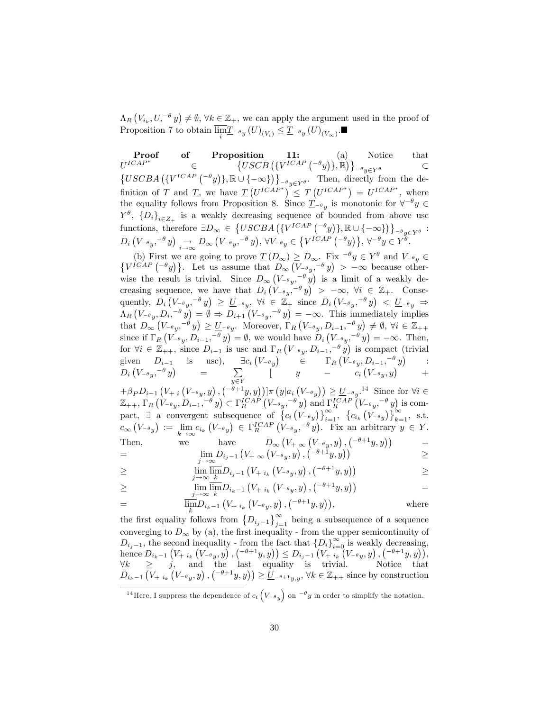$\Lambda_R \left( V_{i_k}, U, \neg \theta \right) \neq \emptyset$ ,  $\forall k \in \mathbb{Z}_+$ , we can apply the argument used in the proof of Proposition 7 to obtain  $\lim_{i} \underline{T}_{-\theta} (U)_{(V_i)} \leq \underline{T}_{-\theta} (U)_{(V_{\infty})}$ .

Proof of Proposition 11: (a) Notice that  $U^{ICAP^*}$  $\in$  $\{USCB\left(\{V^{ICAP} \left(-\theta y\right)\},\mathbb{R}\right)\}\$  $\{USCBA\left(\{V^{ICAP} \left( ^{-\theta}y\right)\}, \mathbb{R} \cup \{-\infty\}\right)\}\right]_{-\theta y \in Y^{\theta}}$ . Then, directly from the definition of T and <u>T</u>, we have  $\underline{T}(U^{ICAP^*}) \leq T(U^{ICAP^*}) = U^{ICAP^*}$ , where the equality follows from Proposition 8. Since  $\underline{T}_{-\theta y}$  is monotonic for  $\forall^{-\theta} y \in$  $Y^{\theta}$ ,  $\{D_i\}_{i\in \mathbb{Z}_+}$  is a weakly decreasing sequence of bounded from above usc functions, therefore  $\exists D_{\infty} \in \{USCBA \left( \{V^{ICAP} \left( \begin{matrix} -\theta y \end{matrix} \right) \}, \mathbb{R} \cup \{ -\infty \} \right) \}_{-\theta y \in Y^{\theta}}$ :  $D_i\left(V_{-\theta y}, -\theta y\right) \underset{i\to\infty}{\to} D_{\infty}\left(V_{-\theta y}, -\theta y\right), \ \forall V_{-\theta y} \in \left\{V^{ICAP} \left(-\theta y\right)\right\}, \ \forall^{-\theta} y \in Y^{\theta}$ 

(b) First we are going to prove  $\underline{T}(D_{\infty}) \geq D_{\infty}$ . Fix  $^{-\theta}y \in Y^{\theta}$  and  $V_{-\theta y} \in \{V^{ICAP} \left( ^{-\theta}y\right)\}$ . Let us assume that  $D_{\infty} \left( V_{-\theta y} \right. ^{-\theta}y) > -\infty$  because otherwise the result is trivial. Since  $D_{\infty}(V_{-\theta}$ ,  $-\theta y$  is a limit of a weakly decreasing sequence, we have that  $D_i\left(V_{-\theta y}, -\theta y\right) > -\infty$ ,  $\forall i \in \mathbb{Z}_+$ . Consequently,  $D_i\left(V_{-\theta y}, -\theta y\right) \geq \underline{U}_{-\theta y}$ ,  $\forall i \in \mathbb{Z}_+$  since  $D_i\left(V_{-\theta y}, -\theta y\right) < \underline{U}_{-\theta y} \Rightarrow$  $\Lambda_R \left( V_{-\theta y}, D_i, ^{-\theta} y \right) = \emptyset \Rightarrow D_{i+1} \left( V_{-\theta y}, ^{-\theta} y \right) = -\infty$ . This immediately implies that  $D_{\infty}(V_{-\theta y}, -\theta y) \geq \underline{U}_{-\theta y}$ . Moreover,  $\Gamma_R(V_{-\theta y}, D_{i-1}, -\theta y) \neq \emptyset$ ,  $\forall i \in \mathbb{Z}_{++}$ since if  $\Gamma_R \left( V_{-\theta y}, D_{i-1}, -\theta y \right) = \emptyset$ , we would have  $D_i \left( V_{-\theta y}, -\theta y \right) = -\infty$ . Then, for  $\forall i \in \mathbb{Z}_{++}$ , since  $D_{i-1}$  is usc and  $\Gamma_R(V_{-\theta y}, D_{i-1}, -\theta y)$  is compact (trivial given  $D_{i-1}$  is usc),  $\exists c_i (V_{-\theta y})$   $\in$   $\Gamma_R (V_{-\theta y}, D_{i-1}, -\theta y)$  :  $D_i\left(V_{-\theta y}, -\theta y\right)$  =  $\sum$  $\sum_{y \in Y}$   $\qquad \qquad$   $\qquad \qquad$   $\qquad \qquad$   $\qquad \qquad$   $\qquad \qquad$   $\qquad \qquad$   $\qquad \qquad$   $\qquad \qquad$   $\qquad \qquad$   $\qquad \qquad$   $\qquad \qquad$   $\qquad \qquad$   $\qquad \qquad$   $\qquad \qquad$   $\qquad \qquad$   $\qquad \qquad$   $\qquad \qquad$   $\qquad \qquad$   $\qquad \qquad$   $\qquad \qquad$   $\qquad \qquad$   $\qquad \qquad$   $\qquad \qquad$   $\q$ 

 $+\beta_P D_{i-1} (V_{+i} (V_{-\theta y}, y), (-^{\theta+1} y, y))] \pi (y|a_i (V_{-\theta y})) \ge U_{-\theta y}$ .<sup>14</sup> Since for  $\forall i \in$  $\mathbb{Z}_{++}$ ,  $\Gamma_R \left( V_{-\theta y}, D_{i-1}, -\theta y \right) \subset \Gamma_R^{ICAP} \left( V_{-\theta y}, -\theta y \right)$  and  $\Gamma_R^{ICAP} \left( V_{-\theta y}, -\theta y \right)$  is compact,  $\exists$  a convergent subsequence of  $\left\{c_i\left(V_{-\theta y}\right)\right\}_{i=1}^{\infty}$ ,  $\left\{c_{i_k}\left(V_{-\theta y}\right)\right\}_{k=1}^{\infty}$ , s.t.  $c_{\infty}(V_{-\theta y}) := \lim_{k \to \infty}$  $\lim_{k\to\infty} c_{i_k} (V_{-\theta y}) \in \Gamma_R^{ICAP} (V_{-\theta y}, -\theta y)$ . Fix an arbitrary  $y \in Y$ . Then, we have  $D_{\infty} (V_{+} \propto (V_{-} \theta_y, y), (-\theta + 1y, y))$  =

$$
=\lim_{j\to\infty}D_{i_j-1}\left(V_{+}\propto\left(V_{-}\overset{\,\,}{\theta}_y,y\right),\left(\overset{\,\,}{\cdot}\overset{\,\,}{\theta}+\overset{\,\,}{1}y,y\right)\right)^\cdot\quad\qquad\geq\quad
$$

$$
\geq \qquad \qquad \lim_{j \to \infty} \overline{\lim_{k}} D_{i_j-1} \left( V_{+ i_k} \left( V_{- \theta} y, y \right), \left( \begin{matrix} -\theta + 1 y, y \end{matrix} \right) \right) \geq
$$

$$
\geq \lim_{j \to \infty} \overline{\lim}_{k} D_{i_{k-1}} \left( V_{+ i_{k}} \left( V_{- \theta_{y}}, y \right), \left( \frac{-\theta + 1}{y}, y \right) \right) =
$$

$$
= \overline{\lim_{k}} D_{i_k-1} \left( V_{+ i_k} \left( V_{- \theta y}, y \right), \left( ^{-\theta+1} y, y \right) \right), \qquad \text{where}
$$

the first equality follows from  $\{D_{i_j-1}\}_{j=1}^{\infty}$  being a subsequence of a sequence converging to  $D_{\infty}$  by (a), the first inequality - from the upper semicontinuity of  $D_{i_j-1}$ , the second inequality - from the fact that  $\{D_i\}_{i=0}^{\infty}$  is weakly decreasing, hence  $D_{i_k-1} (V_{+ i_k} (V_{-{\theta}_y}, y),({-{\theta}+1y}, y)) \leq D_{i_j-1} (V_{+ i_k} (V_{-{\theta}_y}, y),({-{\theta}+1y}, y)),$  $\forall k \geq j$ , and the last equality is trivial. Notice that  $D_{i_k-1}\left(V_{+i_k}\left(V_{-\theta y},y\right),\left(\begin{matrix}-\theta+1y,y\end{matrix}\right)\right) \geq \underline{U}_{-\theta+1y,y}, \forall k \in \mathbb{Z}_{++}$  since by construction

<sup>&</sup>lt;sup>14</sup>Here, I suppress the dependence of  $c_i\left(V_{-\theta_y}\right)$  on  $^{-\theta}y$  in order to simplify the notation.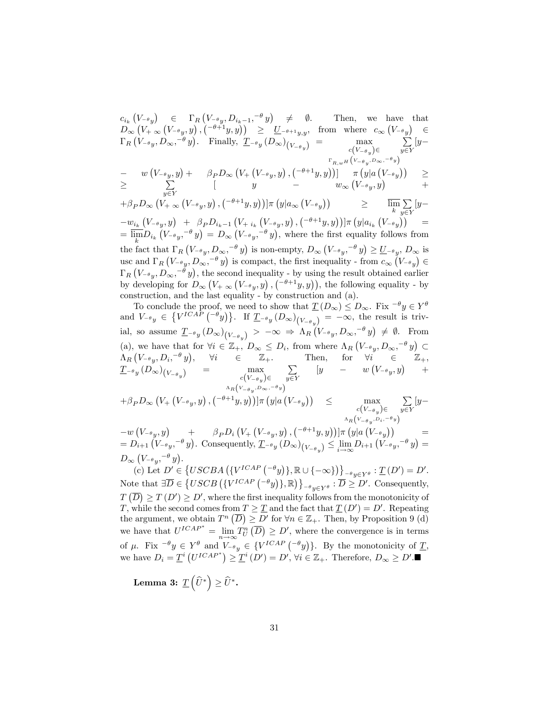$c_{i_k}\left(V_{-\theta y}\right)$   $\in \Gamma_R\left(V_{-\theta y}, D_{i_k-1}, -\theta y\right)$   $\neq \emptyset$ . Then, we have that  $D_\infty\left(V_{+} \propto (V_{-\theta}y,y)\right), \left(\begin{matrix} -\theta+1y,y \end{matrix}\right) \quad \geq \quad U_{-\theta+1}y,y, \quad \text{from \ where \ } c_\infty\left(V_{-\theta}y\right) \quad \in$  $\Gamma_R \left( V_{-\theta_y}, D_{\infty}, -\theta_y \right)$ . Finally,  $\underline{T}_{-\theta_y} \left( D_{\infty} \right)_{\left( V_{-\theta_y} \right)} = \max_{\substack{c \in V_{-\theta_x} \\ c \in V_{-\theta_x}}}$  $c(V_{-\theta y}) \in$  $\Gamma_{R,w}$  H $(V_{-\theta_y}, D_{\infty}, -\theta_y)$  $\sum$  $\sum_{y\in Y} [y -\qquad w\left(V_{-\theta y},y\right)+\qquad \beta_P D_{\infty}\left(V_{+}\left(V_{-\theta y},y\right),\left(^{-\theta+1}y,y\right)\right)]\qquad \pi\left(y|a\left(V_{-\theta y}\right)\right)\qquad\geq$  $\geq$   $\sum_{\substack{ } }$  $\sum_{y \in Y}$   $\left[\begin{array}{ccc} y & - & w_{\infty} (V_{-\theta} y, y) \end{array}\right]$  +  $+\beta_P D_{\infty} (V_{+ \infty} (V_{-\theta y}, y), (-\theta + 1y, y))] \pi (y | a_{\infty} (V_{-\theta y})) \geq \lim_k$  $\overline{\mathrm{m}}\sum_{k}$  $\sum_{y\in Y} [y -w_{i_k} (V_{-\theta y}, y) + \beta_P D_{i_k-1} (V_{+\ i_k} (V_{-\theta y}, y), (-\theta + 1 y, y))] \pi (y | a_{i_k} (V_{-\theta y})) =$  $=\overline{\lim_{k}}D_{i_{k}}\left(V_{-\theta y},^{-\theta} y\right)=D_{\infty}\left(V_{-\theta y},^{-\theta} y\right),$  where the first equality follows from the fact that  $\Gamma_R \left( V_{-\theta y}, D_{\infty}, -\theta y \right)$  is non-empty,  $D_{\infty} \left( V_{-\theta y}, -\theta y \right) \geq \underline{U}_{-\theta y}, D_{\infty}$  is usc and  $\Gamma_R (V_{-\theta_y}, D_{\infty}, -\theta_y)$  is compact, the first inequality - from  $c_{\infty} (V_{-\theta_y}) \in$  $\Gamma_R \left( V_{-\theta y}, D_\infty, -\theta y \right)$ , the second inequality - by using the result obtained earlier by developing for  $D_{\infty}(V_{+} \n\in (V_{-\theta_y}, y), (-\theta+1y, y)),$  the following equality - by construction, and the last equality - by construction and (a).

To conclude the proof, we need to show that  $\underline{T}(D_{\infty}) \leq D_{\infty}$ . Fix  $\overline{y} = Y^{\theta}$ and  $V_{-\theta y} \in \{V^{ICAP}(-\theta y)\}\.$  If  $\underline{T}_{-\theta y}(D_{\infty})(V_{-\theta y}) = -\infty$ , the result is trivial, so assume  $\underline{T}_{-\theta y}(D_{\infty})_{(V_{-\theta_y})} > -\infty \Rightarrow \Lambda_R(V_{-\theta_y}, D_{\infty}, ^{-\theta}y) \neq \emptyset$ . From (a), we have that for  $\forall i \in \mathbb{Z}_+$ ,  $D_{\infty} \leq D_i$ , from where  $\Lambda_R \left( V_{-\theta y}, D_{\infty}, -\theta y \right) \subset$  $\Lambda_R\left(V_{-\theta}v,D_i,^{-\theta}v\right),\hspace{0.5cm} \forall i \hspace{0.5cm}\in\hspace{0.5cm} \mathbb{Z}_+. \hspace{0.5cm} \text{Then,} \hspace{0.5cm} \text{for} \hspace{0.5cm} \forall i \hspace{0.5cm}\in\hspace{0.5cm} \mathbb{Z}_+,$  $\frac{T_{-\theta y}(D_{\infty})_{(V_{-\theta y})}}{(V_{\theta y})}$  = max  $c(V_{-\theta y}) \in$  $\Lambda_R(V_{-\theta_y}, D_{\infty}, -\theta_y)$  $\sum$  $\sum_{y \in Y}$  [y – w  $(V_{-\theta y}, y)$  +

$$
+ \beta_P D_{\infty} \left( V_+ \left( V_{-\theta} y, y \right), \left( ^{-\theta+1} y, y \right) \right) ] \pi \left( y | a \left( V_{-\theta} y \right) \right) \leq \max_{\substack{c \left( V_{-\theta} y \right) \in \mathbb{R} \\ \Lambda_R \left( v_{-\theta} y, D_i, -\theta y \right) }} \sum_{y \in Y} [y -
$$

 $-w\left(V_{-\theta y},y\right)$   $+\beta_P D_i\left(V_+\left(V_{-\theta y},y\right),\left(\begin{matrix}-\theta+1y,y\end{matrix}\right)\right)]\pi\left(y|a\left(V_{-\theta y}\right)\right)$  =  $= D_{i+1} (V_{-\theta y}, -\theta y)$ . Consequently,  $\underline{T}_{-\theta y} (D_{\infty})_{(V_{-\theta y})} \leq \lim_{i \to \infty} D_{i+1} (V_{-\theta y}, -\theta y) =$  $D_{\infty}\left(V_{-\theta y},^{-\theta} y\right).$ 

(c) Let  $D' \in \{USCBA \left( \{V^{ICAP} \left( ^{-\theta} y \right) \}, \mathbb{R} \cup \{ -\infty \} \right) \}_{^{-\theta} y \in Y^{\theta}} : \underline{T}(D') = D'.$ Note that  $\exists \overline{D} \in \{USCB\left( \{V^{ICAP} \left( \begin{matrix} -\theta & y \end{matrix} \right) \}, \mathbb{R} \right) \}$  $e_{y \in Y^{\theta}} : D \geq D'$ . Consequently,  $T(\overline{D}) \geq T(D') \geq D'$ , where the first inequality follows from the monotonicity of T, while the second comes from  $T \geq \underline{T}$  and the fact that  $\underline{T}(D') = D'$ . Repeating the argument, we obtain  $T^n(\overline{D}) \geq D'$  for  $\forall n \in \mathbb{Z}_+$ . Then, by Proposition 9 (d) we have that  $U^{ICAP^*} = \lim_{n \to \infty} T_U^n(\overline{D}) \geq D'$ , where the convergence is in terms of  $\mu$ . Fix  $^{-\theta}y \in Y^{\theta}$  and  $V_{-\theta y} \in \{V^{ICAP} \left( ^{-\theta}y \right) \}$ . By the monotonicity of  $\underline{T}$ , we have  $D_i = \underline{T}^i \left( U^{ICAP^*} \right) \geq \underline{T}^i \left( D' \right) = D', \forall i \in \mathbb{Z}_+$ . Therefore,  $D_{\infty} \geq D'.$ 

Lemma 3:  $\underline{T}\left(\widehat{U}^*\right) \geq \widehat{U}^*.$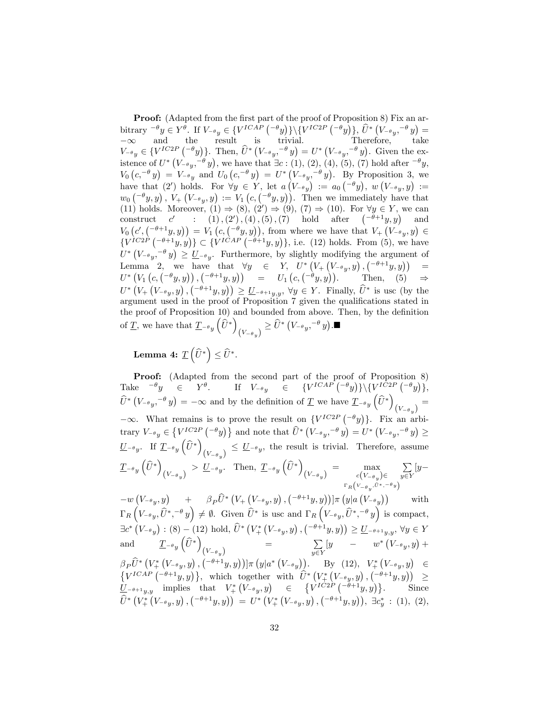**Proof:** (Adapted from the first part of the proof of Proposition 8) Fix an arbitrary  ${}^{\neg \theta} y \in Y^{\theta}$ . If  $V_{\neg \theta y} \in \{V^{ICAP} \({}^{\neg \theta} y)\} \setminus \{V^{IC2P} \({}^{\neg \theta} y)\}, \hat{U}^* \({}^{\vee\neg \theta} y, {}^{\neg \theta} y) =$  $-\infty$  and the result is trivial. Therefore, take  $V_{-\theta y} \in \{V^{IC2P}(\theta y)\}$ . Then,  $\hat{U}^*\left(V_{-\theta y}, -\theta y\right) = U^*\left(V_{-\theta y}, -\theta y\right)$ . Given the existence of  $U^*$   $(V_{-\theta y}^{\quad -\theta} y)$ , we have that  $\exists c : (1), (2), (4), (5), (7)$  hold after  $-\theta y$ ,  $V_0\left(c^{i-\theta} y\right) = V_{-\theta} y$  and  $U_0\left(c^{i-\theta} y\right) = U^* \left(V_{-\theta} y^{i-\theta} y\right)$ . By Proposition 3, we have that (2') holds. For  $\forall y \in Y$ , let  $a(V_{-\theta y}) := a_0 \begin{pmatrix} -\theta y \end{pmatrix}$ ,  $w(V_{-\theta y}, y) :=$  $w_0\left({}^{-\theta}y,y\right), V_+\left(V_{-\theta}y,y\right):= V_1\left(c, \left({}^{-\theta}y,y\right)\right).$  Then we immediately have that (11) holds. Moreover,  $(1) \Rightarrow (8), (2') \Rightarrow (9), (7) \Rightarrow (10)$ . For  $\forall y \in Y$ , we can construct  $c'$  :  $(1), (2), (4), (5), (7)$  hold after  $(-\theta+1y, y)$  and  $V_0\left(c',\binom{-\theta+1}{y,y}\right)=V_1\left(c,\binom{-\theta}{y,y}\right),$  from where we have that  $V_+\left(V_{-\theta,y},y\right)\in$  $\{V^{IC2P}(\text{--}^{\theta+1}y,y)\}\subset \{V^{ICAP}(\text{--}^{\theta+1}y,y)\},\$ i.e. (12) holds. From (5), we have  $U^*\left(V_{-\theta y}, -\theta y\right) \geq U_{-\theta y}$ . Furthermore, by slightly modifying the argument of Lemma 2, we have that  $\forall y \in Y, \quad U^* \left( V_+ \left( V_{-\theta_y}, y \right), \left( -\theta + 1y, y \right) \right) =$  $U^* \left(V_1 \left(c, \left(\begin{matrix} -\theta y, y \end{matrix}\right)\right), \left(\begin{matrix} -\theta + 1 y, y \end{matrix}\right) \right) = U_1 \left(c, \left(\begin{matrix} -\theta y, y \end{matrix}\right)\right).$  Then, (5)  $\Rightarrow$  $U^*\left(V_+\left(V_{-\theta y},y\right),\left(\begin{matrix}-\theta+1y,y\end{matrix}\right)\right) \geq U_{-\theta+1y,y}, \forall y \in Y.$  Finally,  $\widehat{U}^*$  is usc (by the argument used in the proof of Proposition 7 given the qualifications stated in the proof of Proposition 10) and bounded from above. Then, by the definition of  $\underline{T}$ , we have that  $\underline{T}_{-\theta y}(\widehat{U}^*)$  $\left(V_{-\theta_y}\right) \geq \widehat{U}^*\left(V_{-\theta_y}, ^{-\theta}y\right)$ .

Lemma 4:  $\underline{T}\left(\widehat{U}^*\right) \leq \widehat{U}^*.$ 

Proof: (Adapted from the second part of the proof of Proposition 8) Take  $^{-\theta}y \in Y^{\theta}$ . If  $V_{-\theta y} \in \{V^{ICAP}(-^{\theta}y)\}\setminus \{V^{IC2P}(-^{\theta}y)\},\$  $\widehat{U}^* (V_{-\theta y}, -\theta y) = -\infty$  and by the definition of  $\underline{T}$  we have  $\underline{T}_{-\theta y} (\widehat{U}^*)$  $(V_{-\theta_{y}})^{=}$  $-\infty$ . What remains is to prove the result on  $\{V^{IC2P}(\begin{matrix} -\theta y \end{matrix})\}$ . Fix an arbitrary  $V_{-\theta y} \in \left\{ V_{\cdot}^{IC2P} \left( -\theta y \right) \right\}$  and note that  $\widehat{U}^* \left( V_{-\theta y}, -\theta y \right) = U^* \left( V_{-\theta y}, -\theta y \right) \ge$  $\underline{U}_{-\theta y}$ . If  $\underline{T}_{-\theta y}(\widehat{U}^*)$  $(V_{-\theta_y}) \leq U_{-\theta_y}$ , the result is trivial. Therefore, assume  $T_{-\theta}y\left(\widehat{U}^*\right)$  $(V_{-\theta_y}) > U_{-\theta_y}$ . Then,  $\underline{T}_{-\theta_y}(\widehat{U}^*)$  $(V_{-\theta_y})$  = max  $c(V_{-\theta_y})$  $c(V_{-\theta y}) \in$  $\Gamma_R(V_{-\theta_y}, \hat{U}^*,{}^{-\theta_y})$  $\sum$  $\sum_{y\in Y} [y-$ 

 $-w\left(V_{-\theta y},y\right)$  +  $\beta_P \widehat{U}^*\left(V_+\left(V_{-\theta y},y\right),\left^{-\theta+1}y,y\right)\right)]\pi\left(y|a\left(V_{-\theta y},y\right)\right)$  with  $\Gamma_R\left(V_{-\theta y}, \hat{U}^*, -\theta y\right) \neq \emptyset$ . Given  $\hat{U}^*$  is usc and  $\Gamma_R\left(V_{-\theta y}, \hat{U}^*, -\theta y\right)$  is compact,  $\exists c^* (V_{-\theta y}) : (8) - (12) \text{ hold}, \hat{U}^* (V_+^* (V_{-\theta y}, y), (-\theta+1y, y)) \ge \underline{U}_{-\theta+1y,y}, \forall y \in Y$ and  $\mathcal{I}_{-\theta y}(\widehat{U}^*)$  $(V_{-\theta y})$  =  $\sum_{y \in Y} [y - w^* (V_{-\theta y}, y) +$  $y \in Y$  $\beta_P \hat{U}^* \left(V_+^* \left(V_{-\theta y}, y\right), \left( {-\theta +1}y, y\right) \right) ] \pi \left(y | a^* \left(V_{-\theta y}\right)\right)$ . By (12),  $V_+^* \left(V_{-\theta y}, y\right) \in$  $\{V^{ICAP}(-^{\theta+1}y,y)\},\;$  which together with  $\hat{U}^*\left(V^*_{+}(V_{-\theta y},y),(-^{\theta+1}y,y)\right) \geq$  $\underline{\tilde{U}}_{-\theta+1y,y}$  implies that  $V^*_{+}(V_{-\theta y},y) \in \{V^{IC2P}(\tilde{-\theta}+1y,y)\}.$  Since  $\widehat{U}^*\left(V_+^*\left(V_{-\theta y}, y\right), \left( ^{-\theta +1}y, y\right)\right) \;=\; U^*\left(V_+^*\left(V_{-\theta y}, y\right), \left( ^{-\theta +1}y, y\right)\right),\;\exists c_y^*: \;(1),\; (2),$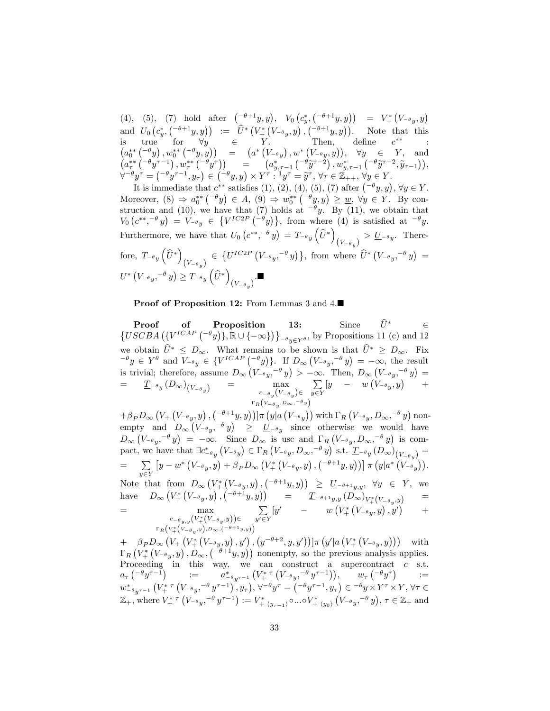(4), (5), (7) hold after  $(-\theta+1y, y)$ ,  $V_0(c^*_{y}, (-\theta+1y, y)) = V^*_{+}(V_{-\theta}y, y)$ and  $U_0\left(c_y^*, \binom{-\theta+1}{y}, y\right) := \hat{U}^*\left(V^*_+\left(V_{-\theta_y}, y\right), \binom{-\theta+1}{y}, y\right)$ . Note that this is true for  $\forall y \in Y$ . Then, define  $c^{**}$  :  $(a_{\tau}^{**}(-\theta y), w_{0}^{**}(-\theta y, y)) = (a^{*}(V_{-\theta y}), w^{*}(V_{-\theta y}, y)), \forall y \in Y, \text{ and}$ <br>  $(a_{\tau}^{**}(-\theta y^{\tau-1}), w_{\tau}^{**}(-\theta y^{\tau})) = (a_{y, \tau-1}^{*}(-\theta \tilde{y}^{\tau-2}), w_{y, \tau-1}^{*}(-\theta \tilde{y}^{\tau-2}, \tilde{y}_{\tau-1})),$  $\forall^{-\theta} y^{\tau} = \left( \begin{matrix} -\theta y^{\tau-1}, y_{\tau} \end{matrix} \right) \in \left( \begin{matrix} -\theta y, y \end{matrix} \right) \times Y^{\tau} : {}^{1}y^{\tau} = \widetilde{y}^{\tau}, \forall \tau \in \mathbb{Z}_{++}, \forall y \in Y$ 

It is immediate that  $c^{**}$  satisfies (1), (2), (4), (5), (7) after  $(-\theta y, y)$ ,  $\forall y \in Y$ . Moreover,  $(8) \Rightarrow a_0^{**}(-^{\theta}y) \in A$ ,  $(9) \Rightarrow w_0^{**}(-^{\theta}y, y) \geq \underline{w}$ ,  $\forall y \in Y$ . By construction and (10), we have that (7) holds at  $\theta$ . By (11), we obtain that  $V_0\left(c^{**},^{-\theta} y\right) = V_{-\theta y} \in \{V^{IC2P} \left(-\theta y\right)\}\,$  from where (4) is satisfied at  $-\theta y$ . Furthermore, we have that  $U_0(e^{**}, -\theta y) = T_{-\theta y}(\widehat{U}^*)$  $(V_{-\theta_y}) > U_{-\theta_y}$ . Therefore,  $T_{-\theta}y(\hat{U}^*)$  $(V_{-\theta_y}) \in \{U^{IC2P} (V_{-\theta_y}, -\theta_y)\}, \text{ from where } \hat{U}^* (V_{-\theta_y}, -\theta_y) =$  $U^*\left(V_{-\theta}y,-\theta y\right) \geq T_{-\theta}y\left(\widehat{U}^*\right)$  $(V_{-\theta_y})$ .

Proof of Proposition 12: From Lemmas 3 and 4.■

**Proof of Proposition 13:** Since  $U^* \in \{USCBA \left( \{V^{ICAP} \left( -\theta_y \right) \}, \mathbb{R} \cup \{-\infty\} \right) \}_{-\theta_y \in Y^{\theta}}$ , by Propositions 11 (c) and 12 we obtain  $\hat{U}^* \leq D_{\infty}$ . What remains to be shown is that  $\hat{U}^* \geq D_{\infty}$ . Fix  $e^{-\theta}y \in Y^{\theta}$  and  $V_{-\theta y} \in \{V^{ICAP} \begin{pmatrix} -\theta y \end{pmatrix}\}\$ . If  $D_{\infty}(V_{-\theta y}, -\theta y) = -\infty$ , the result is trivial; therefore, assume  $D_{\infty}(V_{-\theta y}, -\theta y) > -\infty$ . Then,  $D_{\infty}(V_{-\theta y}, -\theta y) =$  $=\qquad \underline{T}_{-\theta y}\left(D_{\infty}\right)_{\left(V_{-\theta y}\right)}\qquad \ =\qquad \qquad \max_{\theta\in\mathbb{R}^d\left(V_{-\theta y}\right)}$  $c_{-\theta}y(V_{-\theta}y)\in$  $\Gamma_R(V_{-\theta_y}, D_{\infty}, ^{-\theta_y})$  $\sum$  $\sum_{y\in Y} [y - w(\nu_{-\theta y}, y) +$ 

 $+\beta_P D_{\infty}\left(V_+\left(V_{-\theta y,y}y\right),\left(\frac{-\theta+1}{2}y,y\right)\right)]\pi\left(y|a\left(V_{-\theta y}\right)\right)$  with  $\Gamma_R\left(V_{-\theta y},D_{\infty},-\theta y\right)$  nonempty and  $D_{\infty}(V_{-\theta y}, -\theta y) \ge U_{-\theta y}$  since otherwise we would have  $D_{\infty}(V_{-\theta y}, -\theta y) = -\infty$ . Since  $D_{\infty}$  is usc and  $\Gamma_R(V_{-\theta y}, D_{\infty}, -\theta y)$  is compact, we have that  $\exists c^*_{-\theta_y} (V_{-\theta_y}) \in \Gamma_R (V_{-\theta_y}, D_{\infty}, ^{-\theta} y)$  s.t.  $T_{-\theta_y} (D_{\infty})_{(V_{-\theta_y})} =$ =  $\sum_{x,y} \left[ y - w^* \left( V_{-\theta y}, y \right) + \beta_P D_{\infty} \left( V_+^* \left( V_{-\theta y}, y \right), \left( \begin{matrix} -\theta + 1_y, y \end{matrix} \right) \right) \right] \pi \left( y | a^* \left( V_{-\theta y} \right) \right).$  $y \in Y$ Note that from  $D_{\infty}(V^*_+(V_{-\theta y}, y), (-\theta+1 y, y)) \ge U_{-\theta+1 y, y}, \forall y \in Y$ , we

have  $D_{\infty}(V^*_+(V_{-\theta y},y),({-\theta+1}y,y)) = \underline{T}_{-\theta+1y,y}(D_{\infty})_{V^*_+(V_{-\theta y},y)}$  =  $=$  max  $c_{-\theta_{y,y}}(V^*_+(V_{-\theta_{y}},y)) \in$  $\Gamma_R\Big(V^*_+\Big(V_{-\theta\,y},y\Big),D_\infty, \left( ^{-\theta+1}y,y\right)\Big)$  $\sum$  $y'\in Y$  $[y' - w (V^*_+(V_{-\theta y}, y), y') + w (V^*_+(V_{-\theta y}, y), y')$ 

 $+ \quad \beta_P D_\infty \left( V_+ \left( V_+^* \left( V_{-\theta y} , y \right) , y' \right) , \left( y^{-\theta+2} , y , y' \right) \right) ] \pi \left( y' | a \left( V_+^* \left( V_{-\theta y} , y \right) \right) \right) \quad \text{with}$  $\Gamma_R\left(V^*_+(V_{-\theta_y},y),D_\infty,\left({-\theta+1}y,y\right)\right)$  nonempty, so the previous analysis applies. Proceeding in this way, we can construct a supercontract  $c$  s.t.  $a_{\tau} \left( \begin{matrix} -\theta y^{\tau-1} \end{matrix} \right) \qquad := \qquad a_{-\theta y^{\tau-1}}^* \left( V_+^* \tau \left( V_{-\theta y}^{}, -\theta y^{\tau-1} \right) \right), \qquad w_{\tau} \left( \begin{matrix} -\theta y^{\tau} \end{matrix} \right) \qquad :=$  $w_{-\theta y^{\tau-1}}^*\left(V_+^*\right.^\tau\left(V_{-\theta y},^{-\theta}y^{\tau-1}\right),y_\tau\right),\,\forall^{-\theta}y^\tau=\left({^{-\theta}y^{\tau-1}},y_\tau\right)\in\,^{-\theta}y\times Y^\tau\times Y,\,\forall\tau\in$  $\mathbb{Z}_{+}$ , where  $V_{+}^{* \tau} (V_{-\theta y}$ ,  $^{-\theta} y^{\tau-1}) := V_{+ \ \langle y_{\tau-1} \rangle}^{*} \circ ... \circ V_{+ \ \langle y_{0} \rangle}^{*} (V_{-\theta y}$ ,  $^{-\theta} y)$ ,  $\tau \in \mathbb{Z}_{+}$  and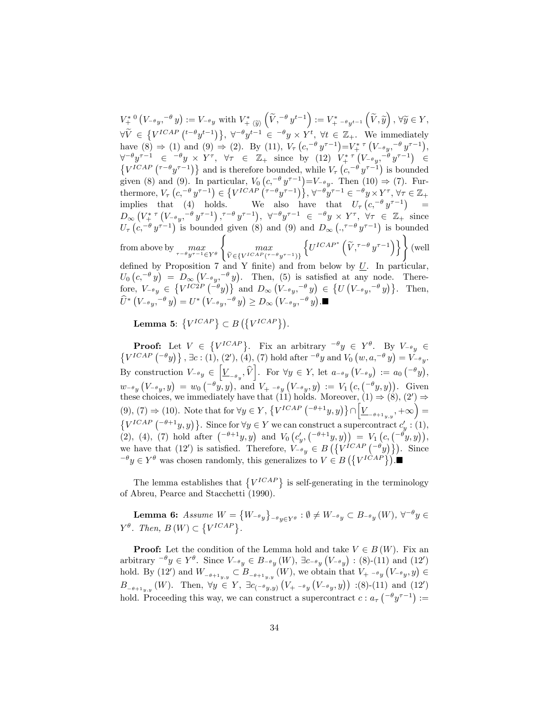$V^*_{+}{}^0(V_{-\theta y},^{-\theta} y) := V_{-\theta y}$  with  $V^*_{+}{}_{\langle \widetilde{y} \rangle}(\widetilde{V},^{-\theta} y^{t-1}) := V^*_{+}{}_{-\theta y^{t-1}}$ +  $\langle \widetilde{y} \rangle$  $\left(\widetilde{V}, \widetilde{y}\right),\, \forall \widetilde{y}\in Y,$  $\forall \widetilde{V} \in \{V^{ICAP}(t-\theta y^{t-1})\}, \forall^{-\theta} y^{t-1} \in \neg \theta y \times Y^t, \forall t \in \mathbb{Z}_+.$  We immediately have  $(8) \Rightarrow (1)$  and  $(9) \Rightarrow (2)$ . By  $(11)$ ,  $V_\tau (c, -\theta y^{\tau-1}) = V^*_{+}^{\tau} (V_{-\theta y} - \theta y^{\tau-1}),$  $\forall^{-\theta} y^{\tau-1} \in {}^{-\theta} y \times Y^{\tau}, \forall \tau \in \mathbb{Z}_+ \text{ since by (12) } V^*_{+}^{\tau} (V_{-\theta} y, {}^{-\theta} y^{\tau-1}) \in \mathbb{Z}_+ \times \mathbb{Z}_+ \times \mathbb{Z}_+ \times \mathbb{Z}_+ \times \mathbb{Z}_+ \times \mathbb{Z}_+ \times \mathbb{Z}_+ \times \mathbb{Z}_+ \times \mathbb{Z}_+ \times \mathbb{Z}_+ \times \mathbb{Z}_+ \times \mathbb{Z}_+ \times \mathbb{Z}_+ \times \mathbb{Z}_+ \times \mathbb{Z}_+ \times \math$  $\{V^{ICAP}(\tau^{-\theta}y^{\tau-1})\}$  and is therefore bounded, while  $V_{\tau}(c, -\theta y^{\tau-1})$  is bounded given (8) and (9). In particular,  $V_0(c, -\theta y^{\tau-1})=V_{-\theta y}$ . Then (10)  $\Rightarrow$  (7). Furthermore,  $V_{\tau}$   $(c, ^{-\theta} y^{\tau-1}) \in \{V^{ICAP} (\tau^{-\theta} y^{\tau-1})\}, \forall ^{-\theta} y^{\tau-1} \in {}^{-\theta} y \times Y^{\tau}, \forall \tau \in \mathbb{Z}_{+}$ implies that (4) holds. We also have that  $U_{\tau} (c, -\theta y^{\tau-1})$  =  $D_{\infty}\left(V_{+}^{* \tau}\left(V_{-}^{\theta} y, -\theta y^{\tau-1}\right), \tau-\theta y^{\tau-1}\right), \ \forall^{-} \theta y^{\tau-1} \in \{-\theta y \times Y^{\tau}, \ \forall \tau \in \mathbb{Z}_{+} \text{ since }$  $U_{\tau}\left(c,-\theta y^{\tau-1}\right)$  is bounded given (8) and (9) and  $D_{\infty}\left(.,\tau-\theta y^{\tau-1}\right)$  is bounded from above by  $max$  $\tau-\theta y^{\tau-1} \in Y^{\theta}$  $\sqrt{ }$ max  $\widehat{V} \in \{V^{ICAP}(\tau - \theta y \tau - 1)\}$  $\left\{U^{ICAP^*}\left(\widetilde{V},\tau^{-\theta}y^{\tau-1}\right)\right\}\right\}$  (well defined by Proposition 7 and Y finite) and from below by  $U$ . In particular,  $U_0\left(c^{-\theta}y\right) = D_{\infty}\left(V_{-\theta y}, -\theta y\right)$ . Then, (5) is satisfied at any node. Therefore,  $V_{-\theta y} \in \{V^{IC2P}(\tilde{-\theta}y)\}$  and  $D_{\infty}(V_{-\theta y}, -\theta y) \in \{U(V_{-\theta y}, -\theta y)\}$ . Then,  $\widehat{U}^*\left(V_{-\theta}{}_{y},^{-\theta}y\right)=U^*\left(V_{-\theta}{}_{y},^{-\theta}y\right)\geq D_\infty\left(V_{-\theta}{}_{y},^{-\theta}y\right).$ 

Lemma 5:  $\{V^{ICAP}\}\subset B\left(\{V^{ICAP}\}\right)$ .

**Proof:** Let  $V \in \{V^{ICAP}\}\$ . Fix an arbitrary  $^{-\theta}y \in Y^{\theta}$ . By  $V_{-\theta}y \in Y$ .  $\{V^{ICAP} \left( ^{-\theta} y \right) \}$ ,  $\exists c : (1), (2'), (4), (7)$  hold after  $^{-\theta} y$  and  $V_0 \left( w, a, ^{-\theta} y \right) = V_{-\theta} y$ . By construction  $V_{-\theta y} \in \left[\underline{V}_{-\theta y}, \widehat{V}\right]$ . For  $\forall y \in Y$ , let  $a_{-\theta y} (V_{-\theta y}) := a_0 (-\theta y)$ ,  $w_{-\theta_y}\left(V_{-\theta_y},y\right) \: = \: w_0\left(\begin{smallmatrix} -\theta_y, y \end{smallmatrix}\right), \: \text{and} \: \: V_{+} \:_{-\theta_y}\left(V_{-\theta_y}, y\right) \: := \: V_1\left(c, \left(\begin{smallmatrix} -\theta_y, y \end{smallmatrix}\right)\right). \: \: \text{Given}$ these choices, we immediately have that (11) holds. Moreover,  $(1) \Rightarrow (8)$ ,  $(2') \Rightarrow$ (9), (7)  $\Rightarrow$  (10). Note that for  $\forall y \in Y, \{V^{ICAP} \left( -\theta +1y, y \right) \} \cap \left[ \underline{V}_{-\theta+1y,y}, +\infty \right) =$  $\{V^{ICAP} \left( ^{-\theta +1}y,y \right) \}$ . Since for  $\forall y \in Y$  we can construct a supercontract  $c_{y}^{\prime}$  : (1), (2), (4), (7) hold after  $(-\theta+1y, y)$  and  $V_0(c'_y, (-\theta+1y, y)) = V_1(c, (-\theta y, y)),$ we have that (12') is satisfied. Therefore,  $V_{-\theta y} \in B\left(\left\{V^{ICAP}(-\theta y)\right\}\right)$ . Since  $e^{-\theta}y \in Y^{\theta}$  was chosen randomly, this generalizes to  $V \in B(\lbrace V^{ICAP} \rbrace)$ .

The lemma establishes that  ${V^{ICAP}}$  is self-generating in the terminology of Abreu, Pearce and Stacchetti (1990).

**Lemma 6:** Assume  $W = \{W_{-\theta y}\}$  $e^{-\theta}y \in Y^{\theta}$  :  $\emptyset \neq W_{-\theta}y \subset B_{-\theta}y(W)$ ,  $\forall^{-\theta}y \in Y$  $Y^{\theta}$ . Then,  $B(W) \subset \{V^{ICAP}\}.$ 

**Proof:** Let the condition of the Lemma hold and take  $V \in B(W)$ . Fix an arbitrary  ${}^{-\theta}y \in Y^{\theta}$ . Since  $V_{-\theta y} \in B_{-\theta y}(W)$ ,  $\exists c_{-\theta y}(V_{-\theta y}) : (8)-(11)$  and  $(12')$ hold. By (12') and  $W_{-\theta+1_{y,y}} \subset B_{-\theta+1_{y,y}}(W)$ , we obtain that  $V_{+}$   $\rightarrow$   $_{y}(V_{-\theta,y}, y) \in$  $B_{-\theta+1_{y,y}}(W)$ . Then,  $\forall y \in Y$ ,  $\exists c_{(-\theta y,y)} (V_{+} - \theta_y (V_{-\theta_y}, y))$  :(8)-(11) and (12') hold. Proceeding this way, we can construct a supercontract  $c : a_{\tau} \left( \begin{matrix} -\theta y^{\tau-1} \end{matrix} \right) :=$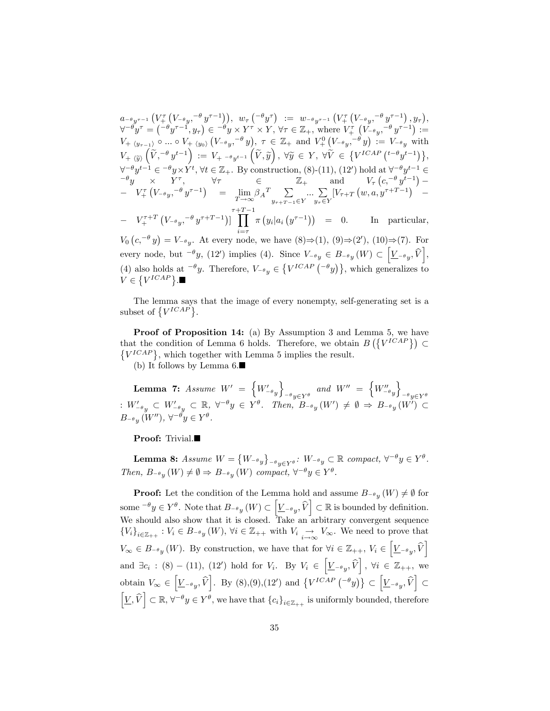$a_{-\theta}y_{\tau-1}\left(V_{+}^{\tau}\left(V_{-\theta}{}_{y},^{-\theta}y^{\tau-1}\right)\right),\;\;w_{\tau}\left({^{-\theta}y^{\tau}}\right)\;\;:=\;\;w_{-\theta}{}_{y^{\tau-1}}\left(V_{+}^{\tau}\left(V_{-\theta}{}_{y},^{-\theta}y^{\tau-1}\right),y_{\tau}\right),$  $\forall^{-\theta} y^{\tau} = (\overline{-\theta} y^{\tau-1}, y_{\tau}) \in \overline{-\theta} y \times Y^{\tau} \times Y, \forall \tau \in \mathbb{Z}_+, \text{ where } V^{\tau}_{+}(V_{-\theta}y, \overline{-\theta} y^{\tau-1}) :=$  $V_{+\langle y_{\tau-1}\rangle} \circ ... \circ V_{+\langle y_0\rangle} (V_{-\theta y} , ^{-\theta} y), \tau \in \mathbb{Z}_+ \text{ and } V^0_+ (V_{-\theta y} , ^{-\theta} y) := V_{-\theta y} \text{ with }$  $V_{+}(\widetilde{y})\left(\widetilde{V},^{-\theta}y^{t-1}\right) := V_{+} - \theta y^{t-1}\left(\widetilde{V},\widetilde{y}\right), \ \forall \widetilde{y} \in Y, \ \forall \widetilde{V} \in \left\{V^{ICAP}\left(^{t-\theta}y^{t-1}\right)\right\},$  $\forall^{-\theta} y^{t-1} \in {}^{-\theta} y \times Y^t, \forall t \in \mathbb{Z}_+$ . By construction, (8)-(11), (12') hold at  $\forall^{-\theta} y^{t-1} \in$  $e^{-\theta}y \quad \times \quad Y^{\tau}, \qquad \forall \tau \qquad \in \qquad \mathbb{Z}_{+} \qquad \text{and} \qquad V_{\tau}\left(c, \frac{-\theta}{y^{t-1}}\right) -V^{\tau}_{+}(V_{-\theta y}, -\theta y^{\tau-1}) = \lim_{T \to \infty}$  $\lim_{T \to \infty} \beta_A T \sum_{y_{\tau+T-1}}$  $y_{\tau+T-1} \in Y$  $\ldots$   $\sum$  $y_\tau \in Y$  $[V_{\tau+T}(w, a, y^{\tau+T-1})]$  – -  $V_+^{\tau+T} (V_{-\theta y}, ^{-\theta} y^{\tau+T-1})$ ]  $\prod_{\alpha=1}^{r+T-1}$  $\pi(y_i|a_i(y^{\tau-1})) = 0.$  In particular,

 $i = \tau$  $V_0\left(c^{-\theta} y\right) = V_{-\theta y}$ . At every node, we have  $(8)\Rightarrow (1), (9)\Rightarrow (2'), (10)\Rightarrow (7)$ . For every node, but  $^{-\theta}y$ , (12') implies (4). Since  $V_{-\theta y} \in B_{-\theta y}(W) \subset \left[\underline{V}_{-\theta y}, \widehat{V}\right]$ , (4) also holds at  $\theta$ . Therefore,  $V_{-\theta y} \in \{V^{ICAP}(\theta y)\}\,$ , which generalizes to  $V \in \left\{V^{ICAP}\right\}$ .

The lemma says that the image of every nonempty, self-generating set is a subset of  $\{V^{ICAP}\}.$ 

Proof of Proposition 14: (a) By Assumption 3 and Lemma 5, we have that the condition of Lemma 6 holds. Therefore, we obtain  $B(\lbrace V^{ICAP} \rbrace) \subset$  $\{V^{ICAP}\}\$ , which together with Lemma 5 implies the result.

(b) It follows by Lemma 6.

**Lemma 7:** Assume  $W' = \{W'_{-\theta y}\}$  $\overline{1}$  $e^{-\theta}y \in Y^{\theta}$ and  $W'' = \begin{cases} W''_{-\theta} & \text{if } w \leq w \end{cases}$  $\overline{1}$  $e^{-\theta}y \in Y^{\theta}$ :  $W'_{-\theta_y} \subset W'_{-\theta_y} \subset \mathbb{R}, \ \forall^{-\theta_y} \in Y^{\theta}$ . Then,  $B_{-\theta_y}(W') \neq \emptyset \Rightarrow B_{-\theta_y}(W') \subset$  $B_{-\theta y}(W'')$ ,  $\forall^{-\theta} y \in Y^{\theta}$ .

### Proof: Trivial.

Lemma 8:  $Assume W = \{W_{-\theta y}\}$  $e^{-\theta}y \in Y^{\theta}$ :  $W^{-\theta}y \subset \mathbb{R}$  compact,  $\forall^{-\theta}y \in Y^{\theta}$ . Then,  $B_{-\theta y}(W) \neq \emptyset \Rightarrow B_{-\theta y}(W)$  compact,  $\forall^{-\theta} y \in Y^{\theta}$ .

**Proof:** Let the condition of the Lemma hold and assume  $B_{-\theta y}(W) \neq \emptyset$  for some  $e^{-\theta} y \in Y^{\theta}$ . Note that  $B_{-\theta} y(W) \subset \left[\underline{V}_{-\theta} y, \widehat{V}\right] \subset \mathbb{R}$  is bounded by definition. We should also show that it is closed. Take an arbitrary convergent sequence  ${V_i}_{i \in \mathbb{Z}_{++}} : V_i \in B_{-\theta y}(W), \forall i \in \mathbb{Z}_{++} \text{ with } V_i \underset{i \to \infty}{\to} V_{\infty}.$  We need to prove that  $V_{\infty} \in B_{-\theta_y}(W)$ . By construction, we have that for  $\forall i \in \mathbb{Z}_{++}$ ,  $V_i \in \left[\underline{V}_{-\theta_y}, \widehat{V}\right]$ and  $\exists c_i : (8) - (11)$ ,  $(12')$  hold for  $V_i$ . By  $V_i \in \left[\underline{V}_{-\theta_y}, \widehat{V}\right]$ ,  $\forall i \in \mathbb{Z}_{++}$ , we obtain  $V_{\infty} \in \left[\underline{V}_{-\theta_y}, \widehat{V}\right]$ . By (8),(9),(12') and  $\{V^{ICAP} \left(-\theta_y\right)\} \subset \left[\underline{V}_{-\theta_y}, \widehat{V}\right]$  $\subset$  $\left[\underline{V}, \widehat{V}\right] \subset \mathbb{R}, \forall^{-\theta} y \in Y^{\theta}$ , we have that  $\{c_i\}_{i \in \mathbb{Z}_{++}}$  is uniformly bounded, therefore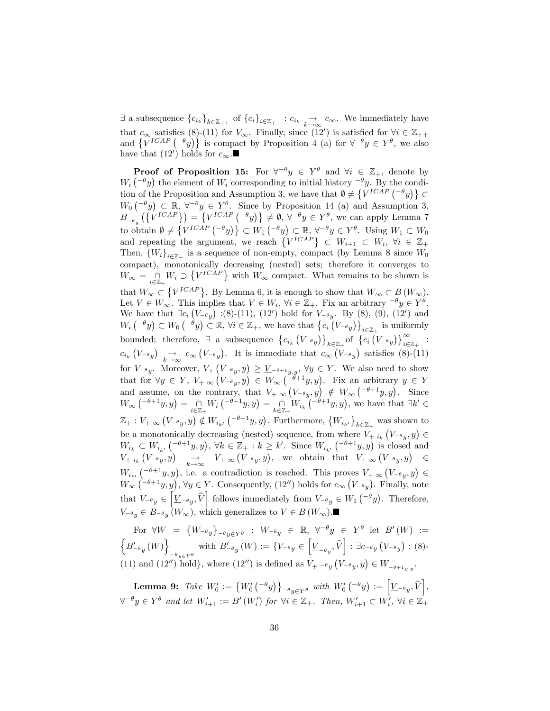$\exists$  a subsequence  ${c_i}_k$ ,  ${}_{k \in \mathbb{Z}_{++}}$  of  ${c_i}_i$ ,  ${}_{i \in \mathbb{Z}_{++}}$  :  $c_{i_k} \rightarrow c_{\infty}$ . We immediately have that  $c_{\infty}$  satisfies (8)-(11) for  $V_{\infty}$ . Finally, since (12') is satisfied for  $\forall i \in \mathbb{Z}_{++}$ and  $\{V^{ICAP}(-^{\theta}y)\}\)$  is compact by Proposition 4 (a) for  $\forall^{-\theta}y \in Y^{\theta}$ , we also have that  $(12')$  holds for  $c_{\infty}$ .

**Proof of Proposition 15:** For  $\forall^{-\theta}y \in Y^{\theta}$  and  $\forall i \in \mathbb{Z}_+$ , denote by  $W_i\left(\begin{matrix}-\theta_y\end{matrix}\right)$  the element of  $W_i$  corresponding to initial history  $-\theta_y$ . By the condition of the Proposition and Assumption 3, we have that  $\emptyset \neq \{V^{ICAP} \left( \begin{matrix} -\theta y \end{matrix} \right)\} \subset$  $W_0\left(\begin{array}{c}\begin{array}{c}\begin{array}{c}\end{array}\\ \end{array}\right) \subset \mathbb{R}, \forall^{-\theta} y \in Y^{\theta}$ . Since by Proposition 14 (a) and Assumption 3,  $B_{-\theta_y}(\lbrace V^{ICAP} \rbrace) = \lbrace V^{ICAP} (\lbrace -\theta_y \rbrace) \rbrace \neq \emptyset, \forall \lbrace -\theta_y \in Y^{\theta}, \exists y \in \text{ann} \text{ apply Lemma 7} \rbrace$ to obtain  $\emptyset \neq \left\{V^{ICAP} \left( \begin{matrix} -\theta y \end{matrix} \right) \right\} \subset W_1 \left( \begin{matrix} -\theta y \end{matrix} \right) \subset \mathbb{R}, \forall^{-\theta} y \in Y^{\theta}$ . Using  $W_1 \subset W_0$ and repeating the argument, we reach  $\{V^{ICAP}\}\subset W_{i+1}\subset W_i, \forall i \in \mathbb{Z}_+$ Then,  ${W_i}_{i \in \mathbb{Z}_+}$  is a sequence of non-empty, compact (by Lemma 8 since  $W_0$ ) compact), monotonically decreasing (nested) sets; therefore it converges to  $W_{\infty} = \bigcap_{i \in \mathbb{Z}_+} W_i \supset \{ V^{ICAP} \}$  with  $W_{\infty}$  compact. What remains to be shown is that  $W_{\infty} \subset \{V^{ICAP}\}\.$  By Lemma 6, it is enough to show that  $W_{\infty} \subset B(W_{\infty})$ . Let  $V \in W_{\infty}$ . This implies that  $V \in W_i$ ,  $\forall i \in \mathbb{Z}_+$ . Fix an arbitrary  $\{-\theta y \in Y^{\theta}$ . We have that  $\exists c_i (V_{-\theta y})$  :(8)-(11), (12') hold for  $V_{-\theta y}$ . By (8), (9), (12') and  $W_i\left(\begin{matrix} -\theta y \end{matrix}\right) \subset W_0\left(\begin{matrix} -\theta y \end{matrix}\right) \subset \mathbb{R}, \forall i \in \mathbb{Z}_+,$  we have that  $\{c_i\left(\begin{matrix} V_{-\theta} y \end{matrix}\right)\}\$  $i \in \mathbb{Z}_+$  is uniformly bounded; therefore,  $\exists$  a subsequence  $\{c_{i_k}(V_{-\theta y})\}$  $\mathit{k}\in\mathbb{Z}_{+}$  of  $\Big\{ \mathit{c}_{i}\left(V_{-\mathit{\theta_{y}}}\right)\Big\} _{i\in\mathbb{Z}_{+}^{+}}^{\infty}$  $\sum_{i\in\mathbb{Z}_+}$  :  $c_{i_k}(V_{-\theta y}) \underset{k \to \infty}{\to} c_{\infty}(V_{-\theta y})$ . It is immediate that  $c_{\infty}(V_{-\theta y})$  satisfies (8)-(11) for  $V_{-\theta y}$ . Moreover,  $V_+\left(V_{-\theta y}, y\right) \geq \underline{V}_{-\theta+1y,y}, \forall y \in Y$ . We also need to show that for  $\forall y \in Y, V_{+} \in (V_{-\theta}y, y) \in W_{\infty}(\tilde{\theta}+1y, y)$ . Fix an arbitrary  $y \in Y$ and assume, on the contrary, that  $V_{+} \propto (V_{-\theta} y, y) \notin W_{\infty}(-\theta + 1y, y)$ . Since  $W_{\infty} \left( \zeta^{-\theta+1} y, y \right) = \bigcap_{i \in \mathbb{Z}_+} W_i \left( \zeta^{-\theta+1} y, y \right) = \bigcap_{k \in \mathbb{Z}_+} W_{i_k} \left( \zeta^{-\theta+1} y, y \right)$ , we have that  $\exists k' \in \mathbb{Z}_+$  $\mathbb{Z}_+ : V_{+} \n\in (V_{-\theta y}, y) \notin W_{i_{k'}}\left( -\theta + 1y, y \right)$ . Furthermore,  $\{W_{i_{k'}}\}$  $k \in \mathbb{Z}_+$  was shown to be a monotonically decreasing (nested) sequence, from where  $V_{+ i_k}(V_{-\theta_y}, y)$  $\epsilon$  $W_{i_k} \subset W_{i_{k'}}\left(\begin{matrix} -\theta+1y, y \end{matrix}\right), \forall k \in \mathbb{Z}_+ : k \geq k'.$  Since  $W_{i_{k'}}\left(\begin{matrix} -\theta+1y, y \end{matrix}\right)$  is closed and  $V_{+ i_k}(V_{- \theta y}, y) \longrightarrow_{k \to \infty} V_{+ \infty} (V_{- \theta y}, y),$  we obtain that  $V_{+ \infty} (V_{- \theta y}, y) \in$  $W_{i_{k'}}\left(\begin{matrix}-\theta+1\\y,y\end{matrix}\right)$ , i.e. a contradiction is reached. This proves  $V_{+}\infty$   $(V_{-\theta y},y)\in$  $W_{\infty}(\overline{-\theta+1}y, y), \forall y \in Y$ . Consequently, (12'') holds for  $c_{\infty}(V_{-\theta y})$ . Finally, note that  $V_{-\theta y} \in \left[\underline{V}_{-\theta y}, \widehat{V}\right]$  follows immediately from  $V_{-\theta y} \in W_1\left(-\theta y\right)$ . Therefore,  $V_{-\theta y} \in B_{-\theta y} (W_{\infty}),$  which generalizes to  $V \in B(W_{\infty}).$ 

For  $\forall W = \{W_{-\theta y}\}\$  $e^{-\theta}y \in Y^{\theta}$  :  $W^{-\theta}y \in \mathbb{R}, \ \ \forall^{-\theta}y \in Y^{\theta}$  let  $B'(W) :=$  $\left\{B_{-\theta}^{\prime}\left(W\right)\right\}$  $-\theta$ <sub>y</sub> $\in Y^{\theta}$ with  $B_{-\theta_y}^\prime(W):=\{V_{-\theta_y}\in \left[\underline{V}_{-\theta_y},\widehat{V}\right]:\exists c_{-\theta_y}\left(V_{-\theta_y}\right):$  (8)-(11) and (12") hold, where (12") is defined as  $V_{+}$   $\rightarrow$   $_{y}(V_{-\theta y}, y) \in W_{-\theta+1_{y,y}}$ .

 $\textbf{Lemma 9:} \ \ \textit{Take} \ \ W_0' := \big\{ W_0' \left( \begin{smallmatrix} -\theta \end{smallmatrix} \right) \big\}_{-\theta \textit{y} \in Y^{\theta}} \ \ \textit{with} \ \ W_0' \left( \begin{smallmatrix} -\theta \end{smallmatrix} \right) := \Big[ \underline{V}_{-\theta \textit{y}}, \widehat{V} \Big],$  $\forall^{-\theta} y \in Y^{\theta}$  and let  $W'_{i+1} := B'(W'_{i})$  for  $\forall i \in \mathbb{Z}_{+}$ . Then,  $W'_{i+1} \subset W'_{i}$ ,  $\forall i \in \mathbb{Z}_{+}$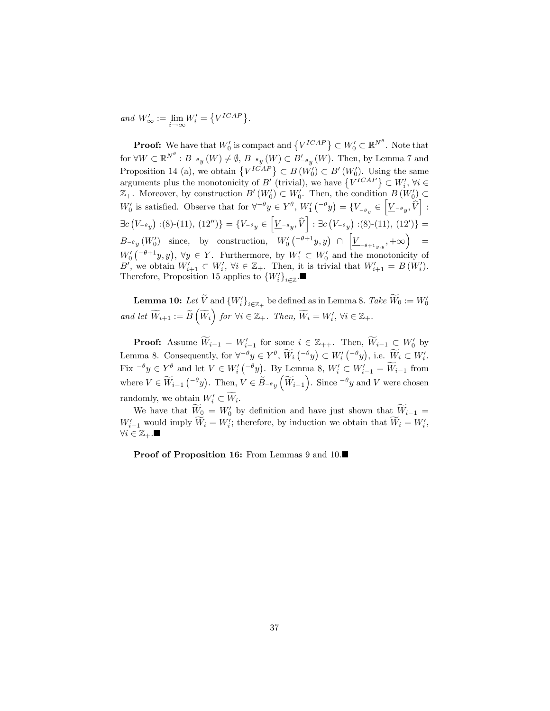and  $W'_{\infty} := \lim_{i \to \infty} W'_i = \{ V^{ICAP} \}.$ 

**Proof:** We have that  $W'_0$  is compact and  $\{V^{ICAP}\}\subset W'_0\subset \mathbb{R}^{N^{\theta}}$ . Note that for  $\forall W \subset \mathbb{R}^{N^{\theta}} : B_{-\theta_y}(W) \neq \emptyset$ ,  $B_{-\theta_y}(W) \subset B'_{-\theta_y}(W)$ . Then, by Lemma 7 and Proposition 14 (a), we obtain  ${V^{ICAP}} \subset B(W_0') \subset B'(W_0')$ . Using the same arguments plus the monotonicity of  $B'$  (trivial), we have  $\{V^{ICAP}\}\subset W'_i, \forall i\in$  $\mathbb{Z}_+$ . Moreover, by construction  $B'(W'_0) \subset W'_0$ . Then, the condition  $B(W'_0) \subset$  $W'_0$  is satisfied. Observe that for  $\forall^{-\theta} y \in Y^{\theta}$ ,  $W'_1({}^{-\theta} y) = \{V_{-\theta_y} \in Y^{\theta} \}$  $\left[\underline{V}_{-\theta y}, \hat{V}\right]$ :  $\exists c (V_{-\theta y}) : (8)-(11), (12'')\} = \{V_{-\theta y} \in \left[\underline{V}_{-\theta y}, \widehat{V}\right] : \exists c (V_{-\theta y}) : (8)-(11), (12')\} =$  $B_{-\theta} (W_0')$  since, by construction,  $W_0'(-\theta+1y, y) \cap$  $\left[ \underline{V}_{-\theta+1_{y,y}},+\infty\right) \quad =% \quad \ \ \, \nonumber$  $W_0'(-\theta+1y, y), \forall y \in Y$ . Furthermore, by  $W_1' \subset W_0'$  and the monotonicity of B', we obtain  $W'_{i+1} \subset W'_{i}$ ,  $\forall i \in \mathbb{Z}_{+}$ . Then, it is trivial that  $W'_{i+1} = B(W'_{i})$ . Therefore, Proposition 15 applies to  ${W_i'}_{i \in \mathbb{Z}}$ .

**Lemma 10:** Let V and  ${W_i'}_{i \in \mathbb{Z}_+}$  be defined as in Lemma 8. Take  $W_0 := W_0'$ and let  $\widetilde{W}_{i+1} := \widetilde{B}\left(\widetilde{W}_{i}\right)$  for  $\forall i \in \mathbb{Z}_{+}$ . Then,  $\widetilde{W}_{i} = W'_{i}$ ,  $\forall i \in \mathbb{Z}_{+}$ .

**Proof:** Assume  $W_{i-1} = W'_{i-1}$  for some  $i \in \mathbb{Z}_{++}$ . Then,  $W_{i-1} \subset W'_{0}$  by  $i-1$ Lemma 8. Consequently, for  $\forall^{-\theta} y \in Y^{\theta}$ ,  $\widetilde{W}_i \left( \{-\theta y \right) \subset W'_i \left( \{-\theta y \right)$ , i.e.  $\widetilde{W}_i \subset W'_i$ . Fix  $\theta^{\theta} y \in Y^{\theta}$  and let  $V \in W'_{i} (\theta^{\theta} y)$ . By Lemma 8,  $W'_{i} \subset W'_{i-1} = \widetilde{W}_{i-1}$  from where  $V \in \widetilde{W}_{i-1} \left( \begin{matrix} -\theta_y \end{matrix} \right)$ . Then,  $V \in \widetilde{B}_{-\theta_y} \left( \widetilde{W}_{i-1} \right)$ . Since  $\overline{\theta}_y$  and V were chosen randomly, we obtain  $W_i' \subset W_i$ .

We have that  $W_0 = W'_0$  by definition and have just shown that  $W_{i-1} =$  $W'_{i-1}$  would imply  $W_i = W'_i$ ; therefore, by induction we obtain that  $W_i = W'_i$ ,  $\forall i \in \mathbb{Z}_{+}$ .

Proof of Proposition 16: From Lemmas 9 and 10.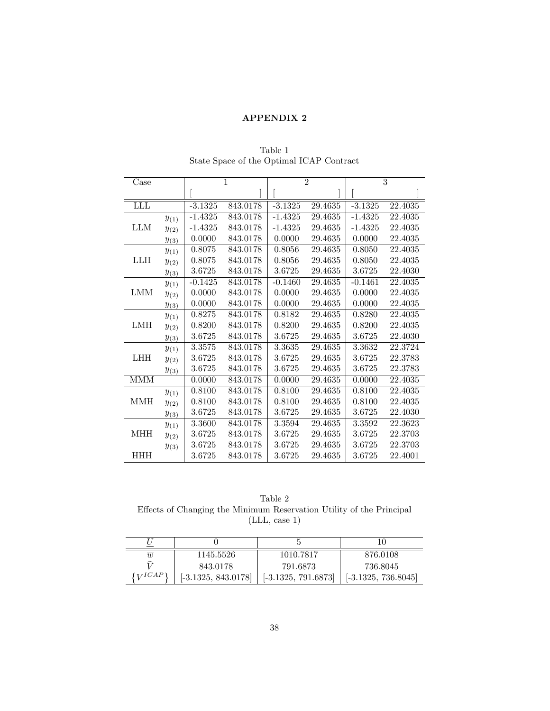### APPENDIX 2

| Case       |                      | $\overline{1}$ |          | $\overline{2}$ |         | 3         |         |
|------------|----------------------|----------------|----------|----------------|---------|-----------|---------|
|            |                      |                |          |                |         |           |         |
| <b>LLL</b> |                      | $-3.1325$      | 843.0178 | $-3.1325$      | 29.4635 | $-3.1325$ | 22.4035 |
| <b>LLM</b> | $y_{(1)}$            | $-1.4325$      | 843.0178 | $-1.4325$      | 29.4635 | $-1.4325$ | 22.4035 |
|            | $y_{\left(2\right)}$ | $-1.4325$      | 843.0178 | $-1.4325$      | 29.4635 | $-1.4325$ | 22.4035 |
|            | $y_{(3)}$            | 0.0000         | 843.0178 | 0.0000         | 29.4635 | 0.0000    | 22.4035 |
| <b>LLH</b> | $y_{(1)}$            | 0.8075         | 843.0178 | 0.8056         | 29.4635 | 0.8050    | 22.4035 |
|            | $y_{(2)}$            | 0.8075         | 843.0178 | 0.8056         | 29.4635 | 0.8050    | 22.4035 |
|            | $y_{(3)}$            | 3.6725         | 843.0178 | 3.6725         | 29.4635 | 3.6725    | 22.4030 |
| <b>LMM</b> | $y_{(1)}$            | $-0.1425$      | 843.0178 | $-0.1460$      | 29.4635 | $-0.1461$ | 22.4035 |
|            | $y_{(2)}$            | 0.0000         | 843.0178 | 0.0000         | 29.4635 | 0.0000    | 22.4035 |
|            | $y_{(3)}$            | 0.0000         | 843.0178 | 0.0000         | 29.4635 | 0.0000    | 22.4035 |
|            | $y_{(1)}$            | 0.8275         | 843.0178 | 0.8182         | 29.4635 | 0.8280    | 22.4035 |
| LMH        | $y_{(2)}$            | 0.8200         | 843.0178 | 0.8200         | 29.4635 | 0.8200    | 22.4035 |
|            | $y_{(3)}$            | 3.6725         | 843.0178 | 3.6725         | 29.4635 | 3.6725    | 22.4030 |
| <b>LHH</b> | $y_{(1)}$            | 3.3575         | 843.0178 | 3.3635         | 29.4635 | 3.3632    | 22.3724 |
|            | $y_{(2)}$            | 3.6725         | 843.0178 | 3.6725         | 29.4635 | 3.6725    | 22.3783 |
|            | $y_{(3)}$            | 3.6725         | 843.0178 | 3.6725         | 29.4635 | 3.6725    | 22.3783 |
| <b>MMM</b> |                      | 0.0000         | 843.0178 | 0.0000         | 29.4635 | 0.0000    | 22.4035 |
| <b>MMH</b> | $y_{(1)}$            | 0.8100         | 843.0178 | 0.8100         | 29.4635 | 0.8100    | 22.4035 |
|            | $y_{(2)}$            | 0.8100         | 843.0178 | 0.8100         | 29.4635 | 0.8100    | 22.4035 |
|            | $y_{(3)}$            | 3.6725         | 843.0178 | 3.6725         | 29.4635 | 3.6725    | 22.4030 |
| <b>MHH</b> | $y_{(1)}$            | 3.3600         | 843.0178 | 3.3594         | 29.4635 | 3.3592    | 22.3623 |
|            | $y_{(2)}$            | 3.6725         | 843.0178 | 3.6725         | 29.4635 | 3.6725    | 22.3703 |
|            | $y_{(3)}$            | 3.6725         | 843.0178 | 3.6725         | 29.4635 | 3.6725    | 22.3703 |
| <b>HHH</b> |                      | 3.6725         | 843.0178 | 3.6725         | 29.4635 | 3.6725    | 22.4001 |

Table 1 State Space of the Optimal ICAP Contract

| Table 2                                                              |  |
|----------------------------------------------------------------------|--|
| Effects of Changing the Minimum Reservation Utility of the Principal |  |
| (LLL, case 1)                                                        |  |

| $\overline{w}$                  | 1145.5526             | 1010.7817             | 876.0108              |
|---------------------------------|-----------------------|-----------------------|-----------------------|
| ≎                               | 843.0178              | 791.6873              | 736.8045              |
| $\lceil$ $\frac{1}{CAP} \rceil$ | $[-3.1325, 843.0178]$ | $[-3.1325, 791.6873]$ | $[-3.1325, 736.8045]$ |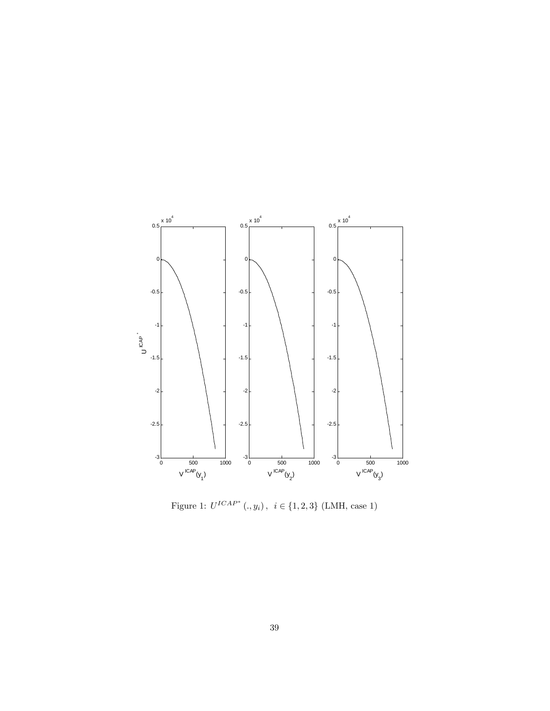

Figure 1:  $U^{ICAP^*} (., y_i), i \in \{1, 2, 3\}$  (LMH, case 1)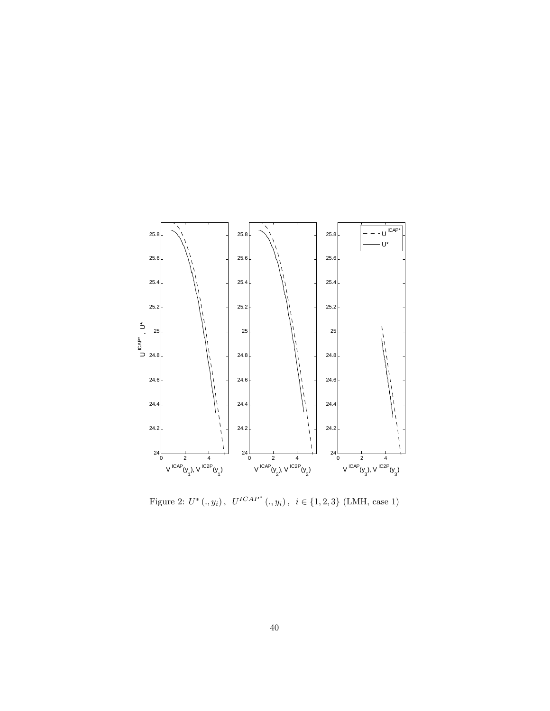

Figure 2:  $U^* (., y_i), U^{ICAP^*} (., y_i), i \in \{1, 2, 3\}$  (LMH, case 1)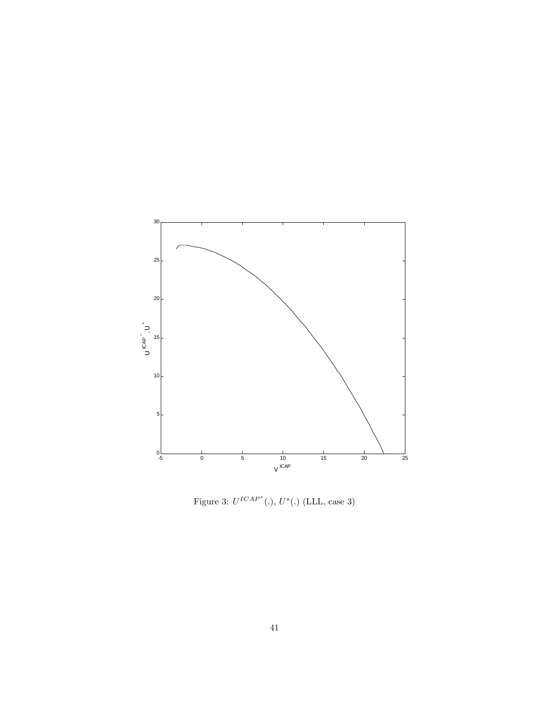

Figure 3:  $U^{ICAP^*}$ (.),  $U^*(.)$  (LLL, case 3)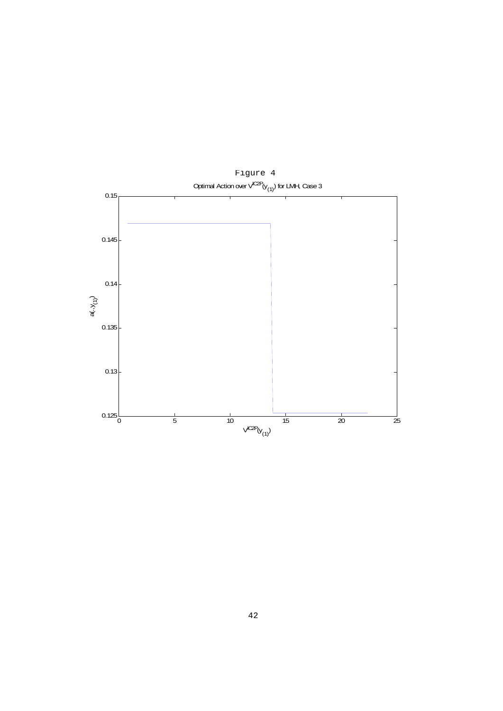

Optimal Action over  $\check{\vee}^{\mathsf{C2P}}(y_{(1)})$  for LMH, Case 3 Figure 4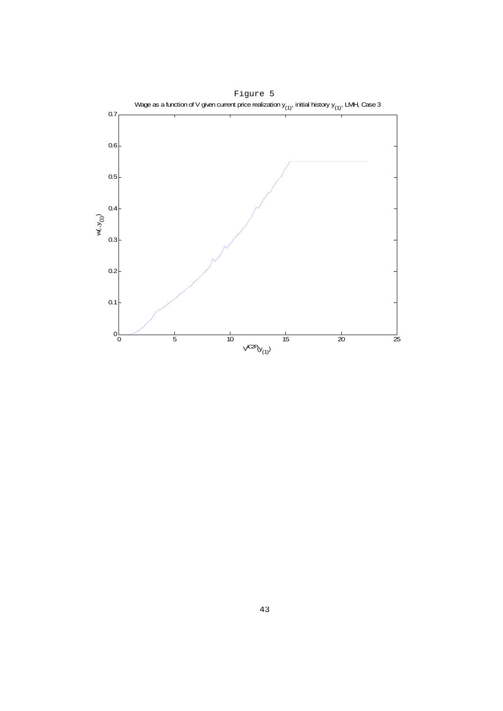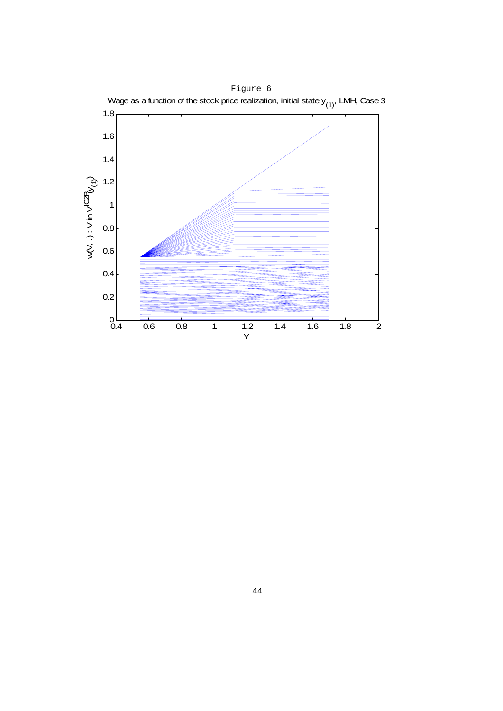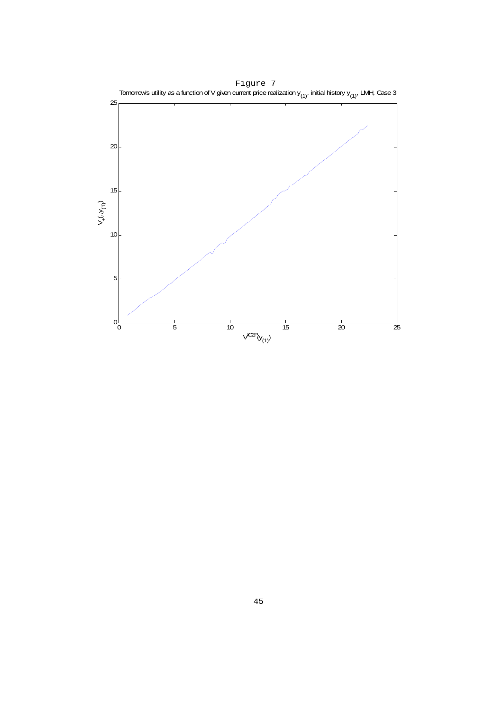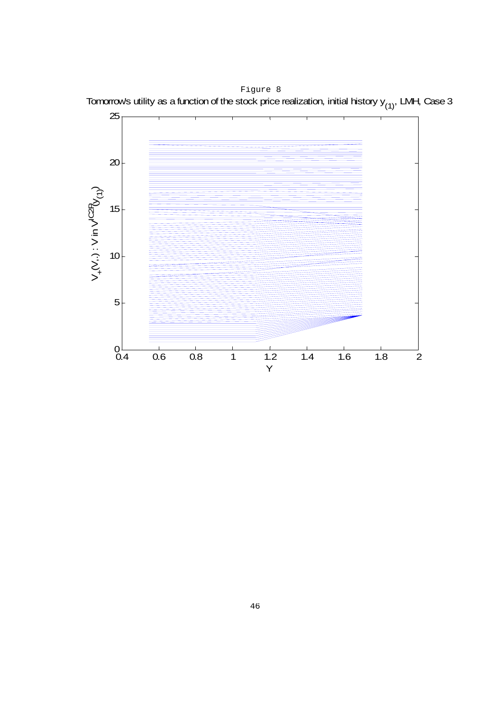Tomorrow's utility as a function of the stock price realization, initial history  $y_{(1)}$ , LMH, Case 3 Figure 8